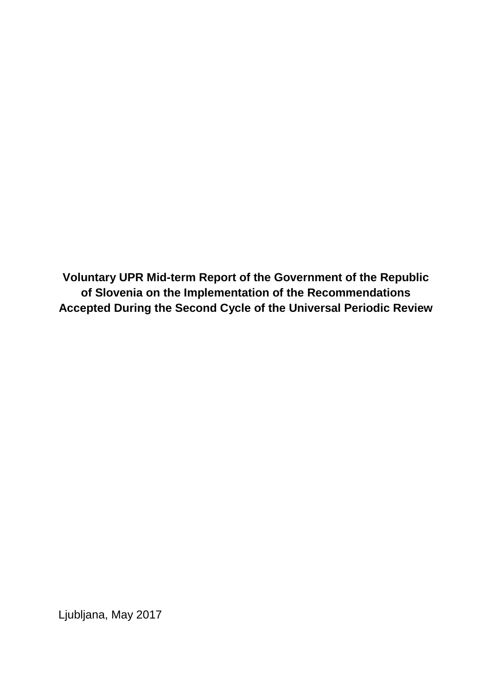**Voluntary UPR Mid-term Report of the Government of the Republic of Slovenia on the Implementation of the Recommendations Accepted During the Second Cycle of the Universal Periodic Review**

Ljubljana, May 2017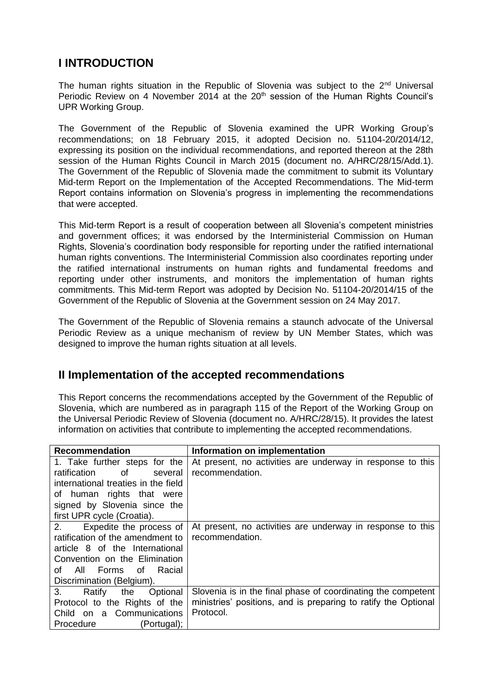## **I INTRODUCTION**

The human rights situation in the Republic of Slovenia was subject to the 2<sup>nd</sup> Universal Periodic Review on 4 November 2014 at the 20<sup>th</sup> session of the Human Rights Council's UPR Working Group.

The Government of the Republic of Slovenia examined the UPR Working Group's recommendations; on 18 February 2015, it adopted Decision no. 51104-20/2014/12, expressing its position on the individual recommendations, and reported thereon at the 28th session of the Human Rights Council in March 2015 (document no. A/HRC/28/15/Add.1). The Government of the Republic of Slovenia made the commitment to submit its Voluntary Mid-term Report on the Implementation of the Accepted Recommendations. The Mid-term Report contains information on Slovenia's progress in implementing the recommendations that were accepted.

This Mid-term Report is a result of cooperation between all Slovenia's competent ministries and government offices; it was endorsed by the Interministerial Commission on Human Rights, Slovenia's coordination body responsible for reporting under the ratified international human rights conventions. The Interministerial Commission also coordinates reporting under the ratified international instruments on human rights and fundamental freedoms and reporting under other instruments, and monitors the implementation of human rights commitments. This Mid-term Report was adopted by Decision No. 51104-20/2014/15 of the Government of the Republic of Slovenia at the Government session on 24 May 2017.

The Government of the Republic of Slovenia remains a staunch advocate of the Universal Periodic Review as a unique mechanism of review by UN Member States, which was designed to improve the human rights situation at all levels.

## **II Implementation of the accepted recommendations**

This Report concerns the recommendations accepted by the Government of the Republic of Slovenia, which are numbered as in paragraph 115 of the Report of the Working Group on the Universal Periodic Review of Slovenia (document no. A/HRC/28/15). It provides the latest information on activities that contribute to implementing the accepted recommendations.

| <b>Recommendation</b>               | Information on implementation                                  |
|-------------------------------------|----------------------------------------------------------------|
| 1. Take further steps for the       | At present, no activities are underway in response to this     |
| ratification<br>of<br>several       | recommendation.                                                |
| international treaties in the field |                                                                |
| of human rights that were           |                                                                |
| signed by Slovenia since the        |                                                                |
| first UPR cycle (Croatia).          |                                                                |
| Expedite the process of<br>2.       | At present, no activities are underway in response to this     |
| ratification of the amendment to    | recommendation.                                                |
| article 8 of the International      |                                                                |
| Convention on the Elimination       |                                                                |
| All Forms of<br>Racial<br>of        |                                                                |
| Discrimination (Belgium).           |                                                                |
| 3.<br>Optional<br>Ratify<br>the     | Slovenia is in the final phase of coordinating the competent   |
| Protocol to the Rights of the       | ministries' positions, and is preparing to ratify the Optional |
| Child on a Communications           | Protocol.                                                      |
| Procedure<br>(Portugal);            |                                                                |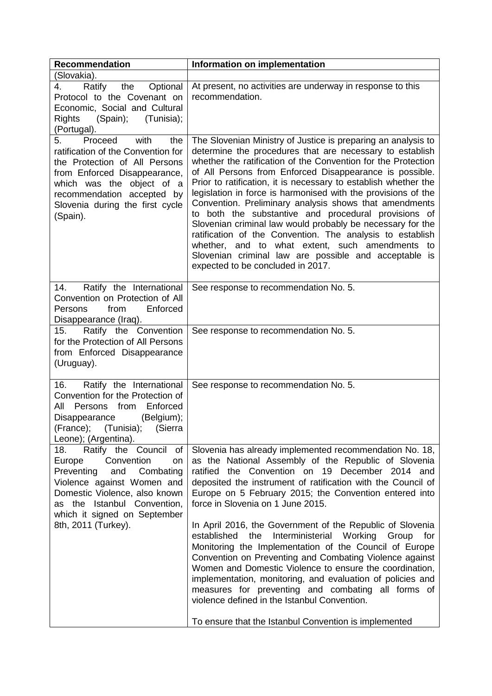| <b>Recommendation</b>                                                                                                                                                                                                                         | Information on implementation                                                                                                                                                                                                                                                                                                                                                                                                                                                                                                                                                                                                                                                                                                                                                           |
|-----------------------------------------------------------------------------------------------------------------------------------------------------------------------------------------------------------------------------------------------|-----------------------------------------------------------------------------------------------------------------------------------------------------------------------------------------------------------------------------------------------------------------------------------------------------------------------------------------------------------------------------------------------------------------------------------------------------------------------------------------------------------------------------------------------------------------------------------------------------------------------------------------------------------------------------------------------------------------------------------------------------------------------------------------|
| (Slovakia).                                                                                                                                                                                                                                   |                                                                                                                                                                                                                                                                                                                                                                                                                                                                                                                                                                                                                                                                                                                                                                                         |
| Ratify the<br>Optional<br>4.<br>Protocol to the Covenant on<br>Economic, Social and Cultural<br>(Spain);<br>(Tunisia);<br>Rights<br>(Portugal).                                                                                               | At present, no activities are underway in response to this<br>recommendation.                                                                                                                                                                                                                                                                                                                                                                                                                                                                                                                                                                                                                                                                                                           |
| Proceed<br>with<br>the<br>5.<br>ratification of the Convention for<br>the Protection of All Persons<br>from Enforced Disappearance,<br>which was the object of a<br>recommendation accepted by<br>Slovenia during the first cycle<br>(Spain). | The Slovenian Ministry of Justice is preparing an analysis to<br>determine the procedures that are necessary to establish<br>whether the ratification of the Convention for the Protection<br>of All Persons from Enforced Disappearance is possible.<br>Prior to ratification, it is necessary to establish whether the<br>legislation in force is harmonised with the provisions of the<br>Convention. Preliminary analysis shows that amendments<br>to both the substantive and procedural provisions of<br>Slovenian criminal law would probably be necessary for the<br>ratification of the Convention. The analysis to establish<br>whether, and to what extent, such amendments to<br>Slovenian criminal law are possible and acceptable is<br>expected to be concluded in 2017. |
| Ratify the International<br>14.<br>Convention on Protection of All<br>Enforced<br><b>Persons</b><br>from<br>Disappearance (Iraq).                                                                                                             | See response to recommendation No. 5.                                                                                                                                                                                                                                                                                                                                                                                                                                                                                                                                                                                                                                                                                                                                                   |
| Ratify the Convention<br>15.<br>for the Protection of All Persons<br>from Enforced Disappearance<br>(Uruguay).                                                                                                                                | See response to recommendation No. 5.                                                                                                                                                                                                                                                                                                                                                                                                                                                                                                                                                                                                                                                                                                                                                   |
| 16.<br>Ratify the International<br>Convention for the Protection of<br>Enforced<br>All<br>Persons from<br>(Belgium);<br>Disappearance<br>(France); (Tunisia); (Sierra<br>Leone); (Argentina).                                                 | See response to recommendation No. 5.                                                                                                                                                                                                                                                                                                                                                                                                                                                                                                                                                                                                                                                                                                                                                   |
| Ratify the Council of<br>18.<br>Convention<br>Europe<br>on<br>Preventing<br>and<br>Combating<br>Violence against Women and<br>Domestic Violence, also known<br>as the Istanbul Convention,<br>which it signed on September                    | Slovenia has already implemented recommendation No. 18,<br>as the National Assembly of the Republic of Slovenia<br>ratified the Convention on 19 December 2014 and<br>deposited the instrument of ratification with the Council of<br>Europe on 5 February 2015; the Convention entered into<br>force in Slovenia on 1 June 2015.                                                                                                                                                                                                                                                                                                                                                                                                                                                       |
| 8th, 2011 (Turkey).                                                                                                                                                                                                                           | In April 2016, the Government of the Republic of Slovenia<br>the<br>Interministerial Working<br>established<br>Group<br>for<br>Monitoring the Implementation of the Council of Europe<br>Convention on Preventing and Combating Violence against<br>Women and Domestic Violence to ensure the coordination,<br>implementation, monitoring, and evaluation of policies and<br>measures for preventing and combating all forms of<br>violence defined in the Istanbul Convention.                                                                                                                                                                                                                                                                                                         |
|                                                                                                                                                                                                                                               | To ensure that the Istanbul Convention is implemented                                                                                                                                                                                                                                                                                                                                                                                                                                                                                                                                                                                                                                                                                                                                   |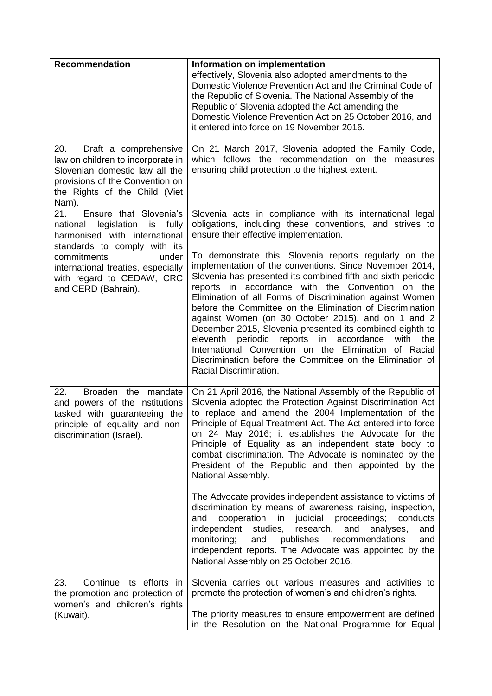| <b>Recommendation</b>                                                                                                                                                            | Information on implementation                                                                                                                                                                                                                                                                                                                                                                                                                                                                                                                                                                                                                                                                    |
|----------------------------------------------------------------------------------------------------------------------------------------------------------------------------------|--------------------------------------------------------------------------------------------------------------------------------------------------------------------------------------------------------------------------------------------------------------------------------------------------------------------------------------------------------------------------------------------------------------------------------------------------------------------------------------------------------------------------------------------------------------------------------------------------------------------------------------------------------------------------------------------------|
|                                                                                                                                                                                  | effectively, Slovenia also adopted amendments to the<br>Domestic Violence Prevention Act and the Criminal Code of<br>the Republic of Slovenia. The National Assembly of the<br>Republic of Slovenia adopted the Act amending the<br>Domestic Violence Prevention Act on 25 October 2016, and<br>it entered into force on 19 November 2016.                                                                                                                                                                                                                                                                                                                                                       |
| 20.<br>Draft a comprehensive<br>law on children to incorporate in<br>Slovenian domestic law all the<br>provisions of the Convention on<br>the Rights of the Child (Viet<br>Nam). | On 21 March 2017, Slovenia adopted the Family Code,<br>which follows the recommendation on the measures<br>ensuring child protection to the highest extent.                                                                                                                                                                                                                                                                                                                                                                                                                                                                                                                                      |
| Ensure that Slovenia's<br>21.<br>national legislation<br>fully<br>is<br>harmonised with international<br>standards to comply with its                                            | Slovenia acts in compliance with its international legal<br>obligations, including these conventions, and strives to<br>ensure their effective implementation.                                                                                                                                                                                                                                                                                                                                                                                                                                                                                                                                   |
| commitments<br>under<br>international treaties, especially<br>with regard to CEDAW, CRC<br>and CERD (Bahrain).                                                                   | To demonstrate this, Slovenia reports regularly on the<br>implementation of the conventions. Since November 2014,<br>Slovenia has presented its combined fifth and sixth periodic<br>reports in accordance with the Convention<br>on the<br>Elimination of all Forms of Discrimination against Women<br>before the Committee on the Elimination of Discrimination<br>against Women (on 30 October 2015), and on 1 and 2<br>December 2015, Slovenia presented its combined eighth to<br>in accordance<br>eleventh periodic<br>reports<br>with the<br>International Convention on the Elimination of Racial<br>Discrimination before the Committee on the Elimination of<br>Racial Discrimination. |
| 22.<br>Broaden the mandate<br>and powers of the institutions<br>tasked with guaranteeing the<br>principle of equality and non-<br>discrimination (Israel).                       | On 21 April 2016, the National Assembly of the Republic of<br>Slovenia adopted the Protection Against Discrimination Act<br>to replace and amend the 2004 Implementation of the<br>Principle of Equal Treatment Act. The Act entered into force<br>on 24 May 2016; it establishes the Advocate for the<br>Principle of Equality as an independent state body to<br>combat discrimination. The Advocate is nominated by the<br>President of the Republic and then appointed by the<br>National Assembly.<br>The Advocate provides independent assistance to victims of<br>discrimination by means of awareness raising, inspection,                                                               |
|                                                                                                                                                                                  | cooperation<br>in judicial proceedings;<br>and<br>conducts<br>independent<br>studies,<br>research,<br>and<br>analyses,<br>and<br>monitoring;<br>and<br>publishes<br>recommendations<br>and<br>independent reports. The Advocate was appointed by the<br>National Assembly on 25 October 2016.                                                                                                                                                                                                                                                                                                                                                                                                    |
| Continue its efforts in<br>23.<br>the promotion and protection of<br>women's and children's rights<br>(Kuwait).                                                                  | Slovenia carries out various measures and activities to<br>promote the protection of women's and children's rights.<br>The priority measures to ensure empowerment are defined                                                                                                                                                                                                                                                                                                                                                                                                                                                                                                                   |
|                                                                                                                                                                                  | in the Resolution on the National Programme for Equal                                                                                                                                                                                                                                                                                                                                                                                                                                                                                                                                                                                                                                            |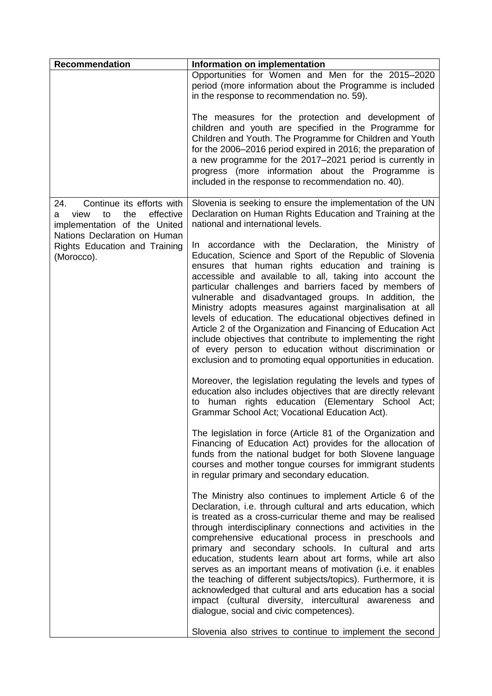| <b>Recommendation</b>                                                                                                                   | Information on implementation                                                                                                                                                                                                                                                                                                                                                                                                                                                                                                                                                                                                                                                                                                            |
|-----------------------------------------------------------------------------------------------------------------------------------------|------------------------------------------------------------------------------------------------------------------------------------------------------------------------------------------------------------------------------------------------------------------------------------------------------------------------------------------------------------------------------------------------------------------------------------------------------------------------------------------------------------------------------------------------------------------------------------------------------------------------------------------------------------------------------------------------------------------------------------------|
|                                                                                                                                         | Opportunities for Women and Men for the 2015-2020<br>period (more information about the Programme is included<br>in the response to recommendation no. 59).                                                                                                                                                                                                                                                                                                                                                                                                                                                                                                                                                                              |
|                                                                                                                                         | The measures for the protection and development of<br>children and youth are specified in the Programme for<br>Children and Youth. The Programme for Children and Youth<br>for the 2006-2016 period expired in 2016; the preparation of<br>a new programme for the 2017-2021 period is currently in<br>progress (more information about the Programme is<br>included in the response to recommendation no. 40).                                                                                                                                                                                                                                                                                                                          |
| Continue its efforts with<br>24.<br>effective<br>view<br>to<br>the<br>a<br>implementation of the United<br>Nations Declaration on Human | Slovenia is seeking to ensure the implementation of the UN<br>Declaration on Human Rights Education and Training at the<br>national and international levels.                                                                                                                                                                                                                                                                                                                                                                                                                                                                                                                                                                            |
| Rights Education and Training<br>(Morocco).                                                                                             | In accordance with the Declaration, the Ministry of<br>Education, Science and Sport of the Republic of Slovenia<br>ensures that human rights education and training is<br>accessible and available to all, taking into account the<br>particular challenges and barriers faced by members of<br>vulnerable and disadvantaged groups. In addition, the<br>Ministry adopts measures against marginalisation at all<br>levels of education. The educational objectives defined in<br>Article 2 of the Organization and Financing of Education Act<br>include objectives that contribute to implementing the right<br>of every person to education without discrimination or<br>exclusion and to promoting equal opportunities in education. |
|                                                                                                                                         | Moreover, the legislation regulating the levels and types of<br>education also includes objectives that are directly relevant<br>to human rights education (Elementary School Act;<br>Grammar School Act; Vocational Education Act).                                                                                                                                                                                                                                                                                                                                                                                                                                                                                                     |
|                                                                                                                                         | The legislation in force (Article 81 of the Organization and<br>Financing of Education Act) provides for the allocation of<br>funds from the national budget for both Slovene language<br>courses and mother tongue courses for immigrant students<br>in regular primary and secondary education.                                                                                                                                                                                                                                                                                                                                                                                                                                        |
|                                                                                                                                         | The Ministry also continues to implement Article 6 of the<br>Declaration, i.e. through cultural and arts education, which<br>is treated as a cross-curricular theme and may be realised<br>through interdisciplinary connections and activities in the<br>comprehensive educational process in preschools and<br>primary and secondary schools. In cultural and arts<br>education, students learn about art forms, while art also<br>serves as an important means of motivation (i.e. it enables<br>the teaching of different subjects/topics). Furthermore, it is<br>acknowledged that cultural and arts education has a social<br>impact (cultural diversity, intercultural awareness and<br>dialogue, social and civic competences).  |
|                                                                                                                                         | Slovenia also strives to continue to implement the second                                                                                                                                                                                                                                                                                                                                                                                                                                                                                                                                                                                                                                                                                |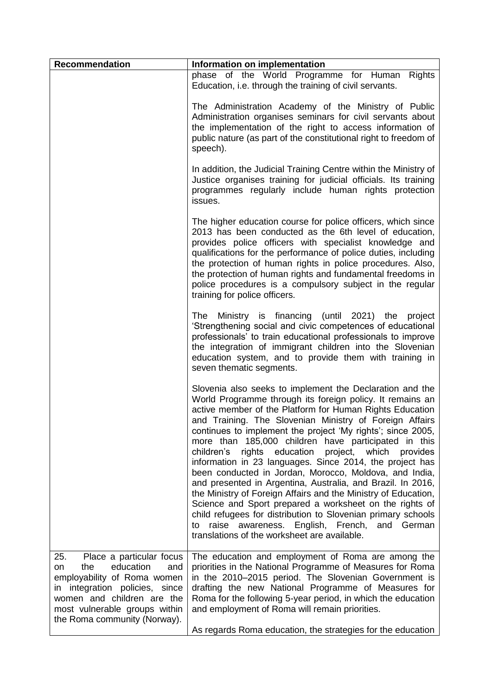| <b>Recommendation</b>                                                                                                                                                                                                            | Information on implementation                                                                                                                                                                                                                                                                                                                                                                                                                                                                                                                                                                                                                                                                                                                                                                                                                                                                                                     |
|----------------------------------------------------------------------------------------------------------------------------------------------------------------------------------------------------------------------------------|-----------------------------------------------------------------------------------------------------------------------------------------------------------------------------------------------------------------------------------------------------------------------------------------------------------------------------------------------------------------------------------------------------------------------------------------------------------------------------------------------------------------------------------------------------------------------------------------------------------------------------------------------------------------------------------------------------------------------------------------------------------------------------------------------------------------------------------------------------------------------------------------------------------------------------------|
|                                                                                                                                                                                                                                  | phase of the World Programme for Human Rights<br>Education, i.e. through the training of civil servants.                                                                                                                                                                                                                                                                                                                                                                                                                                                                                                                                                                                                                                                                                                                                                                                                                          |
|                                                                                                                                                                                                                                  | The Administration Academy of the Ministry of Public<br>Administration organises seminars for civil servants about<br>the implementation of the right to access information of<br>public nature (as part of the constitutional right to freedom of<br>speech).                                                                                                                                                                                                                                                                                                                                                                                                                                                                                                                                                                                                                                                                    |
|                                                                                                                                                                                                                                  | In addition, the Judicial Training Centre within the Ministry of<br>Justice organises training for judicial officials. Its training<br>programmes regularly include human rights protection<br>issues.                                                                                                                                                                                                                                                                                                                                                                                                                                                                                                                                                                                                                                                                                                                            |
|                                                                                                                                                                                                                                  | The higher education course for police officers, which since<br>2013 has been conducted as the 6th level of education,<br>provides police officers with specialist knowledge and<br>qualifications for the performance of police duties, including<br>the protection of human rights in police procedures. Also,<br>the protection of human rights and fundamental freedoms in<br>police procedures is a compulsory subject in the regular<br>training for police officers.                                                                                                                                                                                                                                                                                                                                                                                                                                                       |
|                                                                                                                                                                                                                                  | The Ministry is financing (until 2021) the project<br>'Strengthening social and civic competences of educational<br>professionals' to train educational professionals to improve<br>the integration of immigrant children into the Slovenian<br>education system, and to provide them with training in<br>seven thematic segments.                                                                                                                                                                                                                                                                                                                                                                                                                                                                                                                                                                                                |
|                                                                                                                                                                                                                                  | Slovenia also seeks to implement the Declaration and the<br>World Programme through its foreign policy. It remains an<br>active member of the Platform for Human Rights Education<br>and Training. The Slovenian Ministry of Foreign Affairs<br>continues to implement the project 'My rights'; since 2005,<br>more than 185,000 children have participated in this<br>rights education<br>project,<br>children's<br>which<br>provides<br>information in 23 languages. Since 2014, the project has<br>been conducted in Jordan, Morocco, Moldova, and India,<br>and presented in Argentina, Australia, and Brazil. In 2016,<br>the Ministry of Foreign Affairs and the Ministry of Education,<br>Science and Sport prepared a worksheet on the rights of<br>child refugees for distribution to Slovenian primary schools<br>raise awareness. English, French, and<br>German<br>to<br>translations of the worksheet are available. |
| Place a particular focus<br>25.<br>education<br>the<br>and<br>on<br>employability of Roma women<br>in integration policies, since<br>women and children are the<br>most vulnerable groups within<br>the Roma community (Norway). | The education and employment of Roma are among the<br>priorities in the National Programme of Measures for Roma<br>in the 2010-2015 period. The Slovenian Government is<br>drafting the new National Programme of Measures for<br>Roma for the following 5-year period, in which the education<br>and employment of Roma will remain priorities.<br>As regards Roma education, the strategies for the education                                                                                                                                                                                                                                                                                                                                                                                                                                                                                                                   |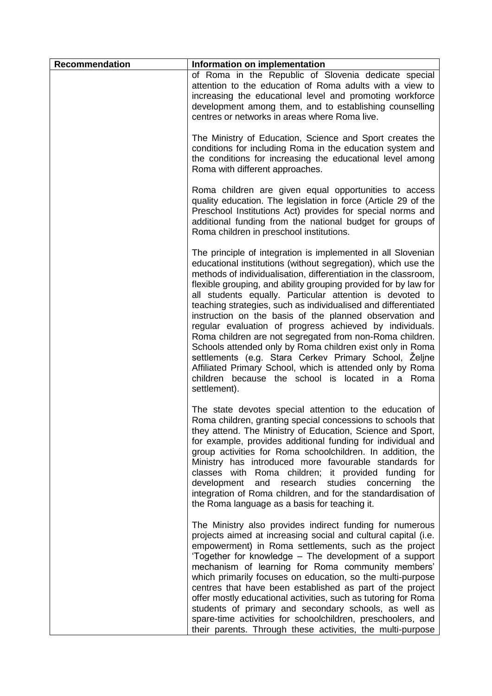| <b>Recommendation</b> | Information on implementation                                                                                                                                                                                                                                                                                                                                                                                                                                                                                                                                                                                                                                                                                                                                                                                                              |
|-----------------------|--------------------------------------------------------------------------------------------------------------------------------------------------------------------------------------------------------------------------------------------------------------------------------------------------------------------------------------------------------------------------------------------------------------------------------------------------------------------------------------------------------------------------------------------------------------------------------------------------------------------------------------------------------------------------------------------------------------------------------------------------------------------------------------------------------------------------------------------|
|                       | of Roma in the Republic of Slovenia dedicate special<br>attention to the education of Roma adults with a view to<br>increasing the educational level and promoting workforce<br>development among them, and to establishing counselling<br>centres or networks in areas where Roma live.                                                                                                                                                                                                                                                                                                                                                                                                                                                                                                                                                   |
|                       | The Ministry of Education, Science and Sport creates the<br>conditions for including Roma in the education system and<br>the conditions for increasing the educational level among<br>Roma with different approaches.                                                                                                                                                                                                                                                                                                                                                                                                                                                                                                                                                                                                                      |
|                       | Roma children are given equal opportunities to access<br>quality education. The legislation in force (Article 29 of the<br>Preschool Institutions Act) provides for special norms and<br>additional funding from the national budget for groups of<br>Roma children in preschool institutions.                                                                                                                                                                                                                                                                                                                                                                                                                                                                                                                                             |
|                       | The principle of integration is implemented in all Slovenian<br>educational institutions (without segregation), which use the<br>methods of individualisation, differentiation in the classroom,<br>flexible grouping, and ability grouping provided for by law for<br>all students equally. Particular attention is devoted to<br>teaching strategies, such as individualised and differentiated<br>instruction on the basis of the planned observation and<br>regular evaluation of progress achieved by individuals.<br>Roma children are not segregated from non-Roma children.<br>Schools attended only by Roma children exist only in Roma<br>settlements (e.g. Stara Cerkev Primary School, Zeljne<br>Affiliated Primary School, which is attended only by Roma<br>children because the school is located in a Roma<br>settlement). |
|                       | The state devotes special attention to the education of<br>Roma children, granting special concessions to schools that<br>they attend. The Ministry of Education, Science and Sport,<br>for example, provides additional funding for individual and<br>group activities for Roma schoolchildren. In addition, the<br>Ministry has introduced more favourable standards for<br>classes with Roma children; it provided funding<br>for<br>development and research studies concerning<br>the<br>integration of Roma children, and for the standardisation of<br>the Roma language as a basis for teaching it.                                                                                                                                                                                                                                |
|                       | The Ministry also provides indirect funding for numerous<br>projects aimed at increasing social and cultural capital (i.e.<br>empowerment) in Roma settlements, such as the project<br>'Together for knowledge - The development of a support<br>mechanism of learning for Roma community members'<br>which primarily focuses on education, so the multi-purpose<br>centres that have been established as part of the project<br>offer mostly educational activities, such as tutoring for Roma<br>students of primary and secondary schools, as well as<br>spare-time activities for schoolchildren, preschoolers, and<br>their parents. Through these activities, the multi-purpose                                                                                                                                                      |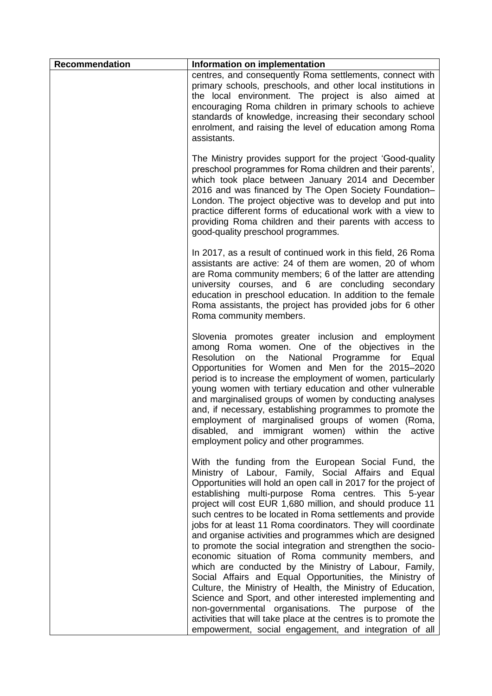| <b>Recommendation</b> | Information on implementation                                                                                                                                                                                                                                                                                                                                                                                                                                                                                                                                                                                                                                                                                                                                                                                                                                                                                                                                                                                                                           |
|-----------------------|---------------------------------------------------------------------------------------------------------------------------------------------------------------------------------------------------------------------------------------------------------------------------------------------------------------------------------------------------------------------------------------------------------------------------------------------------------------------------------------------------------------------------------------------------------------------------------------------------------------------------------------------------------------------------------------------------------------------------------------------------------------------------------------------------------------------------------------------------------------------------------------------------------------------------------------------------------------------------------------------------------------------------------------------------------|
|                       | centres, and consequently Roma settlements, connect with<br>primary schools, preschools, and other local institutions in<br>the local environment. The project is also aimed at<br>encouraging Roma children in primary schools to achieve<br>standards of knowledge, increasing their secondary school<br>enrolment, and raising the level of education among Roma<br>assistants.                                                                                                                                                                                                                                                                                                                                                                                                                                                                                                                                                                                                                                                                      |
|                       | The Ministry provides support for the project 'Good-quality<br>preschool programmes for Roma children and their parents',<br>which took place between January 2014 and December<br>2016 and was financed by The Open Society Foundation-<br>London. The project objective was to develop and put into<br>practice different forms of educational work with a view to<br>providing Roma children and their parents with access to<br>good-quality preschool programmes.                                                                                                                                                                                                                                                                                                                                                                                                                                                                                                                                                                                  |
|                       | In 2017, as a result of continued work in this field, 26 Roma<br>assistants are active: 24 of them are women, 20 of whom<br>are Roma community members; 6 of the latter are attending<br>university courses, and 6 are concluding secondary<br>education in preschool education. In addition to the female<br>Roma assistants, the project has provided jobs for 6 other<br>Roma community members.                                                                                                                                                                                                                                                                                                                                                                                                                                                                                                                                                                                                                                                     |
|                       | Slovenia promotes greater inclusion and employment<br>among Roma women. One of the objectives in the<br>Resolution<br>the<br>National Programme for<br>Equal<br>on<br>Opportunities for Women and Men for the 2015-2020<br>period is to increase the employment of women, particularly<br>young women with tertiary education and other vulnerable<br>and marginalised groups of women by conducting analyses<br>and, if necessary, establishing programmes to promote the<br>employment of marginalised groups of women (Roma,<br>disabled, and immigrant women) within the active<br>employment policy and other programmes.                                                                                                                                                                                                                                                                                                                                                                                                                          |
|                       | With the funding from the European Social Fund, the<br>Ministry of Labour, Family, Social Affairs and Equal<br>Opportunities will hold an open call in 2017 for the project of<br>establishing multi-purpose Roma centres. This 5-year<br>project will cost EUR 1,680 million, and should produce 11<br>such centres to be located in Roma settlements and provide<br>jobs for at least 11 Roma coordinators. They will coordinate<br>and organise activities and programmes which are designed<br>to promote the social integration and strengthen the socio-<br>economic situation of Roma community members, and<br>which are conducted by the Ministry of Labour, Family,<br>Social Affairs and Equal Opportunities, the Ministry of<br>Culture, the Ministry of Health, the Ministry of Education,<br>Science and Sport, and other interested implementing and<br>non-governmental organisations. The purpose of the<br>activities that will take place at the centres is to promote the<br>empowerment, social engagement, and integration of all |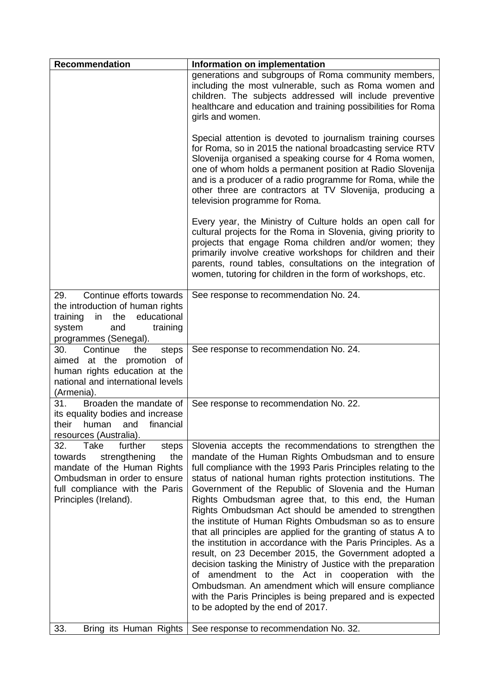| <b>Recommendation</b>                                                                                                                                                                        | Information on implementation                                                                                                                                                                                                                                                                                                                                                                                                                                                                                                                                                                                                                                                                                                                                                                                                                                                                                                                                  |
|----------------------------------------------------------------------------------------------------------------------------------------------------------------------------------------------|----------------------------------------------------------------------------------------------------------------------------------------------------------------------------------------------------------------------------------------------------------------------------------------------------------------------------------------------------------------------------------------------------------------------------------------------------------------------------------------------------------------------------------------------------------------------------------------------------------------------------------------------------------------------------------------------------------------------------------------------------------------------------------------------------------------------------------------------------------------------------------------------------------------------------------------------------------------|
|                                                                                                                                                                                              | generations and subgroups of Roma community members,<br>including the most vulnerable, such as Roma women and<br>children. The subjects addressed will include preventive<br>healthcare and education and training possibilities for Roma<br>girls and women.                                                                                                                                                                                                                                                                                                                                                                                                                                                                                                                                                                                                                                                                                                  |
|                                                                                                                                                                                              | Special attention is devoted to journalism training courses<br>for Roma, so in 2015 the national broadcasting service RTV<br>Slovenija organised a speaking course for 4 Roma women,<br>one of whom holds a permanent position at Radio Slovenija<br>and is a producer of a radio programme for Roma, while the<br>other three are contractors at TV Slovenija, producing a<br>television programme for Roma.                                                                                                                                                                                                                                                                                                                                                                                                                                                                                                                                                  |
|                                                                                                                                                                                              | Every year, the Ministry of Culture holds an open call for<br>cultural projects for the Roma in Slovenia, giving priority to<br>projects that engage Roma children and/or women; they<br>primarily involve creative workshops for children and their<br>parents, round tables, consultations on the integration of<br>women, tutoring for children in the form of workshops, etc.                                                                                                                                                                                                                                                                                                                                                                                                                                                                                                                                                                              |
| Continue efforts towards<br>29.<br>the introduction of human rights<br>educational<br>training<br>in<br>the<br>system<br>training<br>and<br>programmes (Senegal).                            | See response to recommendation No. 24.                                                                                                                                                                                                                                                                                                                                                                                                                                                                                                                                                                                                                                                                                                                                                                                                                                                                                                                         |
| Continue<br>the<br>30.<br>steps<br>aimed at the promotion of<br>human rights education at the<br>national and international levels<br>(Armenia).                                             | See response to recommendation No. 24.                                                                                                                                                                                                                                                                                                                                                                                                                                                                                                                                                                                                                                                                                                                                                                                                                                                                                                                         |
| Broaden the mandate of<br>31.<br>its equality bodies and increase<br>their<br>human<br>financial<br>and<br>resources (Australia).                                                            | See response to recommendation No. 22.                                                                                                                                                                                                                                                                                                                                                                                                                                                                                                                                                                                                                                                                                                                                                                                                                                                                                                                         |
| Take<br>further<br>steps<br>32.<br>strengthening<br>the<br>towards<br>mandate of the Human Rights<br>Ombudsman in order to ensure<br>full compliance with the Paris<br>Principles (Ireland). | Slovenia accepts the recommendations to strengthen the<br>mandate of the Human Rights Ombudsman and to ensure<br>full compliance with the 1993 Paris Principles relating to the<br>status of national human rights protection institutions. The<br>Government of the Republic of Slovenia and the Human<br>Rights Ombudsman agree that, to this end, the Human<br>Rights Ombudsman Act should be amended to strengthen<br>the institute of Human Rights Ombudsman so as to ensure<br>that all principles are applied for the granting of status A to<br>the institution in accordance with the Paris Principles. As a<br>result, on 23 December 2015, the Government adopted a<br>decision tasking the Ministry of Justice with the preparation<br>of amendment to the Act in cooperation with the<br>Ombudsman. An amendment which will ensure compliance<br>with the Paris Principles is being prepared and is expected<br>to be adopted by the end of 2017. |
| 33.<br>Bring its Human Rights                                                                                                                                                                | See response to recommendation No. 32.                                                                                                                                                                                                                                                                                                                                                                                                                                                                                                                                                                                                                                                                                                                                                                                                                                                                                                                         |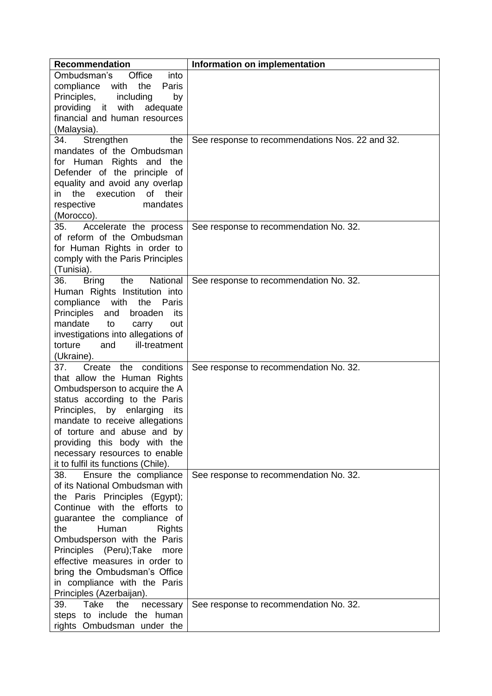| <b>Recommendation</b>                 | Information on implementation                   |
|---------------------------------------|-------------------------------------------------|
| Ombudsman's<br>Office<br>into         |                                                 |
| compliance<br>with<br>the<br>Paris    |                                                 |
| Principles,<br>including<br>by        |                                                 |
| with<br>providing it<br>adequate      |                                                 |
| financial and human resources         |                                                 |
| (Malaysia).                           |                                                 |
| Strengthen<br>34.<br>the              | See response to recommendations Nos. 22 and 32. |
| mandates of the Ombudsman             |                                                 |
| Rights and the<br>for Human           |                                                 |
| Defender of the principle of          |                                                 |
| equality and avoid any overlap        |                                                 |
| the execution<br>of<br>their<br>in    |                                                 |
| mandates<br>respective                |                                                 |
| (Morocco).                            |                                                 |
| Accelerate the process<br>35.         | See response to recommendation No. 32.          |
| of reform of the Ombudsman            |                                                 |
| for Human Rights in order to          |                                                 |
|                                       |                                                 |
| comply with the Paris Principles      |                                                 |
| (Tunisia).<br>National                |                                                 |
| the<br>36.<br><b>Bring</b>            | See response to recommendation No. 32.          |
| Human Rights Institution into         |                                                 |
| compliance<br>with<br>the<br>Paris    |                                                 |
| Principles<br>broaden<br>and<br>its   |                                                 |
| mandate<br>to<br>carry<br>out         |                                                 |
| investigations into allegations of    |                                                 |
| ill-treatment<br>torture<br>and       |                                                 |
| (Ukraine).                            |                                                 |
| Create the conditions<br>37.          | See response to recommendation No. 32.          |
| that allow the Human Rights           |                                                 |
| Ombudsperson to acquire the A         |                                                 |
| status according to the Paris         |                                                 |
| Principles,<br>by<br>enlarging<br>its |                                                 |
| mandate to receive allegations        |                                                 |
| of torture and abuse and by           |                                                 |
| providing this body with the          |                                                 |
| necessary resources to enable         |                                                 |
| it to fulfil its functions (Chile).   |                                                 |
| Ensure the compliance<br>38.          | See response to recommendation No. 32.          |
| of its National Ombudsman with        |                                                 |
| the Paris Principles (Egypt);         |                                                 |
| Continue with the efforts to          |                                                 |
| guarantee the compliance of           |                                                 |
| the<br>Human<br><b>Rights</b>         |                                                 |
| Ombudsperson with the Paris           |                                                 |
| Principles (Peru); Take<br>more       |                                                 |
| effective measures in order to        |                                                 |
| bring the Ombudsman's Office          |                                                 |
| in compliance with the Paris          |                                                 |
| Principles (Azerbaijan).              |                                                 |
| Take<br>39.<br>the<br>necessary       | See response to recommendation No. 32.          |
| steps to include the human            |                                                 |
| rights Ombudsman under the            |                                                 |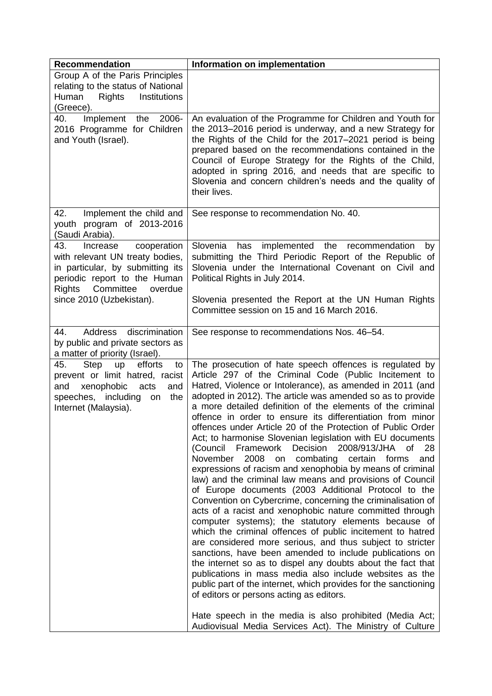| <b>Recommendation</b>                                                                                                                                                                            | Information on implementation                                                                                                                                                                                                                                                                                                                                                                                                                                                                                                                                                                                                                                                                                                                                                                                                                                                                                                                                                                                                                                                                                                                                                                                                                                                                                                                                                                                                                                                                                                                                  |
|--------------------------------------------------------------------------------------------------------------------------------------------------------------------------------------------------|----------------------------------------------------------------------------------------------------------------------------------------------------------------------------------------------------------------------------------------------------------------------------------------------------------------------------------------------------------------------------------------------------------------------------------------------------------------------------------------------------------------------------------------------------------------------------------------------------------------------------------------------------------------------------------------------------------------------------------------------------------------------------------------------------------------------------------------------------------------------------------------------------------------------------------------------------------------------------------------------------------------------------------------------------------------------------------------------------------------------------------------------------------------------------------------------------------------------------------------------------------------------------------------------------------------------------------------------------------------------------------------------------------------------------------------------------------------------------------------------------------------------------------------------------------------|
| Group A of the Paris Principles<br>relating to the status of National<br>Rights<br>Institutions<br>Human<br>(Greece).                                                                            |                                                                                                                                                                                                                                                                                                                                                                                                                                                                                                                                                                                                                                                                                                                                                                                                                                                                                                                                                                                                                                                                                                                                                                                                                                                                                                                                                                                                                                                                                                                                                                |
| Implement<br>the<br>2006-<br>40.<br>2016 Programme for Children<br>and Youth (Israel).                                                                                                           | An evaluation of the Programme for Children and Youth for<br>the 2013–2016 period is underway, and a new Strategy for<br>the Rights of the Child for the 2017-2021 period is being<br>prepared based on the recommendations contained in the<br>Council of Europe Strategy for the Rights of the Child,<br>adopted in spring 2016, and needs that are specific to<br>Slovenia and concern children's needs and the quality of<br>their lives.                                                                                                                                                                                                                                                                                                                                                                                                                                                                                                                                                                                                                                                                                                                                                                                                                                                                                                                                                                                                                                                                                                                  |
| Implement the child and<br>42.<br>youth program of 2013-2016<br>(Saudi Arabia).                                                                                                                  | See response to recommendation No. 40.                                                                                                                                                                                                                                                                                                                                                                                                                                                                                                                                                                                                                                                                                                                                                                                                                                                                                                                                                                                                                                                                                                                                                                                                                                                                                                                                                                                                                                                                                                                         |
| 43.<br>cooperation<br>Increase<br>with relevant UN treaty bodies,<br>in particular, by submitting its<br>periodic report to the Human<br>Rights Committee<br>overdue<br>since 2010 (Uzbekistan). | Slovenia<br>implemented the recommendation<br>has<br>by<br>submitting the Third Periodic Report of the Republic of<br>Slovenia under the International Covenant on Civil and<br>Political Rights in July 2014.<br>Slovenia presented the Report at the UN Human Rights<br>Committee session on 15 and 16 March 2016.                                                                                                                                                                                                                                                                                                                                                                                                                                                                                                                                                                                                                                                                                                                                                                                                                                                                                                                                                                                                                                                                                                                                                                                                                                           |
| discrimination<br>Address<br>44.<br>by public and private sectors as<br>a matter of priority (Israel).                                                                                           | See response to recommendations Nos. 46-54.                                                                                                                                                                                                                                                                                                                                                                                                                                                                                                                                                                                                                                                                                                                                                                                                                                                                                                                                                                                                                                                                                                                                                                                                                                                                                                                                                                                                                                                                                                                    |
| 45.<br>efforts<br>Step<br>up<br>to<br>prevent or limit hatred, racist<br>xenophobic<br>and<br>and<br>acts<br>speeches, including<br>the<br>on<br>Internet (Malaysia).                            | The prosecution of hate speech offences is regulated by<br>Article 297 of the Criminal Code (Public Incitement to<br>Hatred, Violence or Intolerance), as amended in 2011 (and<br>adopted in 2012). The article was amended so as to provide<br>a more detailed definition of the elements of the criminal<br>offence in order to ensure its differentiation from minor<br>offences under Article 20 of the Protection of Public Order<br>Act; to harmonise Slovenian legislation with EU documents<br>2008/913/JHA<br>(Council Framework<br>Decision<br>28<br>of<br>November<br>2008<br>combating<br>certain<br>forms<br>and<br>on<br>expressions of racism and xenophobia by means of criminal<br>law) and the criminal law means and provisions of Council<br>of Europe documents (2003 Additional Protocol to the<br>Convention on Cybercrime, concerning the criminalisation of<br>acts of a racist and xenophobic nature committed through<br>computer systems); the statutory elements because of<br>which the criminal offences of public incitement to hatred<br>are considered more serious, and thus subject to stricter<br>sanctions, have been amended to include publications on<br>the internet so as to dispel any doubts about the fact that<br>publications in mass media also include websites as the<br>public part of the internet, which provides for the sanctioning<br>of editors or persons acting as editors.<br>Hate speech in the media is also prohibited (Media Act;<br>Audiovisual Media Services Act). The Ministry of Culture |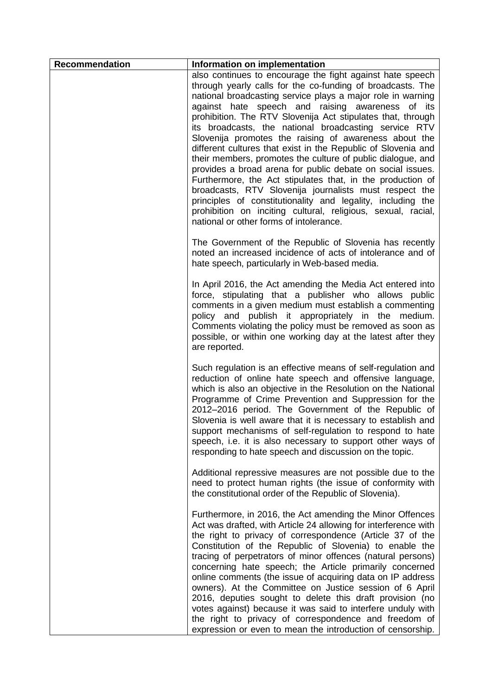| <b>Recommendation</b> | Information on implementation                                                                                                                                                                                                                                                                                                                                                                                                                                                                                                                                                                                                                                                                                                                                                                                                                                                                                               |
|-----------------------|-----------------------------------------------------------------------------------------------------------------------------------------------------------------------------------------------------------------------------------------------------------------------------------------------------------------------------------------------------------------------------------------------------------------------------------------------------------------------------------------------------------------------------------------------------------------------------------------------------------------------------------------------------------------------------------------------------------------------------------------------------------------------------------------------------------------------------------------------------------------------------------------------------------------------------|
|                       | also continues to encourage the fight against hate speech<br>through yearly calls for the co-funding of broadcasts. The<br>national broadcasting service plays a major role in warning<br>against hate speech and raising awareness of its<br>prohibition. The RTV Slovenija Act stipulates that, through<br>its broadcasts, the national broadcasting service RTV<br>Slovenija promotes the raising of awareness about the<br>different cultures that exist in the Republic of Slovenia and<br>their members, promotes the culture of public dialogue, and<br>provides a broad arena for public debate on social issues.<br>Furthermore, the Act stipulates that, in the production of<br>broadcasts, RTV Slovenija journalists must respect the<br>principles of constitutionality and legality, including the<br>prohibition on inciting cultural, religious, sexual, racial,<br>national or other forms of intolerance. |
|                       | The Government of the Republic of Slovenia has recently<br>noted an increased incidence of acts of intolerance and of<br>hate speech, particularly in Web-based media.                                                                                                                                                                                                                                                                                                                                                                                                                                                                                                                                                                                                                                                                                                                                                      |
|                       | In April 2016, the Act amending the Media Act entered into<br>force, stipulating that a publisher who allows public<br>comments in a given medium must establish a commenting<br>policy and publish it appropriately in the medium.<br>Comments violating the policy must be removed as soon as<br>possible, or within one working day at the latest after they<br>are reported.                                                                                                                                                                                                                                                                                                                                                                                                                                                                                                                                            |
|                       | Such regulation is an effective means of self-regulation and<br>reduction of online hate speech and offensive language,<br>which is also an objective in the Resolution on the National<br>Programme of Crime Prevention and Suppression for the<br>2012-2016 period. The Government of the Republic of<br>Slovenia is well aware that it is necessary to establish and<br>support mechanisms of self-regulation to respond to hate<br>speech, i.e. it is also necessary to support other ways of<br>responding to hate speech and discussion on the topic.                                                                                                                                                                                                                                                                                                                                                                 |
|                       | Additional repressive measures are not possible due to the<br>need to protect human rights (the issue of conformity with<br>the constitutional order of the Republic of Slovenia).                                                                                                                                                                                                                                                                                                                                                                                                                                                                                                                                                                                                                                                                                                                                          |
|                       | Furthermore, in 2016, the Act amending the Minor Offences<br>Act was drafted, with Article 24 allowing for interference with<br>the right to privacy of correspondence (Article 37 of the<br>Constitution of the Republic of Slovenia) to enable the<br>tracing of perpetrators of minor offences (natural persons)<br>concerning hate speech; the Article primarily concerned<br>online comments (the issue of acquiring data on IP address<br>owners). At the Committee on Justice session of 6 April<br>2016, deputies sought to delete this draft provision (no<br>votes against) because it was said to interfere unduly with<br>the right to privacy of correspondence and freedom of<br>expression or even to mean the introduction of censorship.                                                                                                                                                                   |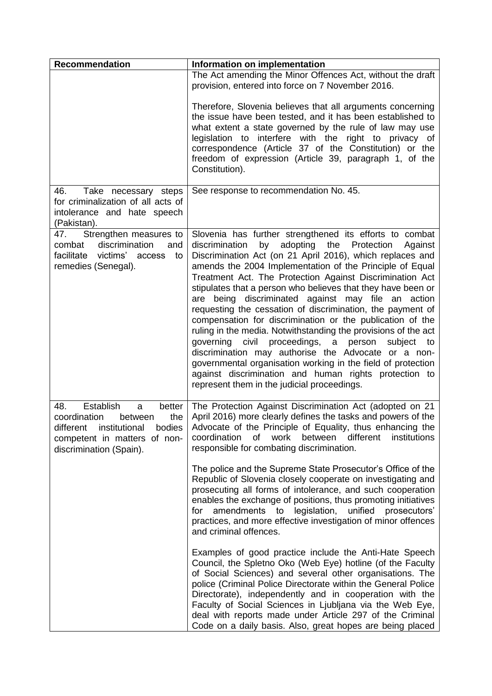| <b>Recommendation</b>                                                                                                                                          | Information on implementation                                                                                                                                                                                                                                                                                                                                                                                                                                                                                                                                                                                                                                                                                                                                                                                                                                                                                    |
|----------------------------------------------------------------------------------------------------------------------------------------------------------------|------------------------------------------------------------------------------------------------------------------------------------------------------------------------------------------------------------------------------------------------------------------------------------------------------------------------------------------------------------------------------------------------------------------------------------------------------------------------------------------------------------------------------------------------------------------------------------------------------------------------------------------------------------------------------------------------------------------------------------------------------------------------------------------------------------------------------------------------------------------------------------------------------------------|
|                                                                                                                                                                | The Act amending the Minor Offences Act, without the draft<br>provision, entered into force on 7 November 2016.                                                                                                                                                                                                                                                                                                                                                                                                                                                                                                                                                                                                                                                                                                                                                                                                  |
|                                                                                                                                                                | Therefore, Slovenia believes that all arguments concerning<br>the issue have been tested, and it has been established to<br>what extent a state governed by the rule of law may use<br>legislation to interfere with the right to privacy of<br>correspondence (Article 37 of the Constitution) or the<br>freedom of expression (Article 39, paragraph 1, of the<br>Constitution).                                                                                                                                                                                                                                                                                                                                                                                                                                                                                                                               |
| 46.<br>Take necessary steps<br>for criminalization of all acts of<br>intolerance and hate speech<br>(Pakistan).                                                | See response to recommendation No. 45.                                                                                                                                                                                                                                                                                                                                                                                                                                                                                                                                                                                                                                                                                                                                                                                                                                                                           |
| Strengthen measures to<br>47.<br>discrimination<br>combat<br>and<br>facilitate victims' access<br>to<br>remedies (Senegal).                                    | Slovenia has further strengthened its efforts to combat<br>by adopting the Protection<br>discrimination<br>Against<br>Discrimination Act (on 21 April 2016), which replaces and<br>amends the 2004 Implementation of the Principle of Equal<br>Treatment Act. The Protection Against Discrimination Act<br>stipulates that a person who believes that they have been or<br>are being discriminated against may file an action<br>requesting the cessation of discrimination, the payment of<br>compensation for discrimination or the publication of the<br>ruling in the media. Notwithstanding the provisions of the act<br>governing civil proceedings, a person<br>subject to<br>discrimination may authorise the Advocate or a non-<br>governmental organisation working in the field of protection<br>against discrimination and human rights protection to<br>represent them in the judicial proceedings. |
| Establish<br>48.<br>better<br>a<br>coordination<br>the<br>between<br>different institutional bodies<br>competent in matters of non-<br>discrimination (Spain). | The Protection Against Discrimination Act (adopted on 21<br>April 2016) more clearly defines the tasks and powers of the<br>Advocate of the Principle of Equality, thus enhancing the<br>work between different<br>institutions<br>coordination<br>of<br>responsible for combating discrimination.                                                                                                                                                                                                                                                                                                                                                                                                                                                                                                                                                                                                               |
|                                                                                                                                                                | The police and the Supreme State Prosecutor's Office of the<br>Republic of Slovenia closely cooperate on investigating and<br>prosecuting all forms of intolerance, and such cooperation<br>enables the exchange of positions, thus promoting initiatives<br>amendments to<br>legislation,<br>unified<br>prosecutors'<br>for<br>practices, and more effective investigation of minor offences<br>and criminal offences.                                                                                                                                                                                                                                                                                                                                                                                                                                                                                          |
|                                                                                                                                                                | Examples of good practice include the Anti-Hate Speech<br>Council, the Spletno Oko (Web Eye) hotline (of the Faculty<br>of Social Sciences) and several other organisations. The<br>police (Criminal Police Directorate within the General Police<br>Directorate), independently and in cooperation with the<br>Faculty of Social Sciences in Ljubljana via the Web Eye,<br>deal with reports made under Article 297 of the Criminal<br>Code on a daily basis. Also, great hopes are being placed                                                                                                                                                                                                                                                                                                                                                                                                                |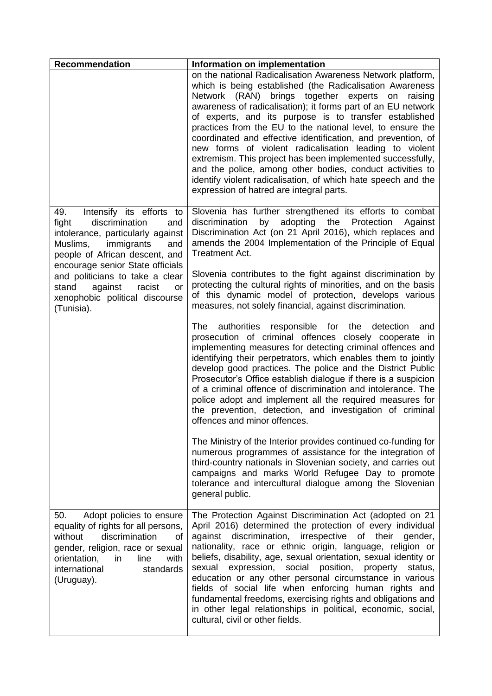| <b>Recommendation</b>                                                                                                                                                                                                                                                                                                                | Information on implementation                                                                                                                                                                                                                                                                                                                                                                                                                                                                                                                                                                                                                                                                                                        |
|--------------------------------------------------------------------------------------------------------------------------------------------------------------------------------------------------------------------------------------------------------------------------------------------------------------------------------------|--------------------------------------------------------------------------------------------------------------------------------------------------------------------------------------------------------------------------------------------------------------------------------------------------------------------------------------------------------------------------------------------------------------------------------------------------------------------------------------------------------------------------------------------------------------------------------------------------------------------------------------------------------------------------------------------------------------------------------------|
|                                                                                                                                                                                                                                                                                                                                      | on the national Radicalisation Awareness Network platform,<br>which is being established (the Radicalisation Awareness<br>Network (RAN) brings together experts on raising<br>awareness of radicalisation); it forms part of an EU network<br>of experts, and its purpose is to transfer established<br>practices from the EU to the national level, to ensure the<br>coordinated and effective identification, and prevention, of<br>new forms of violent radicalisation leading to violent<br>extremism. This project has been implemented successfully,<br>and the police, among other bodies, conduct activities to<br>identify violent radicalisation, of which hate speech and the<br>expression of hatred are integral parts. |
| 49.<br>Intensify its efforts to<br>fight<br>discrimination<br>and<br>intolerance, particularly against<br>Muslims,<br>immigrants<br>and<br>people of African descent, and<br>encourage senior State officials<br>and politicians to take a clear<br>against<br>racist<br>stand<br>or<br>xenophobic political discourse<br>(Tunisia). | Slovenia has further strengthened its efforts to combat<br>by adopting the Protection<br>discrimination<br>Against<br>Discrimination Act (on 21 April 2016), which replaces and<br>amends the 2004 Implementation of the Principle of Equal<br><b>Treatment Act.</b>                                                                                                                                                                                                                                                                                                                                                                                                                                                                 |
|                                                                                                                                                                                                                                                                                                                                      | Slovenia contributes to the fight against discrimination by<br>protecting the cultural rights of minorities, and on the basis<br>of this dynamic model of protection, develops various<br>measures, not solely financial, against discrimination.                                                                                                                                                                                                                                                                                                                                                                                                                                                                                    |
|                                                                                                                                                                                                                                                                                                                                      | authorities<br>responsible for the<br>The<br>detection<br>and<br>prosecution of criminal offences closely cooperate in<br>implementing measures for detecting criminal offences and<br>identifying their perpetrators, which enables them to jointly<br>develop good practices. The police and the District Public<br>Prosecutor's Office establish dialogue if there is a suspicion<br>of a criminal offence of discrimination and intolerance. The<br>police adopt and implement all the required measures for<br>the prevention, detection, and investigation of criminal<br>offences and minor offences.                                                                                                                         |
|                                                                                                                                                                                                                                                                                                                                      | The Ministry of the Interior provides continued co-funding for<br>numerous programmes of assistance for the integration of<br>third-country nationals in Slovenian society, and carries out<br>campaigns and marks World Refugee Day to promote<br>tolerance and intercultural dialogue among the Slovenian<br>general public.                                                                                                                                                                                                                                                                                                                                                                                                       |
| Adopt policies to ensure<br>50.<br>equality of rights for all persons,<br>discrimination<br>without<br>0f<br>gender, religion, race or sexual<br>orientation,<br>line<br>with<br>in<br>international<br>standards<br>(Uruguay).                                                                                                      | The Protection Against Discrimination Act (adopted on 21<br>April 2016) determined the protection of every individual<br>against discrimination,<br>irrespective of their<br>gender,<br>nationality, race or ethnic origin, language, religion or<br>beliefs, disability, age, sexual orientation, sexual identity or<br>expression, social position, property<br>status,<br>sexual<br>education or any other personal circumstance in various<br>fields of social life when enforcing human rights and<br>fundamental freedoms, exercising rights and obligations and<br>in other legal relationships in political, economic, social,<br>cultural, civil or other fields.                                                           |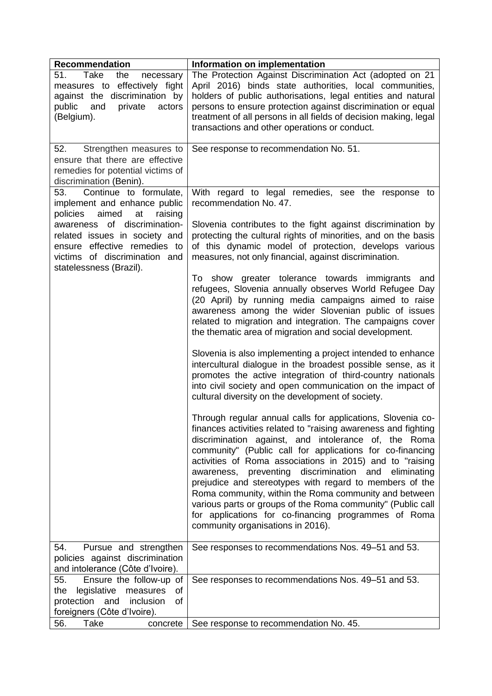| <b>Recommendation</b>                                                                                                                                     | Information on implementation                                                                                                                                                                                                                                                                                                                                                                                                                                                                                                                                                                                                                             |
|-----------------------------------------------------------------------------------------------------------------------------------------------------------|-----------------------------------------------------------------------------------------------------------------------------------------------------------------------------------------------------------------------------------------------------------------------------------------------------------------------------------------------------------------------------------------------------------------------------------------------------------------------------------------------------------------------------------------------------------------------------------------------------------------------------------------------------------|
| Take<br>51.<br>the<br>necessary<br>measures to effectively fight<br>against the discrimination by<br>and<br>public<br>private<br>actors<br>(Belgium).     | The Protection Against Discrimination Act (adopted on 21<br>April 2016) binds state authorities, local communities,<br>holders of public authorisations, legal entities and natural<br>persons to ensure protection against discrimination or equal<br>treatment of all persons in all fields of decision making, legal<br>transactions and other operations or conduct.                                                                                                                                                                                                                                                                                  |
| 52.<br>Strengthen measures to<br>ensure that there are effective<br>remedies for potential victims of<br>discrimination (Benin).                          | See response to recommendation No. 51.                                                                                                                                                                                                                                                                                                                                                                                                                                                                                                                                                                                                                    |
| Continue to formulate,<br>53.<br>implement and enhance public<br>aimed<br>policies<br>at<br>raising                                                       | With regard to legal remedies, see the response to<br>recommendation No. 47.                                                                                                                                                                                                                                                                                                                                                                                                                                                                                                                                                                              |
| awareness of discrimination-<br>related issues in society and<br>ensure effective remedies to<br>victims of discrimination and<br>statelessness (Brazil). | Slovenia contributes to the fight against discrimination by<br>protecting the cultural rights of minorities, and on the basis<br>of this dynamic model of protection, develops various<br>measures, not only financial, against discrimination.                                                                                                                                                                                                                                                                                                                                                                                                           |
|                                                                                                                                                           | To show greater tolerance towards immigrants and<br>refugees, Slovenia annually observes World Refugee Day<br>(20 April) by running media campaigns aimed to raise<br>awareness among the wider Slovenian public of issues<br>related to migration and integration. The campaigns cover<br>the thematic area of migration and social development.                                                                                                                                                                                                                                                                                                         |
|                                                                                                                                                           | Slovenia is also implementing a project intended to enhance<br>intercultural dialogue in the broadest possible sense, as it<br>promotes the active integration of third-country nationals<br>into civil society and open communication on the impact of<br>cultural diversity on the development of society.                                                                                                                                                                                                                                                                                                                                              |
|                                                                                                                                                           | Through regular annual calls for applications, Slovenia co-<br>finances activities related to "raising awareness and fighting<br>discrimination against, and intolerance of, the Roma<br>community" (Public call for applications for co-financing<br>activities of Roma associations in 2015) and to "raising<br>awareness, preventing discrimination and<br>eliminating<br>prejudice and stereotypes with regard to members of the<br>Roma community, within the Roma community and between<br>various parts or groups of the Roma community" (Public call<br>for applications for co-financing programmes of Roma<br>community organisations in 2016). |
| Pursue and strengthen<br>54.<br>policies against discrimination<br>and intolerance (Côte d'Ivoire).                                                       | See responses to recommendations Nos. 49–51 and 53.                                                                                                                                                                                                                                                                                                                                                                                                                                                                                                                                                                                                       |
| 55.<br>Ensure the follow-up of<br>legislative<br>measures<br>of<br>the<br>protection and<br>inclusion<br>of<br>foreigners (Côte d'Ivoire).                | See responses to recommendations Nos. 49-51 and 53.                                                                                                                                                                                                                                                                                                                                                                                                                                                                                                                                                                                                       |
| Take<br>56.<br>concrete                                                                                                                                   | See response to recommendation No. 45.                                                                                                                                                                                                                                                                                                                                                                                                                                                                                                                                                                                                                    |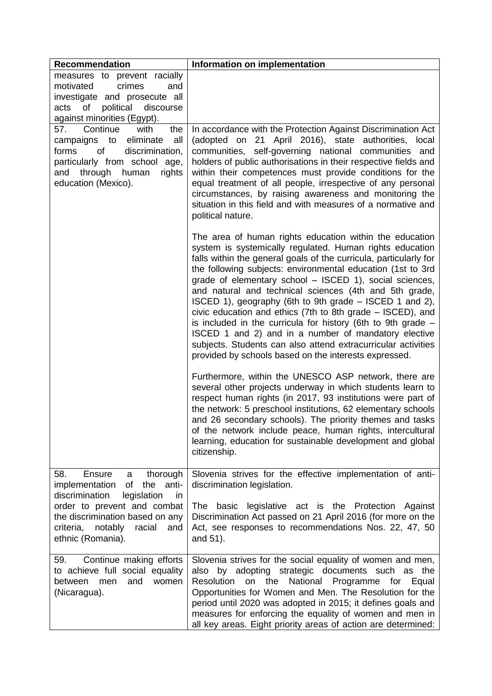| <b>Recommendation</b>                                                                                                                                                                                                                         | Information on implementation                                                                                                                                                                                                                                                                                                                                                                                                                                                                                                                                                                                                                                                                                                                             |
|-----------------------------------------------------------------------------------------------------------------------------------------------------------------------------------------------------------------------------------------------|-----------------------------------------------------------------------------------------------------------------------------------------------------------------------------------------------------------------------------------------------------------------------------------------------------------------------------------------------------------------------------------------------------------------------------------------------------------------------------------------------------------------------------------------------------------------------------------------------------------------------------------------------------------------------------------------------------------------------------------------------------------|
| measures to prevent racially<br>crimes<br>motivated<br>and<br>investigate and prosecute all<br>political<br>of<br>discourse<br>acts<br>against minorities (Egypt).                                                                            |                                                                                                                                                                                                                                                                                                                                                                                                                                                                                                                                                                                                                                                                                                                                                           |
| Continue<br>the<br>57.<br>with<br>campaigns to eliminate<br>all<br>of<br>forms<br>discrimination,<br>particularly from school age,<br>through human<br>rights<br>and<br>education (Mexico).                                                   | In accordance with the Protection Against Discrimination Act<br>(adopted on 21 April 2016), state authorities, local<br>communities, self-governing national communities and<br>holders of public authorisations in their respective fields and<br>within their competences must provide conditions for the<br>equal treatment of all people, irrespective of any personal<br>circumstances, by raising awareness and monitoring the<br>situation in this field and with measures of a normative and<br>political nature.                                                                                                                                                                                                                                 |
|                                                                                                                                                                                                                                               | The area of human rights education within the education<br>system is systemically regulated. Human rights education<br>falls within the general goals of the curricula, particularly for<br>the following subjects: environmental education (1st to 3rd<br>grade of elementary school - ISCED 1), social sciences,<br>and natural and technical sciences (4th and 5th grade,<br>ISCED 1), geography (6th to 9th grade – ISCED 1 and 2),<br>civic education and ethics (7th to 8th grade - ISCED), and<br>is included in the curricula for history (6th to 9th grade $-$<br>ISCED 1 and 2) and in a number of mandatory elective<br>subjects. Students can also attend extracurricular activities<br>provided by schools based on the interests expressed. |
|                                                                                                                                                                                                                                               | Furthermore, within the UNESCO ASP network, there are<br>several other projects underway in which students learn to<br>respect human rights (in 2017, 93 institutions were part of<br>the network: 5 preschool institutions, 62 elementary schools<br>and 26 secondary schools). The priority themes and tasks<br>of the network include peace, human rights, intercultural<br>learning, education for sustainable development and global<br>citizenship.                                                                                                                                                                                                                                                                                                 |
| 58.<br>Ensure<br>thorough<br>a<br>anti-<br>implementation<br>of<br>the<br>discrimination<br>legislation<br>in<br>order to prevent and combat<br>the discrimination based on any<br>criteria,<br>racial<br>notably<br>and<br>ethnic (Romania). | Slovenia strives for the effective implementation of anti-<br>discrimination legislation.<br>basic<br>legislative act is the Protection<br>Against<br>The<br>Discrimination Act passed on 21 April 2016 (for more on the<br>Act, see responses to recommendations Nos. 22, 47, 50<br>and 51).                                                                                                                                                                                                                                                                                                                                                                                                                                                             |
| Continue making efforts<br>59.<br>to achieve full social equality<br>and<br>women<br>between<br>men<br>(Nicaragua).                                                                                                                           | Slovenia strives for the social equality of women and men,<br>by adopting strategic documents such as the<br>also<br><b>Resolution</b><br>the<br>National Programme for<br>on<br>Equal<br>Opportunities for Women and Men. The Resolution for the<br>period until 2020 was adopted in 2015; it defines goals and<br>measures for enforcing the equality of women and men in<br>all key areas. Eight priority areas of action are determined:                                                                                                                                                                                                                                                                                                              |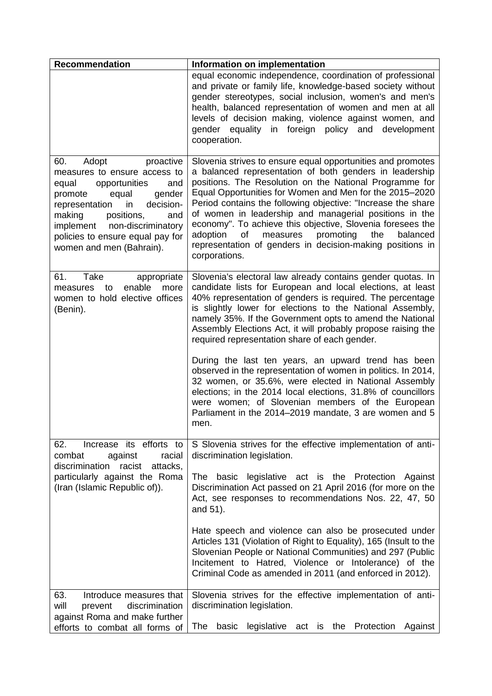| <b>Recommendation</b>                                                                                                                                                                                                                                                                           | Information on implementation                                                                                                                                                                                                                                                                                                                                                                                                                                                                                                                                                                                                                                                                                                                                                                           |
|-------------------------------------------------------------------------------------------------------------------------------------------------------------------------------------------------------------------------------------------------------------------------------------------------|---------------------------------------------------------------------------------------------------------------------------------------------------------------------------------------------------------------------------------------------------------------------------------------------------------------------------------------------------------------------------------------------------------------------------------------------------------------------------------------------------------------------------------------------------------------------------------------------------------------------------------------------------------------------------------------------------------------------------------------------------------------------------------------------------------|
|                                                                                                                                                                                                                                                                                                 | equal economic independence, coordination of professional<br>and private or family life, knowledge-based society without<br>gender stereotypes, social inclusion, women's and men's<br>health, balanced representation of women and men at all<br>levels of decision making, violence against women, and<br>foreign policy and<br>gender equality<br>in<br>development<br>cooperation.                                                                                                                                                                                                                                                                                                                                                                                                                  |
| 60.<br>Adopt<br>proactive<br>measures to ensure access to<br>equal<br>opportunities<br>and<br>gender<br>promote<br>equal<br>decision-<br>representation<br>in<br>positions,<br>making<br>and<br>implement<br>non-discriminatory<br>policies to ensure equal pay for<br>women and men (Bahrain). | Slovenia strives to ensure equal opportunities and promotes<br>a balanced representation of both genders in leadership<br>positions. The Resolution on the National Programme for<br>Equal Opportunities for Women and Men for the 2015-2020<br>Period contains the following objective: "Increase the share<br>of women in leadership and managerial positions in the<br>economy". To achieve this objective, Slovenia foresees the<br>promoting<br>adoption<br>of<br>measures<br>the<br>balanced<br>representation of genders in decision-making positions in<br>corporations.                                                                                                                                                                                                                        |
| 61.<br>Take<br>appropriate<br>enable<br>to<br>more<br>measures<br>women to hold elective offices<br>(Benin).                                                                                                                                                                                    | Slovenia's electoral law already contains gender quotas. In<br>candidate lists for European and local elections, at least<br>40% representation of genders is required. The percentage<br>is slightly lower for elections to the National Assembly,<br>namely 35%. If the Government opts to amend the National<br>Assembly Elections Act, it will probably propose raising the<br>required representation share of each gender.<br>During the last ten years, an upward trend has been<br>observed in the representation of women in politics. In 2014,<br>32 women, or 35.6%, were elected in National Assembly<br>elections; in the 2014 local elections, 31.8% of councillors<br>were women; of Slovenian members of the European<br>Parliament in the 2014–2019 mandate, 3 are women and 5<br>men. |
| Increase its efforts to<br>62.<br>combat<br>against<br>racial<br>racist<br>attacks,<br>discrimination<br>particularly against the Roma<br>(Iran (Islamic Republic of)).                                                                                                                         | S Slovenia strives for the effective implementation of anti-<br>discrimination legislation.<br>The basic legislative act is the Protection Against<br>Discrimination Act passed on 21 April 2016 (for more on the<br>Act, see responses to recommendations Nos. 22, 47, 50<br>and 51).<br>Hate speech and violence can also be prosecuted under<br>Articles 131 (Violation of Right to Equality), 165 (Insult to the<br>Slovenian People or National Communities) and 297 (Public<br>Incitement to Hatred, Violence or Intolerance) of the<br>Criminal Code as amended in 2011 (and enforced in 2012).                                                                                                                                                                                                  |
| 63.<br>Introduce measures that<br>will<br>discrimination<br>prevent<br>against Roma and make further<br>efforts to combat all forms of                                                                                                                                                          | Slovenia strives for the effective implementation of anti-<br>discrimination legislation.<br>The<br>basic<br>legislative act is the Protection<br>Against                                                                                                                                                                                                                                                                                                                                                                                                                                                                                                                                                                                                                                               |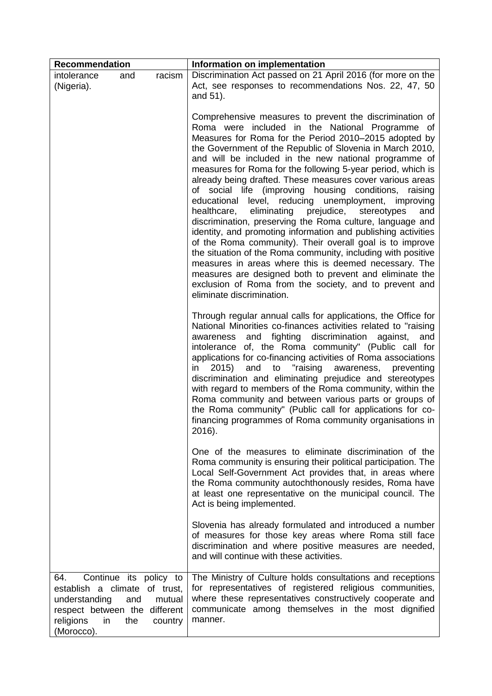| <b>Recommendation</b>                                                                                                   |                                      |                   | Information on implementation                                                                                                                                                                                                                                                                                                                                                                                                                                                                                                                                                                                                                                                                                                                                                                                                                                                                                                                                                                                                                                                   |
|-------------------------------------------------------------------------------------------------------------------------|--------------------------------------|-------------------|---------------------------------------------------------------------------------------------------------------------------------------------------------------------------------------------------------------------------------------------------------------------------------------------------------------------------------------------------------------------------------------------------------------------------------------------------------------------------------------------------------------------------------------------------------------------------------------------------------------------------------------------------------------------------------------------------------------------------------------------------------------------------------------------------------------------------------------------------------------------------------------------------------------------------------------------------------------------------------------------------------------------------------------------------------------------------------|
| intolerance<br>(Nigeria).                                                                                               | and                                  | racism            | Discrimination Act passed on 21 April 2016 (for more on the<br>Act, see responses to recommendations Nos. 22, 47, 50<br>and 51).                                                                                                                                                                                                                                                                                                                                                                                                                                                                                                                                                                                                                                                                                                                                                                                                                                                                                                                                                |
|                                                                                                                         |                                      |                   | Comprehensive measures to prevent the discrimination of<br>Roma were included in the National Programme of<br>Measures for Roma for the Period 2010-2015 adopted by<br>the Government of the Republic of Slovenia in March 2010,<br>and will be included in the new national programme of<br>measures for Roma for the following 5-year period, which is<br>already being drafted. These measures cover various areas<br>of social life (improving housing conditions,<br>raising<br>educational level, reducing unemployment, improving<br>eliminating<br>prejudice,<br>healthcare,<br>stereotypes<br>and<br>discrimination, preserving the Roma culture, language and<br>identity, and promoting information and publishing activities<br>of the Roma community). Their overall goal is to improve<br>the situation of the Roma community, including with positive<br>measures in areas where this is deemed necessary. The<br>measures are designed both to prevent and eliminate the<br>exclusion of Roma from the society, and to prevent and<br>eliminate discrimination. |
|                                                                                                                         |                                      |                   | Through regular annual calls for applications, the Office for<br>National Minorities co-finances activities related to "raising<br>fighting<br>discrimination<br>and<br>against,<br>awareness<br>and<br>intolerance of, the Roma community" (Public call for<br>applications for co-financing activities of Roma associations<br>"raising<br>in<br>2015)<br>and<br>awareness,<br>preventing<br>to<br>discrimination and eliminating prejudice and stereotypes<br>with regard to members of the Roma community, within the<br>Roma community and between various parts or groups of<br>the Roma community" (Public call for applications for co-<br>financing programmes of Roma community organisations in<br>2016).                                                                                                                                                                                                                                                                                                                                                            |
|                                                                                                                         |                                      |                   | One of the measures to eliminate discrimination of the<br>Roma community is ensuring their political participation. The<br>Local Self-Government Act provides that, in areas where<br>the Roma community autochthonously resides, Roma have<br>at least one representative on the municipal council. The<br>Act is being implemented.                                                                                                                                                                                                                                                                                                                                                                                                                                                                                                                                                                                                                                                                                                                                           |
|                                                                                                                         |                                      |                   | Slovenia has already formulated and introduced a number<br>of measures for those key areas where Roma still face<br>discrimination and where positive measures are needed,<br>and will continue with these activities.                                                                                                                                                                                                                                                                                                                                                                                                                                                                                                                                                                                                                                                                                                                                                                                                                                                          |
| 64.<br>establish a climate of trust,<br>understanding<br>respect between the different<br>religions<br>in<br>(Morocco). | Continue its policy to<br>and<br>the | mutual<br>country | The Ministry of Culture holds consultations and receptions<br>for representatives of registered religious communities,<br>where these representatives constructively cooperate and<br>communicate among themselves in the most dignified<br>manner.                                                                                                                                                                                                                                                                                                                                                                                                                                                                                                                                                                                                                                                                                                                                                                                                                             |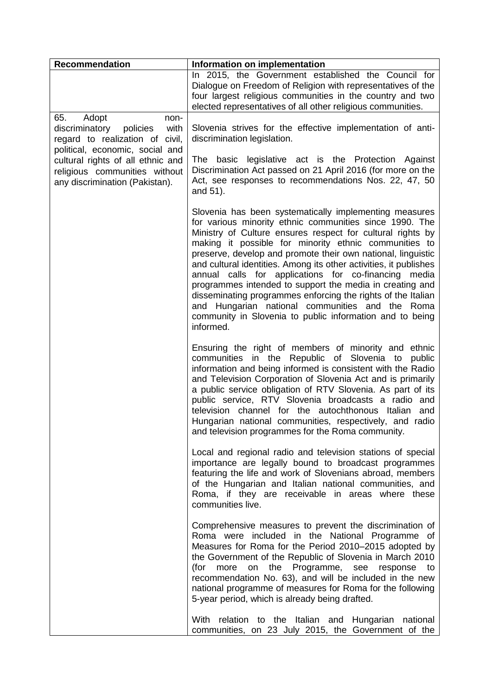| <b>Recommendation</b>                                                                                                            | Information on implementation                                                                                                                                                                                                                                                                                                                                                                                                                                                                                                                                                                                                                                                                 |
|----------------------------------------------------------------------------------------------------------------------------------|-----------------------------------------------------------------------------------------------------------------------------------------------------------------------------------------------------------------------------------------------------------------------------------------------------------------------------------------------------------------------------------------------------------------------------------------------------------------------------------------------------------------------------------------------------------------------------------------------------------------------------------------------------------------------------------------------|
|                                                                                                                                  | In 2015, the Government established the Council for<br>Dialogue on Freedom of Religion with representatives of the<br>four largest religious communities in the country and two<br>elected representatives of all other religious communities.                                                                                                                                                                                                                                                                                                                                                                                                                                                |
| Adopt<br>65.<br>non-<br>policies<br>with<br>discriminatory<br>regard to realization of civil,<br>political, economic, social and | Slovenia strives for the effective implementation of anti-<br>discrimination legislation.                                                                                                                                                                                                                                                                                                                                                                                                                                                                                                                                                                                                     |
| cultural rights of all ethnic and<br>religious communities without<br>any discrimination (Pakistan).                             | The basic legislative act is the Protection Against<br>Discrimination Act passed on 21 April 2016 (for more on the<br>Act, see responses to recommendations Nos. 22, 47, 50<br>and 51).                                                                                                                                                                                                                                                                                                                                                                                                                                                                                                       |
|                                                                                                                                  | Slovenia has been systematically implementing measures<br>for various minority ethnic communities since 1990. The<br>Ministry of Culture ensures respect for cultural rights by<br>making it possible for minority ethnic communities to<br>preserve, develop and promote their own national, linguistic<br>and cultural identities. Among its other activities, it publishes<br>annual calls for applications for co-financing media<br>programmes intended to support the media in creating and<br>disseminating programmes enforcing the rights of the Italian<br>and Hungarian national communities and the Roma<br>community in Slovenia to public information and to being<br>informed. |
|                                                                                                                                  | Ensuring the right of members of minority and ethnic<br>communities in the Republic of Slovenia to<br>public<br>information and being informed is consistent with the Radio<br>and Television Corporation of Slovenia Act and is primarily<br>a public service obligation of RTV Slovenia. As part of its<br>public service, RTV Slovenia broadcasts a radio and<br>television channel for the autochthonous Italian and<br>Hungarian national communities, respectively, and radio<br>and television programmes for the Roma community.                                                                                                                                                      |
|                                                                                                                                  | Local and regional radio and television stations of special<br>importance are legally bound to broadcast programmes<br>featuring the life and work of Slovenians abroad, members<br>of the Hungarian and Italian national communities, and<br>Roma, if they are receivable in areas where these<br>communities live.                                                                                                                                                                                                                                                                                                                                                                          |
|                                                                                                                                  | Comprehensive measures to prevent the discrimination of<br>Roma were included in the National Programme of<br>Measures for Roma for the Period 2010-2015 adopted by<br>the Government of the Republic of Slovenia in March 2010<br>more on the Programme, see response to<br>(for<br>recommendation No. 63), and will be included in the new<br>national programme of measures for Roma for the following<br>5-year period, which is already being drafted.                                                                                                                                                                                                                                   |
|                                                                                                                                  | With relation to the Italian and<br>Hungarian<br>national<br>communities, on 23 July 2015, the Government of the                                                                                                                                                                                                                                                                                                                                                                                                                                                                                                                                                                              |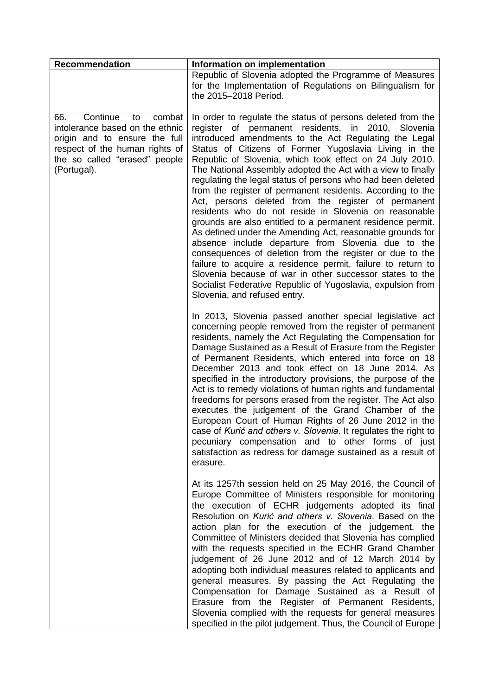| <b>Recommendation</b>                                                                                                                                                                 | Information on implementation                                                                                                                                                                                                                                                                                                                                                                                                                                                                                                                                                                                                                                                                                                                                                                                                                                                                                                                                                                                                                                                             |
|---------------------------------------------------------------------------------------------------------------------------------------------------------------------------------------|-------------------------------------------------------------------------------------------------------------------------------------------------------------------------------------------------------------------------------------------------------------------------------------------------------------------------------------------------------------------------------------------------------------------------------------------------------------------------------------------------------------------------------------------------------------------------------------------------------------------------------------------------------------------------------------------------------------------------------------------------------------------------------------------------------------------------------------------------------------------------------------------------------------------------------------------------------------------------------------------------------------------------------------------------------------------------------------------|
|                                                                                                                                                                                       | Republic of Slovenia adopted the Programme of Measures<br>for the Implementation of Regulations on Bilingualism for<br>the 2015-2018 Period.                                                                                                                                                                                                                                                                                                                                                                                                                                                                                                                                                                                                                                                                                                                                                                                                                                                                                                                                              |
| Continue<br>66.<br>combat<br>to<br>intolerance based on the ethnic<br>origin and to ensure the full<br>respect of the human rights of<br>the so called "erased" people<br>(Portugal). | In order to regulate the status of persons deleted from the<br>register of permanent residents,<br>in<br>2010, Slovenia<br>introduced amendments to the Act Regulating the Legal<br>Status of Citizens of Former Yugoslavia Living in the<br>Republic of Slovenia, which took effect on 24 July 2010.<br>The National Assembly adopted the Act with a view to finally<br>regulating the legal status of persons who had been deleted<br>from the register of permanent residents. According to the<br>Act, persons deleted from the register of permanent<br>residents who do not reside in Slovenia on reasonable<br>grounds are also entitled to a permanent residence permit.<br>As defined under the Amending Act, reasonable grounds for<br>absence include departure from Slovenia due to the<br>consequences of deletion from the register or due to the<br>failure to acquire a residence permit, failure to return to<br>Slovenia because of war in other successor states to the<br>Socialist Federative Republic of Yugoslavia, expulsion from<br>Slovenia, and refused entry. |
|                                                                                                                                                                                       | In 2013, Slovenia passed another special legislative act<br>concerning people removed from the register of permanent<br>residents, namely the Act Regulating the Compensation for<br>Damage Sustained as a Result of Erasure from the Register<br>of Permanent Residents, which entered into force on 18<br>December 2013 and took effect on 18 June 2014. As<br>specified in the introductory provisions, the purpose of the<br>Act is to remedy violations of human rights and fundamental<br>freedoms for persons erased from the register. The Act also<br>executes the judgement of the Grand Chamber of the<br>European Court of Human Rights of 26 June 2012 in the<br>case of Kurić and others v. Slovenia. It regulates the right to<br>pecuniary compensation and to other forms of just<br>satisfaction as redress for damage sustained as a result of<br>erasure.                                                                                                                                                                                                             |
|                                                                                                                                                                                       | At its 1257th session held on 25 May 2016, the Council of<br>Europe Committee of Ministers responsible for monitoring<br>the execution of ECHR judgements adopted its final<br>Resolution on Kurić and others v. Slovenia. Based on the<br>action plan for the execution of the judgement, the<br>Committee of Ministers decided that Slovenia has complied<br>with the requests specified in the ECHR Grand Chamber<br>judgement of 26 June 2012 and of 12 March 2014 by<br>adopting both individual measures related to applicants and<br>general measures. By passing the Act Regulating the<br>Compensation for Damage Sustained as a Result of<br>Erasure from the Register of Permanent Residents,<br>Slovenia complied with the requests for general measures<br>specified in the pilot judgement. Thus, the Council of Europe                                                                                                                                                                                                                                                     |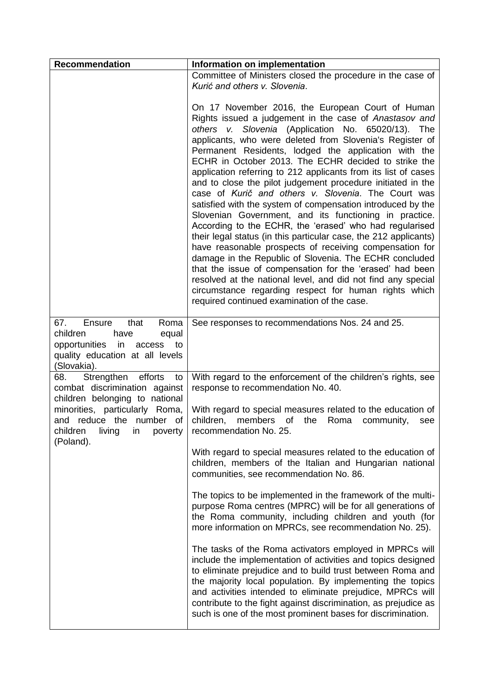| <b>Recommendation</b>                                                                                                                                  | Information on implementation                                                                                                                                                                                                                                                                                                                                                                                                                                                                                                                                                                                                                                                                                                                                                                                                                                                                                                                                                                                                                                                                                                                            |
|--------------------------------------------------------------------------------------------------------------------------------------------------------|----------------------------------------------------------------------------------------------------------------------------------------------------------------------------------------------------------------------------------------------------------------------------------------------------------------------------------------------------------------------------------------------------------------------------------------------------------------------------------------------------------------------------------------------------------------------------------------------------------------------------------------------------------------------------------------------------------------------------------------------------------------------------------------------------------------------------------------------------------------------------------------------------------------------------------------------------------------------------------------------------------------------------------------------------------------------------------------------------------------------------------------------------------|
|                                                                                                                                                        | Committee of Ministers closed the procedure in the case of<br>Kurić and others v. Slovenia.                                                                                                                                                                                                                                                                                                                                                                                                                                                                                                                                                                                                                                                                                                                                                                                                                                                                                                                                                                                                                                                              |
|                                                                                                                                                        | On 17 November 2016, the European Court of Human<br>Rights issued a judgement in the case of Anastasov and<br>others v. Slovenia (Application No. 65020/13).<br>The<br>applicants, who were deleted from Slovenia's Register of<br>Permanent Residents, lodged the application with the<br>ECHR in October 2013. The ECHR decided to strike the<br>application referring to 212 applicants from its list of cases<br>and to close the pilot judgement procedure initiated in the<br>case of Kurič and others v. Slovenia. The Court was<br>satisfied with the system of compensation introduced by the<br>Slovenian Government, and its functioning in practice.<br>According to the ECHR, the 'erased' who had regularised<br>their legal status (in this particular case, the 212 applicants)<br>have reasonable prospects of receiving compensation for<br>damage in the Republic of Slovenia. The ECHR concluded<br>that the issue of compensation for the 'erased' had been<br>resolved at the national level, and did not find any special<br>circumstance regarding respect for human rights which<br>required continued examination of the case. |
| that<br>Roma<br>67.<br>Ensure<br>children<br>have<br>equal<br>opportunities<br>in<br>access<br>to to<br>quality education at all levels<br>(Slovakia). | See responses to recommendations Nos. 24 and 25.                                                                                                                                                                                                                                                                                                                                                                                                                                                                                                                                                                                                                                                                                                                                                                                                                                                                                                                                                                                                                                                                                                         |
| efforts<br>68.<br>Strengthen<br>to<br>combat discrimination against<br>children belonging to national                                                  | With regard to the enforcement of the children's rights, see<br>response to recommendation No. 40.                                                                                                                                                                                                                                                                                                                                                                                                                                                                                                                                                                                                                                                                                                                                                                                                                                                                                                                                                                                                                                                       |
| minorities, particularly Roma,<br>and reduce the number of<br>children<br>living<br>in<br>poverty<br>(Poland).                                         | With regard to special measures related to the education of<br>children,<br>members<br>of<br>the<br>Roma<br>community,<br>see<br>recommendation No. 25.                                                                                                                                                                                                                                                                                                                                                                                                                                                                                                                                                                                                                                                                                                                                                                                                                                                                                                                                                                                                  |
|                                                                                                                                                        | With regard to special measures related to the education of<br>children, members of the Italian and Hungarian national<br>communities, see recommendation No. 86.                                                                                                                                                                                                                                                                                                                                                                                                                                                                                                                                                                                                                                                                                                                                                                                                                                                                                                                                                                                        |
|                                                                                                                                                        | The topics to be implemented in the framework of the multi-<br>purpose Roma centres (MPRC) will be for all generations of<br>the Roma community, including children and youth (for<br>more information on MPRCs, see recommendation No. 25).                                                                                                                                                                                                                                                                                                                                                                                                                                                                                                                                                                                                                                                                                                                                                                                                                                                                                                             |
|                                                                                                                                                        | The tasks of the Roma activators employed in MPRCs will<br>include the implementation of activities and topics designed<br>to eliminate prejudice and to build trust between Roma and<br>the majority local population. By implementing the topics<br>and activities intended to eliminate prejudice, MPRCs will<br>contribute to the fight against discrimination, as prejudice as<br>such is one of the most prominent bases for discrimination.                                                                                                                                                                                                                                                                                                                                                                                                                                                                                                                                                                                                                                                                                                       |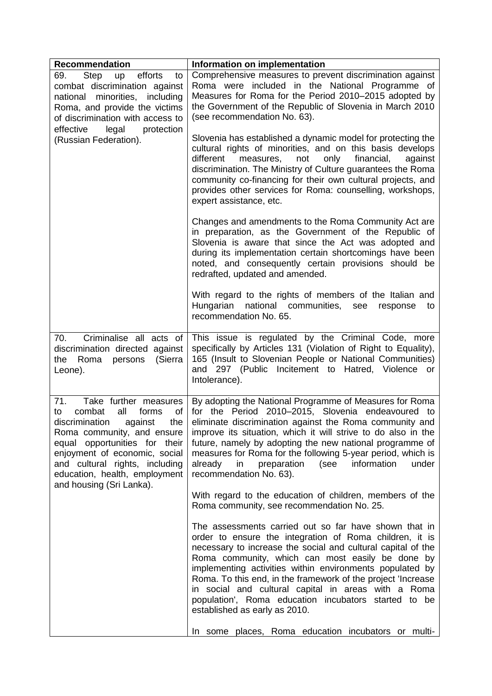| <b>Recommendation</b>                                                                                                                                                                                                                                                                                 | Information on implementation                                                                                                                                                                                                                                                                                                                                                                                                                                                                                    |
|-------------------------------------------------------------------------------------------------------------------------------------------------------------------------------------------------------------------------------------------------------------------------------------------------------|------------------------------------------------------------------------------------------------------------------------------------------------------------------------------------------------------------------------------------------------------------------------------------------------------------------------------------------------------------------------------------------------------------------------------------------------------------------------------------------------------------------|
| Step<br>efforts<br>69.<br>up<br>to<br>combat discrimination against<br>national minorities, including<br>Roma, and provide the victims<br>of discrimination with access to<br>effective<br>protection<br>legal                                                                                        | Comprehensive measures to prevent discrimination against<br>Roma were included in the National Programme of<br>Measures for Roma for the Period 2010-2015 adopted by<br>the Government of the Republic of Slovenia in March 2010<br>(see recommendation No. 63).                                                                                                                                                                                                                                                 |
| (Russian Federation).                                                                                                                                                                                                                                                                                 | Slovenia has established a dynamic model for protecting the<br>cultural rights of minorities, and on this basis develops<br>different<br>only<br>financial,<br>measures,<br>not<br>against<br>discrimination. The Ministry of Culture guarantees the Roma<br>community co-financing for their own cultural projects, and<br>provides other services for Roma: counselling, workshops,<br>expert assistance, etc.                                                                                                 |
|                                                                                                                                                                                                                                                                                                       | Changes and amendments to the Roma Community Act are<br>in preparation, as the Government of the Republic of<br>Slovenia is aware that since the Act was adopted and<br>during its implementation certain shortcomings have been<br>noted, and consequently certain provisions should be<br>redrafted, updated and amended.                                                                                                                                                                                      |
|                                                                                                                                                                                                                                                                                                       | With regard to the rights of members of the Italian and<br>national communities,<br>Hungarian<br>see<br>response<br>to<br>recommendation No. 65.                                                                                                                                                                                                                                                                                                                                                                 |
| Criminalise all acts of<br>70.<br>discrimination directed against<br>(Sierra<br>Roma<br>the<br>persons<br>Leone).                                                                                                                                                                                     | This issue is regulated by the Criminal Code, more<br>specifically by Articles 131 (Violation of Right to Equality),<br>165 (Insult to Slovenian People or National Communities)<br>and 297 (Public Incitement to Hatred, Violence or<br>Intolerance).                                                                                                                                                                                                                                                           |
| 71.<br>Take further measures<br>combat<br>all<br>forms<br>οf<br>to<br>discrimination<br>the<br>against<br>Roma community, and ensure<br>equal opportunities for their<br>enjoyment of economic, social<br>and cultural rights, including<br>education, health, employment<br>and housing (Sri Lanka). | By adopting the National Programme of Measures for Roma<br>for the Period 2010-2015, Slovenia endeavoured to<br>eliminate discrimination against the Roma community and<br>improve its situation, which it will strive to do also in the<br>future, namely by adopting the new national programme of<br>measures for Roma for the following 5-year period, which is<br>already<br>preparation<br>(see<br>information<br>in<br>under<br>recommendation No. 63).                                                   |
|                                                                                                                                                                                                                                                                                                       | With regard to the education of children, members of the<br>Roma community, see recommendation No. 25.                                                                                                                                                                                                                                                                                                                                                                                                           |
|                                                                                                                                                                                                                                                                                                       | The assessments carried out so far have shown that in<br>order to ensure the integration of Roma children, it is<br>necessary to increase the social and cultural capital of the<br>Roma community, which can most easily be done by<br>implementing activities within environments populated by<br>Roma. To this end, in the framework of the project 'Increase<br>in social and cultural capital in areas with a Roma<br>population', Roma education incubators started to be<br>established as early as 2010. |
|                                                                                                                                                                                                                                                                                                       | In some places, Roma education incubators or multi-                                                                                                                                                                                                                                                                                                                                                                                                                                                              |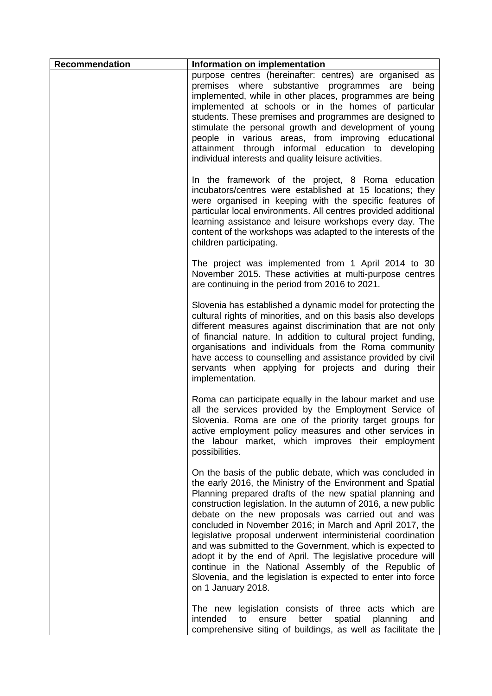| <b>Recommendation</b> | Information on implementation                                                                                                                                                                                                                                                                                                                                                                                                                                                                                                                                                                                                                                                                                        |
|-----------------------|----------------------------------------------------------------------------------------------------------------------------------------------------------------------------------------------------------------------------------------------------------------------------------------------------------------------------------------------------------------------------------------------------------------------------------------------------------------------------------------------------------------------------------------------------------------------------------------------------------------------------------------------------------------------------------------------------------------------|
|                       | purpose centres (hereinafter: centres) are organised as<br>premises where substantive programmes are being<br>implemented, while in other places, programmes are being<br>implemented at schools or in the homes of particular<br>students. These premises and programmes are designed to<br>stimulate the personal growth and development of young<br>people in various areas, from improving educational<br>attainment through informal education to developing<br>individual interests and quality leisure activities.                                                                                                                                                                                            |
|                       | In the framework of the project, 8 Roma education<br>incubators/centres were established at 15 locations; they<br>were organised in keeping with the specific features of<br>particular local environments. All centres provided additional<br>learning assistance and leisure workshops every day. The<br>content of the workshops was adapted to the interests of the<br>children participating.                                                                                                                                                                                                                                                                                                                   |
|                       | The project was implemented from 1 April 2014 to 30<br>November 2015. These activities at multi-purpose centres<br>are continuing in the period from 2016 to 2021.                                                                                                                                                                                                                                                                                                                                                                                                                                                                                                                                                   |
|                       | Slovenia has established a dynamic model for protecting the<br>cultural rights of minorities, and on this basis also develops<br>different measures against discrimination that are not only<br>of financial nature. In addition to cultural project funding,<br>organisations and individuals from the Roma community<br>have access to counselling and assistance provided by civil<br>servants when applying for projects and during their<br>implementation.                                                                                                                                                                                                                                                     |
|                       | Roma can participate equally in the labour market and use<br>all the services provided by the Employment Service of<br>Slovenia. Roma are one of the priority target groups for<br>active employment policy measures and other services in<br>the labour market, which improves their employment<br>possibilities.                                                                                                                                                                                                                                                                                                                                                                                                   |
|                       | On the basis of the public debate, which was concluded in<br>the early 2016, the Ministry of the Environment and Spatial<br>Planning prepared drafts of the new spatial planning and<br>construction legislation. In the autumn of 2016, a new public<br>debate on the new proposals was carried out and was<br>concluded in November 2016; in March and April 2017, the<br>legislative proposal underwent interministerial coordination<br>and was submitted to the Government, which is expected to<br>adopt it by the end of April. The legislative procedure will<br>continue in the National Assembly of the Republic of<br>Slovenia, and the legislation is expected to enter into force<br>on 1 January 2018. |
|                       | The new legislation consists of three acts which are<br>intended<br>better<br>spatial<br>planning<br>to<br>ensure<br>and<br>comprehensive siting of buildings, as well as facilitate the                                                                                                                                                                                                                                                                                                                                                                                                                                                                                                                             |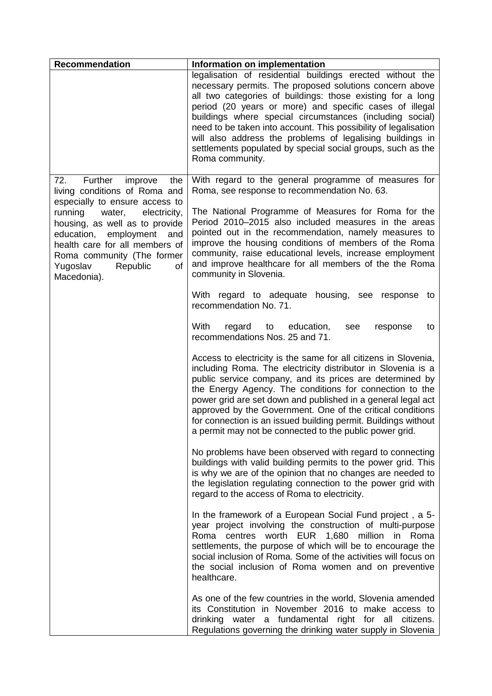| <b>Recommendation</b>                                                                                                                                                                                                                              | Information on implementation                                                                                                                                                                                                                                                                                                                                                                                                                                                                                               |
|----------------------------------------------------------------------------------------------------------------------------------------------------------------------------------------------------------------------------------------------------|-----------------------------------------------------------------------------------------------------------------------------------------------------------------------------------------------------------------------------------------------------------------------------------------------------------------------------------------------------------------------------------------------------------------------------------------------------------------------------------------------------------------------------|
|                                                                                                                                                                                                                                                    | legalisation of residential buildings erected without the<br>necessary permits. The proposed solutions concern above<br>all two categories of buildings: those existing for a long<br>period (20 years or more) and specific cases of illegal<br>buildings where special circumstances (including social)<br>need to be taken into account. This possibility of legalisation<br>will also address the problems of legalising buildings in<br>settlements populated by special social groups, such as the<br>Roma community. |
| Further<br>72.<br>improve<br>the<br>living conditions of Roma and                                                                                                                                                                                  | With regard to the general programme of measures for<br>Roma, see response to recommendation No. 63.                                                                                                                                                                                                                                                                                                                                                                                                                        |
| especially to ensure access to<br>running<br>water,<br>electricity,<br>housing, as well as to provide<br>education, employment<br>and<br>health care for all members of<br>Roma community (The former<br>Republic<br>Yugoslav<br>of<br>Macedonia). | The National Programme of Measures for Roma for the<br>Period 2010–2015 also included measures in the areas<br>pointed out in the recommendation, namely measures to<br>improve the housing conditions of members of the Roma<br>community, raise educational levels, increase employment<br>and improve healthcare for all members of the the Roma<br>community in Slovenia.                                                                                                                                               |
|                                                                                                                                                                                                                                                    | With regard to adequate housing, see response<br>to<br>recommendation No. 71.                                                                                                                                                                                                                                                                                                                                                                                                                                               |
|                                                                                                                                                                                                                                                    | With<br>regard<br>education,<br>to<br>see<br>response<br>to<br>recommendations Nos. 25 and 71.                                                                                                                                                                                                                                                                                                                                                                                                                              |
|                                                                                                                                                                                                                                                    | Access to electricity is the same for all citizens in Slovenia,<br>including Roma. The electricity distributor in Slovenia is a<br>public service company, and its prices are determined by<br>the Energy Agency. The conditions for connection to the<br>power grid are set down and published in a general legal act<br>approved by the Government. One of the critical conditions<br>for connection is an issued building permit. Buildings without<br>a permit may not be connected to the public power grid.           |
|                                                                                                                                                                                                                                                    | No problems have been observed with regard to connecting<br>buildings with valid building permits to the power grid. This<br>is why we are of the opinion that no changes are needed to<br>the legislation regulating connection to the power grid with<br>regard to the access of Roma to electricity.                                                                                                                                                                                                                     |
|                                                                                                                                                                                                                                                    | In the framework of a European Social Fund project, a 5-<br>year project involving the construction of multi-purpose<br>Roma centres worth EUR 1,680 million in Roma<br>settlements, the purpose of which will be to encourage the<br>social inclusion of Roma. Some of the activities will focus on<br>the social inclusion of Roma women and on preventive<br>healthcare.                                                                                                                                                 |
|                                                                                                                                                                                                                                                    | As one of the few countries in the world, Slovenia amended<br>its Constitution in November 2016 to make access to<br>drinking water a fundamental right for all citizens.<br>Regulations governing the drinking water supply in Slovenia                                                                                                                                                                                                                                                                                    |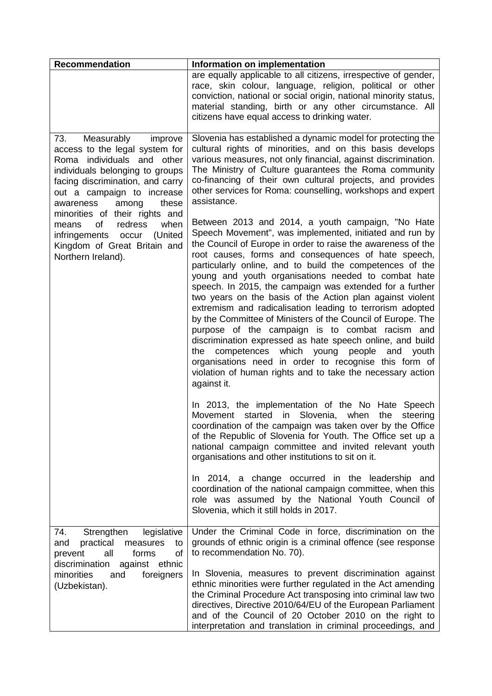| <b>Recommendation</b>                                                                                                                                                                                                            | Information on implementation                                                                                                                                                                                                                                                                                                                                                                                                                                                                                                                                                                                                                                                                                                                                                                                                                                                                                              |
|----------------------------------------------------------------------------------------------------------------------------------------------------------------------------------------------------------------------------------|----------------------------------------------------------------------------------------------------------------------------------------------------------------------------------------------------------------------------------------------------------------------------------------------------------------------------------------------------------------------------------------------------------------------------------------------------------------------------------------------------------------------------------------------------------------------------------------------------------------------------------------------------------------------------------------------------------------------------------------------------------------------------------------------------------------------------------------------------------------------------------------------------------------------------|
|                                                                                                                                                                                                                                  | are equally applicable to all citizens, irrespective of gender,<br>race, skin colour, language, religion, political or other<br>conviction, national or social origin, national minority status,<br>material standing, birth or any other circumstance. All<br>citizens have equal access to drinking water.                                                                                                                                                                                                                                                                                                                                                                                                                                                                                                                                                                                                               |
| 73.<br>Measurably<br>improve<br>access to the legal system for<br>Roma individuals and other<br>individuals belonging to groups<br>facing discrimination, and carry<br>out a campaign to increase<br>among<br>these<br>awareness | Slovenia has established a dynamic model for protecting the<br>cultural rights of minorities, and on this basis develops<br>various measures, not only financial, against discrimination.<br>The Ministry of Culture guarantees the Roma community<br>co-financing of their own cultural projects, and provides<br>other services for Roma: counselling, workshops and expert<br>assistance.                                                                                                                                                                                                                                                                                                                                                                                                                                                                                                                               |
| minorities of their rights and<br>of<br>redress<br>when<br>means<br>(United<br>infringements occur<br>Kingdom of Great Britain and<br>Northern Ireland).                                                                         | Between 2013 and 2014, a youth campaign, "No Hate<br>Speech Movement", was implemented, initiated and run by<br>the Council of Europe in order to raise the awareness of the<br>root causes, forms and consequences of hate speech,<br>particularly online, and to build the competences of the<br>young and youth organisations needed to combat hate<br>speech. In 2015, the campaign was extended for a further<br>two years on the basis of the Action plan against violent<br>extremism and radicalisation leading to terrorism adopted<br>by the Committee of Ministers of the Council of Europe. The<br>purpose of the campaign is to combat racism and<br>discrimination expressed as hate speech online, and build<br>competences which young<br>people and<br>the<br>youth<br>organisations need in order to recognise this form of<br>violation of human rights and to take the necessary action<br>against it. |
|                                                                                                                                                                                                                                  | In 2013, the implementation of the No Hate Speech<br>started<br>Slovenia,<br>Movement<br>in<br>when<br>the<br>steering<br>coordination of the campaign was taken over by the Office<br>of the Republic of Slovenia for Youth. The Office set up a<br>national campaign committee and invited relevant youth<br>organisations and other institutions to sit on it.                                                                                                                                                                                                                                                                                                                                                                                                                                                                                                                                                          |
|                                                                                                                                                                                                                                  | In 2014, a change occurred in the leadership and<br>coordination of the national campaign committee, when this<br>role was assumed by the National Youth Council of<br>Slovenia, which it still holds in 2017.                                                                                                                                                                                                                                                                                                                                                                                                                                                                                                                                                                                                                                                                                                             |
| 74.<br>Strengthen<br>legislative<br>practical<br>and<br>measures<br>to<br>all<br>prevent<br>forms<br>of                                                                                                                          | Under the Criminal Code in force, discrimination on the<br>grounds of ethnic origin is a criminal offence (see response<br>to recommendation No. 70).                                                                                                                                                                                                                                                                                                                                                                                                                                                                                                                                                                                                                                                                                                                                                                      |
| discrimination<br>against ethnic<br>foreigners<br>minorities<br>and<br>(Uzbekistan).                                                                                                                                             | In Slovenia, measures to prevent discrimination against<br>ethnic minorities were further regulated in the Act amending<br>the Criminal Procedure Act transposing into criminal law two<br>directives, Directive 2010/64/EU of the European Parliament<br>and of the Council of 20 October 2010 on the right to<br>interpretation and translation in criminal proceedings, and                                                                                                                                                                                                                                                                                                                                                                                                                                                                                                                                             |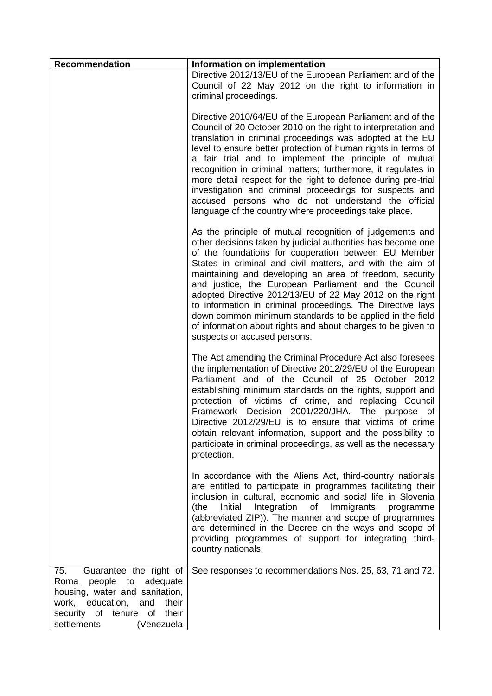| <b>Recommendation</b>                                                                                                                                                                                     | Information on implementation                                                                                                                                                                                                                                                                                                                                                                                                                                                                                                                                                                                                                          |
|-----------------------------------------------------------------------------------------------------------------------------------------------------------------------------------------------------------|--------------------------------------------------------------------------------------------------------------------------------------------------------------------------------------------------------------------------------------------------------------------------------------------------------------------------------------------------------------------------------------------------------------------------------------------------------------------------------------------------------------------------------------------------------------------------------------------------------------------------------------------------------|
|                                                                                                                                                                                                           | Directive 2012/13/EU of the European Parliament and of the<br>Council of 22 May 2012 on the right to information in<br>criminal proceedings.                                                                                                                                                                                                                                                                                                                                                                                                                                                                                                           |
|                                                                                                                                                                                                           | Directive 2010/64/EU of the European Parliament and of the<br>Council of 20 October 2010 on the right to interpretation and<br>translation in criminal proceedings was adopted at the EU<br>level to ensure better protection of human rights in terms of<br>a fair trial and to implement the principle of mutual<br>recognition in criminal matters; furthermore, it regulates in<br>more detail respect for the right to defence during pre-trial<br>investigation and criminal proceedings for suspects and<br>accused persons who do not understand the official<br>language of the country where proceedings take place.                         |
|                                                                                                                                                                                                           | As the principle of mutual recognition of judgements and<br>other decisions taken by judicial authorities has become one<br>of the foundations for cooperation between EU Member<br>States in criminal and civil matters, and with the aim of<br>maintaining and developing an area of freedom, security<br>and justice, the European Parliament and the Council<br>adopted Directive 2012/13/EU of 22 May 2012 on the right<br>to information in criminal proceedings. The Directive lays<br>down common minimum standards to be applied in the field<br>of information about rights and about charges to be given to<br>suspects or accused persons. |
|                                                                                                                                                                                                           | The Act amending the Criminal Procedure Act also foresees<br>the implementation of Directive 2012/29/EU of the European<br>Parliament and of the Council of 25 October 2012<br>establishing minimum standards on the rights, support and<br>protection of victims of crime, and replacing Council<br>Framework Decision 2001/220/JHA.<br>The purpose of<br>Directive 2012/29/EU is to ensure that victims of crime<br>obtain relevant information, support and the possibility to<br>participate in criminal proceedings, as well as the necessary<br>protection.                                                                                      |
|                                                                                                                                                                                                           | In accordance with the Aliens Act, third-country nationals<br>are entitled to participate in programmes facilitating their<br>inclusion in cultural, economic and social life in Slovenia<br>Initial Integration<br>Immigrants<br>of<br>(the<br>programme<br>(abbreviated ZIP)). The manner and scope of programmes<br>are determined in the Decree on the ways and scope of<br>providing programmes of support for integrating third-<br>country nationals.                                                                                                                                                                                           |
| 75.<br>Guarantee the right of<br>people<br>to adequate<br>Roma<br>housing, water and sanitation,<br>and<br>work, education,<br>their<br>of tenure<br>their<br>security<br>of<br>settlements<br>(Venezuela | See responses to recommendations Nos. 25, 63, 71 and 72.                                                                                                                                                                                                                                                                                                                                                                                                                                                                                                                                                                                               |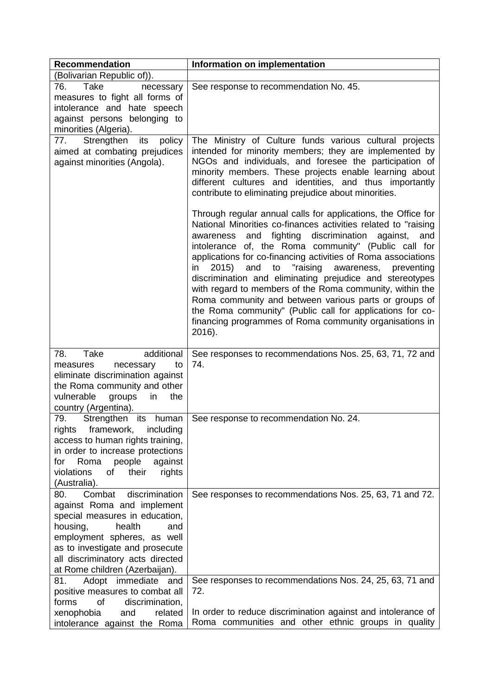| <b>Recommendation</b>                                                                                                                                                                                                                                                | Information on implementation                                                                                                                                                                                                                                                                                                                                                                                                                                                                                                                                                                                                                                                                                                                                                                                                                                                                                                                                                                                                                                            |
|----------------------------------------------------------------------------------------------------------------------------------------------------------------------------------------------------------------------------------------------------------------------|--------------------------------------------------------------------------------------------------------------------------------------------------------------------------------------------------------------------------------------------------------------------------------------------------------------------------------------------------------------------------------------------------------------------------------------------------------------------------------------------------------------------------------------------------------------------------------------------------------------------------------------------------------------------------------------------------------------------------------------------------------------------------------------------------------------------------------------------------------------------------------------------------------------------------------------------------------------------------------------------------------------------------------------------------------------------------|
| (Bolivarian Republic of)).                                                                                                                                                                                                                                           |                                                                                                                                                                                                                                                                                                                                                                                                                                                                                                                                                                                                                                                                                                                                                                                                                                                                                                                                                                                                                                                                          |
| 76.<br>Take<br>necessary<br>measures to fight all forms of<br>intolerance and hate speech<br>against persons belonging to<br>minorities (Algeria).                                                                                                                   | See response to recommendation No. 45.                                                                                                                                                                                                                                                                                                                                                                                                                                                                                                                                                                                                                                                                                                                                                                                                                                                                                                                                                                                                                                   |
| 77.<br>Strengthen<br>its<br>policy<br>aimed at combating prejudices<br>against minorities (Angola).                                                                                                                                                                  | The Ministry of Culture funds various cultural projects<br>intended for minority members; they are implemented by<br>NGOs and individuals, and foresee the participation of<br>minority members. These projects enable learning about<br>different cultures and identities, and thus importantly<br>contribute to eliminating prejudice about minorities.<br>Through regular annual calls for applications, the Office for<br>National Minorities co-finances activities related to "raising<br>awareness and fighting discrimination<br>against,<br>and<br>intolerance of, the Roma community" (Public call for<br>applications for co-financing activities of Roma associations<br>"raising<br>2015<br>and<br>awareness,<br>in.<br>to<br>preventing<br>discrimination and eliminating prejudice and stereotypes<br>with regard to members of the Roma community, within the<br>Roma community and between various parts or groups of<br>the Roma community" (Public call for applications for co-<br>financing programmes of Roma community organisations in<br>2016). |
| Take<br>additional<br>78.<br>to<br>measures<br>necessary<br>eliminate discrimination against<br>the Roma community and other<br>vulnerable<br>groups<br>the<br>in<br>country (Argentina).                                                                            | See responses to recommendations Nos. 25, 63, 71, 72 and<br>74.                                                                                                                                                                                                                                                                                                                                                                                                                                                                                                                                                                                                                                                                                                                                                                                                                                                                                                                                                                                                          |
| Strengthen its<br>human<br>79.<br>rights framework, including<br>access to human rights training,<br>in order to increase protections<br>people<br>Roma<br>against<br>for<br>violations<br>of<br>their<br>rights<br>(Australia).                                     | See response to recommendation No. 24.                                                                                                                                                                                                                                                                                                                                                                                                                                                                                                                                                                                                                                                                                                                                                                                                                                                                                                                                                                                                                                   |
| Combat<br>discrimination<br>80.<br>against Roma and implement<br>special measures in education,<br>housing,<br>health<br>and<br>employment spheres, as well<br>as to investigate and prosecute<br>all discriminatory acts directed<br>at Rome children (Azerbaijan). | See responses to recommendations Nos. 25, 63, 71 and 72.                                                                                                                                                                                                                                                                                                                                                                                                                                                                                                                                                                                                                                                                                                                                                                                                                                                                                                                                                                                                                 |
| Adopt immediate<br>81.<br>and<br>positive measures to combat all<br>of<br>discrimination,<br>forms<br>xenophobia<br>and<br>related<br>intolerance against the Roma                                                                                                   | See responses to recommendations Nos. 24, 25, 63, 71 and<br>72.<br>In order to reduce discrimination against and intolerance of<br>Roma communities and other ethnic groups in quality                                                                                                                                                                                                                                                                                                                                                                                                                                                                                                                                                                                                                                                                                                                                                                                                                                                                                   |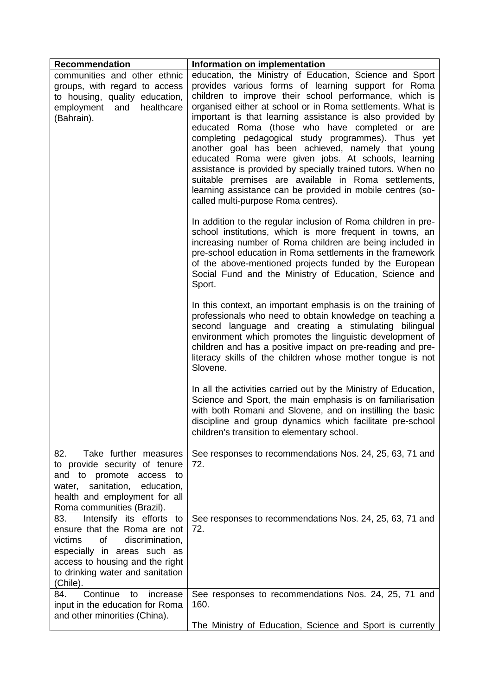| <b>Recommendation</b>                                                                                                                                                                                                 | Information on implementation                                                                                                                                                                                                                                                                                                                                                                                                                                                                                                                                                                                                                                                                                                                       |
|-----------------------------------------------------------------------------------------------------------------------------------------------------------------------------------------------------------------------|-----------------------------------------------------------------------------------------------------------------------------------------------------------------------------------------------------------------------------------------------------------------------------------------------------------------------------------------------------------------------------------------------------------------------------------------------------------------------------------------------------------------------------------------------------------------------------------------------------------------------------------------------------------------------------------------------------------------------------------------------------|
| communities and other ethnic<br>groups, with regard to access<br>to housing, quality education,<br>employment<br>healthcare<br>and<br>(Bahrain).                                                                      | education, the Ministry of Education, Science and Sport<br>provides various forms of learning support for Roma<br>children to improve their school performance, which is<br>organised either at school or in Roma settlements. What is<br>important is that learning assistance is also provided by<br>educated Roma (those who have completed or are<br>completing pedagogical study programmes). Thus yet<br>another goal has been achieved, namely that young<br>educated Roma were given jobs. At schools, learning<br>assistance is provided by specially trained tutors. When no<br>suitable premises are available in Roma settlements,<br>learning assistance can be provided in mobile centres (so-<br>called multi-purpose Roma centres). |
|                                                                                                                                                                                                                       | In addition to the regular inclusion of Roma children in pre-<br>school institutions, which is more frequent in towns, an<br>increasing number of Roma children are being included in<br>pre-school education in Roma settlements in the framework<br>of the above-mentioned projects funded by the European<br>Social Fund and the Ministry of Education, Science and<br>Sport.                                                                                                                                                                                                                                                                                                                                                                    |
|                                                                                                                                                                                                                       | In this context, an important emphasis is on the training of<br>professionals who need to obtain knowledge on teaching a<br>second language and creating a stimulating bilingual<br>environment which promotes the linguistic development of<br>children and has a positive impact on pre-reading and pre-<br>literacy skills of the children whose mother tongue is not<br>Slovene.                                                                                                                                                                                                                                                                                                                                                                |
|                                                                                                                                                                                                                       | In all the activities carried out by the Ministry of Education,<br>Science and Sport, the main emphasis is on familiarisation<br>with both Romani and Slovene, and on instilling the basic<br>discipline and group dynamics which facilitate pre-school<br>children's transition to elementary school.                                                                                                                                                                                                                                                                                                                                                                                                                                              |
| Take further measures<br>82.<br>to provide security of tenure<br>and to promote<br>access to<br>sanitation,<br>education,<br>water,<br>health and employment for all<br>Roma communities (Brazil).                    | See responses to recommendations Nos. 24, 25, 63, 71 and<br>72.                                                                                                                                                                                                                                                                                                                                                                                                                                                                                                                                                                                                                                                                                     |
| 83.<br>Intensify its efforts to<br>ensure that the Roma are not<br>discrimination,<br>victims<br>of<br>especially in areas such as<br>access to housing and the right<br>to drinking water and sanitation<br>(Chile). | See responses to recommendations Nos. 24, 25, 63, 71 and<br>72.                                                                                                                                                                                                                                                                                                                                                                                                                                                                                                                                                                                                                                                                                     |
| Continue<br>increase<br>84.<br>to<br>input in the education for Roma<br>and other minorities (China).                                                                                                                 | See responses to recommendations Nos. 24, 25, 71 and<br>160.<br>The Ministry of Education, Science and Sport is currently                                                                                                                                                                                                                                                                                                                                                                                                                                                                                                                                                                                                                           |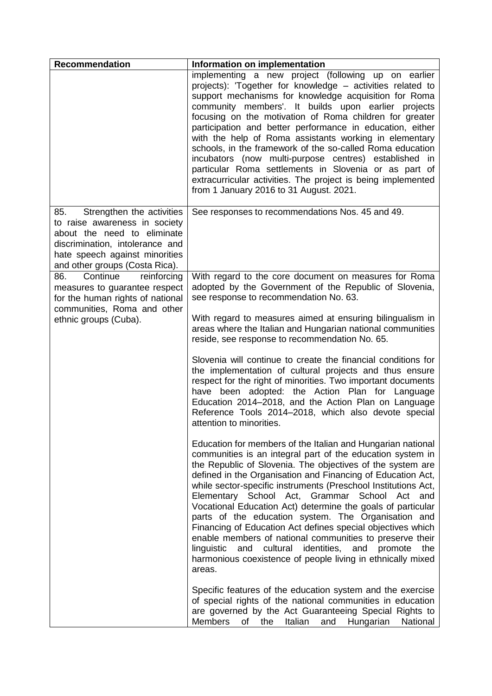| <b>Recommendation</b>                                                                                                                                                                                   | Information on implementation                                                                                                                                                                                                                                                                                                                                                                                                                                                                                                                                                                                                                                                                                                                                                |
|---------------------------------------------------------------------------------------------------------------------------------------------------------------------------------------------------------|------------------------------------------------------------------------------------------------------------------------------------------------------------------------------------------------------------------------------------------------------------------------------------------------------------------------------------------------------------------------------------------------------------------------------------------------------------------------------------------------------------------------------------------------------------------------------------------------------------------------------------------------------------------------------------------------------------------------------------------------------------------------------|
|                                                                                                                                                                                                         | implementing a new project (following up on earlier<br>projects): 'Together for knowledge - activities related to<br>support mechanisms for knowledge acquisition for Roma<br>community members'. It builds upon earlier projects<br>focusing on the motivation of Roma children for greater<br>participation and better performance in education, either<br>with the help of Roma assistants working in elementary<br>schools, in the framework of the so-called Roma education<br>incubators (now multi-purpose centres) established in<br>particular Roma settlements in Slovenia or as part of<br>extracurricular activities. The project is being implemented<br>from 1 January 2016 to 31 August. 2021.                                                                |
| 85.<br>Strengthen the activities<br>to raise awareness in society<br>about the need to eliminate<br>discrimination, intolerance and<br>hate speech against minorities<br>and other groups (Costa Rica). | See responses to recommendations Nos. 45 and 49.                                                                                                                                                                                                                                                                                                                                                                                                                                                                                                                                                                                                                                                                                                                             |
| Continue<br>86.<br>reinforcing<br>measures to guarantee respect<br>for the human rights of national                                                                                                     | With regard to the core document on measures for Roma<br>adopted by the Government of the Republic of Slovenia,<br>see response to recommendation No. 63.                                                                                                                                                                                                                                                                                                                                                                                                                                                                                                                                                                                                                    |
| communities, Roma and other<br>ethnic groups (Cuba).                                                                                                                                                    | With regard to measures aimed at ensuring bilingualism in<br>areas where the Italian and Hungarian national communities<br>reside, see response to recommendation No. 65.                                                                                                                                                                                                                                                                                                                                                                                                                                                                                                                                                                                                    |
|                                                                                                                                                                                                         | Slovenia will continue to create the financial conditions for<br>the implementation of cultural projects and thus ensure<br>respect for the right of minorities. Two important documents<br>have been adopted: the Action Plan for Language<br>Education 2014–2018, and the Action Plan on Language<br>Reference Tools 2014-2018, which also devote special<br>attention to minorities.                                                                                                                                                                                                                                                                                                                                                                                      |
|                                                                                                                                                                                                         | Education for members of the Italian and Hungarian national<br>communities is an integral part of the education system in<br>the Republic of Slovenia. The objectives of the system are<br>defined in the Organisation and Financing of Education Act,<br>while sector-specific instruments (Preschool Institutions Act,<br>Elementary School Act, Grammar School Act and<br>Vocational Education Act) determine the goals of particular<br>parts of the education system. The Organisation and<br>Financing of Education Act defines special objectives which<br>enable members of national communities to preserve their<br>identities,<br>and<br>linguistic<br>and<br>cultural<br>promote<br>the<br>harmonious coexistence of people living in ethnically mixed<br>areas. |
|                                                                                                                                                                                                         | Specific features of the education system and the exercise<br>of special rights of the national communities in education<br>are governed by the Act Guaranteeing Special Rights to<br><b>Members</b><br>of<br>the<br>Italian<br>and<br>Hungarian<br>National                                                                                                                                                                                                                                                                                                                                                                                                                                                                                                                 |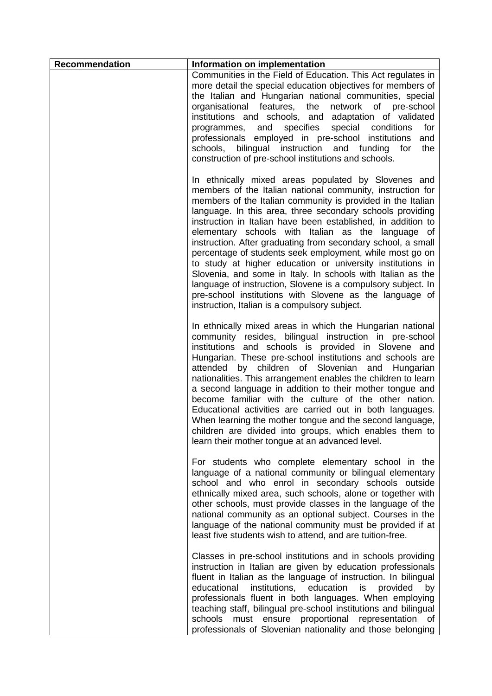| <b>Recommendation</b> | Information on implementation                                                                                                                                                                                                                                                                                                                                                                                                                                                                                                                                                                                                                                                                                                                                                                            |
|-----------------------|----------------------------------------------------------------------------------------------------------------------------------------------------------------------------------------------------------------------------------------------------------------------------------------------------------------------------------------------------------------------------------------------------------------------------------------------------------------------------------------------------------------------------------------------------------------------------------------------------------------------------------------------------------------------------------------------------------------------------------------------------------------------------------------------------------|
|                       | Communities in the Field of Education. This Act regulates in<br>more detail the special education objectives for members of<br>the Italian and Hungarian national communities, special<br>organisational features, the<br>network of pre-school<br>institutions and schools, and adaptation of validated<br>programmes, and<br>specifies<br>special conditions<br>for<br>professionals employed in pre-school institutions<br>and<br>bilingual instruction and funding<br>the<br>schools,<br>for<br>construction of pre-school institutions and schools.                                                                                                                                                                                                                                                 |
|                       | In ethnically mixed areas populated by Slovenes and<br>members of the Italian national community, instruction for<br>members of the Italian community is provided in the Italian<br>language. In this area, three secondary schools providing<br>instruction in Italian have been established, in addition to<br>elementary schools with Italian as the language of<br>instruction. After graduating from secondary school, a small<br>percentage of students seek employment, while most go on<br>to study at higher education or university institutions in<br>Slovenia, and some in Italy. In schools with Italian as the<br>language of instruction, Slovene is a compulsory subject. In<br>pre-school institutions with Slovene as the language of<br>instruction, Italian is a compulsory subject. |
|                       | In ethnically mixed areas in which the Hungarian national<br>community resides, bilingual instruction in pre-school<br>institutions and schools is provided in Slovene and<br>Hungarian. These pre-school institutions and schools are<br>by children of Slovenian and Hungarian<br>attended<br>nationalities. This arrangement enables the children to learn<br>a second language in addition to their mother tongue and<br>become familiar with the culture of the other nation.<br>Educational activities are carried out in both languages.<br>When learning the mother tongue and the second language,<br>children are divided into groups, which enables them to<br>learn their mother tongue at an advanced level.                                                                                |
|                       | For students who complete elementary school in the<br>language of a national community or bilingual elementary<br>school and who enrol in secondary schools outside<br>ethnically mixed area, such schools, alone or together with<br>other schools, must provide classes in the language of the<br>national community as an optional subject. Courses in the<br>language of the national community must be provided if at<br>least five students wish to attend, and are tuition-free.                                                                                                                                                                                                                                                                                                                  |
|                       | Classes in pre-school institutions and in schools providing<br>instruction in Italian are given by education professionals<br>fluent in Italian as the language of instruction. In bilingual<br>institutions, education is provided<br>educational<br>by<br>professionals fluent in both languages. When employing<br>teaching staff, bilingual pre-school institutions and bilingual<br>ensure proportional<br>schools<br>must<br>representation<br>of<br>professionals of Slovenian nationality and those belonging                                                                                                                                                                                                                                                                                    |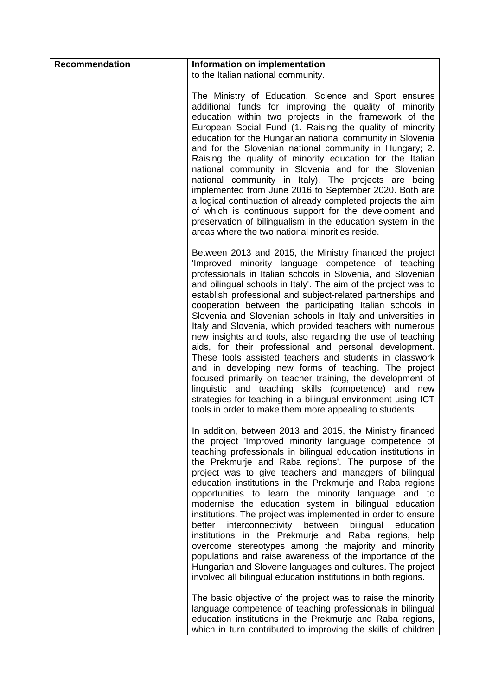| <b>Recommendation</b> | Information on implementation                                                                                                                                                                                                                                                                                                                                                                                                                                                                                                                                                                                                                                                                                                                                                                                                                                                                                                                                                                    |
|-----------------------|--------------------------------------------------------------------------------------------------------------------------------------------------------------------------------------------------------------------------------------------------------------------------------------------------------------------------------------------------------------------------------------------------------------------------------------------------------------------------------------------------------------------------------------------------------------------------------------------------------------------------------------------------------------------------------------------------------------------------------------------------------------------------------------------------------------------------------------------------------------------------------------------------------------------------------------------------------------------------------------------------|
|                       | to the Italian national community.                                                                                                                                                                                                                                                                                                                                                                                                                                                                                                                                                                                                                                                                                                                                                                                                                                                                                                                                                               |
|                       | The Ministry of Education, Science and Sport ensures<br>additional funds for improving the quality of minority<br>education within two projects in the framework of the<br>European Social Fund (1. Raising the quality of minority<br>education for the Hungarian national community in Slovenia<br>and for the Slovenian national community in Hungary; 2.<br>Raising the quality of minority education for the Italian<br>national community in Slovenia and for the Slovenian<br>national community in Italy). The projects are being<br>implemented from June 2016 to September 2020. Both are<br>a logical continuation of already completed projects the aim<br>of which is continuous support for the development and<br>preservation of bilingualism in the education system in the<br>areas where the two national minorities reside.                                                                                                                                                  |
|                       | Between 2013 and 2015, the Ministry financed the project<br>'Improved minority language competence of teaching<br>professionals in Italian schools in Slovenia, and Slovenian<br>and bilingual schools in Italy'. The aim of the project was to<br>establish professional and subject-related partnerships and<br>cooperation between the participating Italian schools in<br>Slovenia and Slovenian schools in Italy and universities in<br>Italy and Slovenia, which provided teachers with numerous<br>new insights and tools, also regarding the use of teaching<br>aids, for their professional and personal development.<br>These tools assisted teachers and students in classwork<br>and in developing new forms of teaching. The project<br>focused primarily on teacher training, the development of<br>linguistic and teaching skills (competence) and new<br>strategies for teaching in a bilingual environment using ICT<br>tools in order to make them more appealing to students. |
|                       | In addition, between 2013 and 2015, the Ministry financed<br>the project 'Improved minority language competence of<br>teaching professionals in bilingual education institutions in<br>the Prekmurje and Raba regions'. The purpose of the<br>project was to give teachers and managers of bilingual<br>education institutions in the Prekmurje and Raba regions<br>opportunities to learn the minority language and to<br>modernise the education system in bilingual education<br>institutions. The project was implemented in order to ensure<br>interconnectivity between<br>bilingual<br>better<br>education<br>institutions in the Prekmurje and Raba regions, help<br>overcome stereotypes among the majority and minority<br>populations and raise awareness of the importance of the<br>Hungarian and Slovene languages and cultures. The project<br>involved all bilingual education institutions in both regions.                                                                     |
|                       | The basic objective of the project was to raise the minority<br>language competence of teaching professionals in bilingual<br>education institutions in the Prekmurje and Raba regions,<br>which in turn contributed to improving the skills of children                                                                                                                                                                                                                                                                                                                                                                                                                                                                                                                                                                                                                                                                                                                                         |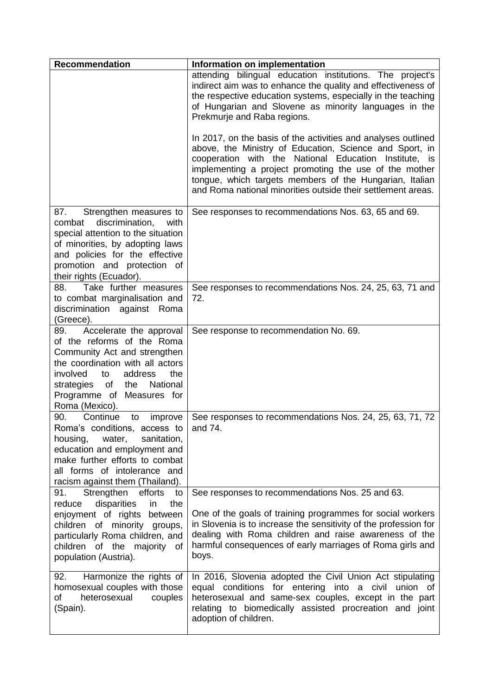| Recommendation                                                                                                                                                                                                                                          | Information on implementation                                                                                                                                                                                                                                                                                                                                          |
|---------------------------------------------------------------------------------------------------------------------------------------------------------------------------------------------------------------------------------------------------------|------------------------------------------------------------------------------------------------------------------------------------------------------------------------------------------------------------------------------------------------------------------------------------------------------------------------------------------------------------------------|
|                                                                                                                                                                                                                                                         | attending bilingual education institutions. The project's<br>indirect aim was to enhance the quality and effectiveness of<br>the respective education systems, especially in the teaching<br>of Hungarian and Slovene as minority languages in the<br>Prekmurje and Raba regions.                                                                                      |
|                                                                                                                                                                                                                                                         | In 2017, on the basis of the activities and analyses outlined<br>above, the Ministry of Education, Science and Sport, in<br>cooperation with the National Education Institute, is<br>implementing a project promoting the use of the mother<br>tongue, which targets members of the Hungarian, Italian<br>and Roma national minorities outside their settlement areas. |
| 87.<br>Strengthen measures to<br>discrimination,<br>combat<br>with<br>special attention to the situation<br>of minorities, by adopting laws<br>and policies for the effective<br>promotion and protection of<br>their rights (Ecuador).                 | See responses to recommendations Nos. 63, 65 and 69.                                                                                                                                                                                                                                                                                                                   |
| Take further measures<br>88.<br>to combat marginalisation and<br>discrimination against Roma<br>(Greece).                                                                                                                                               | See responses to recommendations Nos. 24, 25, 63, 71 and<br>72.                                                                                                                                                                                                                                                                                                        |
| Accelerate the approval<br>89.<br>of the reforms of the Roma<br>Community Act and strengthen<br>the coordination with all actors<br>the<br>involved<br>to<br>address<br>strategies of<br>the<br>National<br>Programme of Measures for<br>Roma (Mexico). | See response to recommendation No. 69.                                                                                                                                                                                                                                                                                                                                 |
| Continue<br>90.<br>to<br>improve<br>Roma's conditions, access to and 74.<br>sanitation,<br>water,<br>housing,<br>education and employment and<br>make further efforts to combat<br>all forms of intolerance and<br>racism against them (Thailand).      | See responses to recommendations Nos. 24, 25, 63, 71, 72                                                                                                                                                                                                                                                                                                               |
| 91.<br>Strengthen efforts<br>to<br>disparities<br>the<br>reduce<br>in<br>enjoyment of rights between<br>children of minority groups,<br>particularly Roma children, and<br>children of the majority of<br>population (Austria).                         | See responses to recommendations Nos. 25 and 63.<br>One of the goals of training programmes for social workers<br>in Slovenia is to increase the sensitivity of the profession for<br>dealing with Roma children and raise awareness of the<br>harmful consequences of early marriages of Roma girls and<br>boys.                                                      |
| Harmonize the rights of<br>92.<br>homosexual couples with those<br>of<br>heterosexual<br>couples<br>(Spain).                                                                                                                                            | In 2016, Slovenia adopted the Civil Union Act stipulating<br>equal conditions for entering into a civil<br>union of<br>heterosexual and same-sex couples, except in the part<br>relating to biomedically assisted procreation and joint<br>adoption of children.                                                                                                       |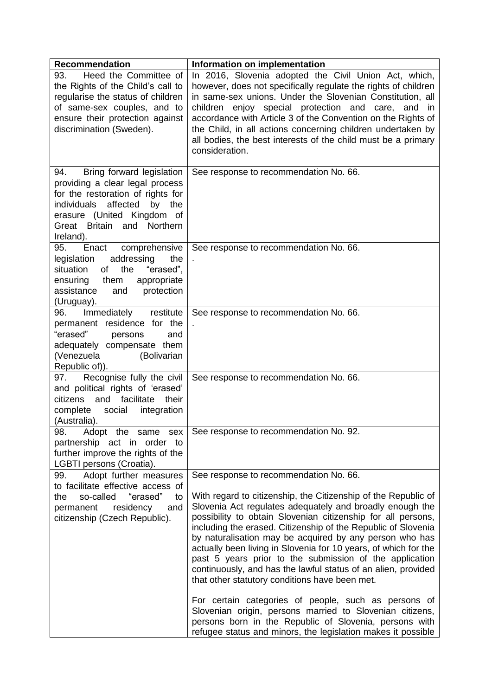| <b>Recommendation</b>                                                                                                                                                                                                        | Information on implementation                                                                                                                                                                                                                                                                                                                                                                                                                                                                                                                                                                                                                                                                                                                                                                                                                                   |
|------------------------------------------------------------------------------------------------------------------------------------------------------------------------------------------------------------------------------|-----------------------------------------------------------------------------------------------------------------------------------------------------------------------------------------------------------------------------------------------------------------------------------------------------------------------------------------------------------------------------------------------------------------------------------------------------------------------------------------------------------------------------------------------------------------------------------------------------------------------------------------------------------------------------------------------------------------------------------------------------------------------------------------------------------------------------------------------------------------|
| Heed the Committee of<br>93.<br>the Rights of the Child's call to<br>regularise the status of children<br>of same-sex couples, and to<br>ensure their protection against<br>discrimination (Sweden).                         | In 2016, Slovenia adopted the Civil Union Act, which,<br>however, does not specifically regulate the rights of children<br>in same-sex unions. Under the Slovenian Constitution, all<br>children enjoy special protection and care,<br>and<br><i>in</i><br>accordance with Article 3 of the Convention on the Rights of<br>the Child, in all actions concerning children undertaken by<br>all bodies, the best interests of the child must be a primary<br>consideration.                                                                                                                                                                                                                                                                                                                                                                                       |
| Bring forward legislation<br>94.<br>providing a clear legal process<br>for the restoration of rights for<br>affected<br>individuals<br>by<br>the<br>erasure (United Kingdom of<br>Great Britain and<br>Northern<br>Ireland). | See response to recommendation No. 66.                                                                                                                                                                                                                                                                                                                                                                                                                                                                                                                                                                                                                                                                                                                                                                                                                          |
| comprehensive<br>95.<br>Enact<br>addressing<br>the<br>legislation<br>the<br>situation<br>of<br>"erased",<br>ensuring<br>them<br>appropriate<br>assistance<br>protection<br>and<br>(Uruguay).                                 | See response to recommendation No. 66.                                                                                                                                                                                                                                                                                                                                                                                                                                                                                                                                                                                                                                                                                                                                                                                                                          |
| Immediately<br>restitute<br>96.<br>permanent residence for the<br>"erased"<br>persons<br>and<br>adequately compensate them<br>(Bolivarian<br>(Venezuela<br>Republic of)).                                                    | See response to recommendation No. 66.                                                                                                                                                                                                                                                                                                                                                                                                                                                                                                                                                                                                                                                                                                                                                                                                                          |
| Recognise fully the civil<br>97.<br>and political rights of 'erased'<br>facilitate<br>and<br>their<br>citizens<br>complete<br>integration<br>social<br>(Australia).                                                          | See response to recommendation No. 66.                                                                                                                                                                                                                                                                                                                                                                                                                                                                                                                                                                                                                                                                                                                                                                                                                          |
| 98.<br>Adopt the same sex<br>partnership act in order to<br>further improve the rights of the<br>LGBTI persons (Croatia).                                                                                                    | See response to recommendation No. 92.                                                                                                                                                                                                                                                                                                                                                                                                                                                                                                                                                                                                                                                                                                                                                                                                                          |
| Adopt further measures<br>99.<br>to facilitate effective access of<br>so-called<br>"erased"<br>the<br>to<br>permanent<br>residency<br>and<br>citizenship (Czech Republic).                                                   | See response to recommendation No. 66.<br>With regard to citizenship, the Citizenship of the Republic of<br>Slovenia Act regulates adequately and broadly enough the<br>possibility to obtain Slovenian citizenship for all persons,<br>including the erased. Citizenship of the Republic of Slovenia<br>by naturalisation may be acquired by any person who has<br>actually been living in Slovenia for 10 years, of which for the<br>past 5 years prior to the submission of the application<br>continuously, and has the lawful status of an alien, provided<br>that other statutory conditions have been met.<br>For certain categories of people, such as persons of<br>Slovenian origin, persons married to Slovenian citizens,<br>persons born in the Republic of Slovenia, persons with<br>refugee status and minors, the legislation makes it possible |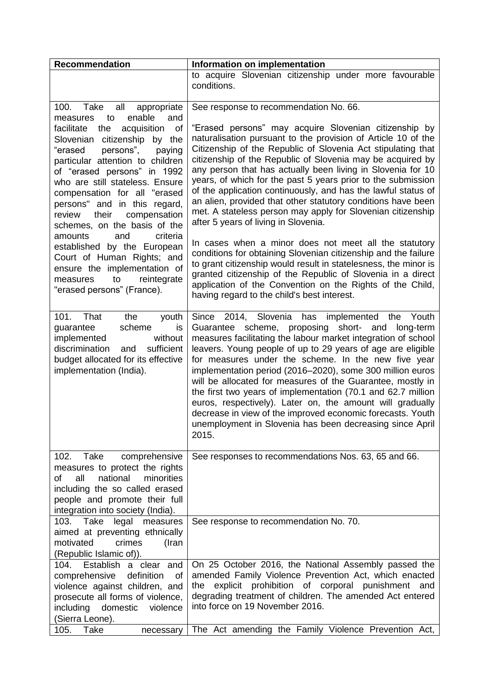| <b>Recommendation</b>                                                                                                                                                                                                                                                                                                                                                                                                                                                                                                                                                                                                   | Information on implementation                                                                                                                                                                                                                                                                                                                                                                                                                                                                                                                                                                                                                                                                                                                                                                                                                                                                                                                                                                                                                  |
|-------------------------------------------------------------------------------------------------------------------------------------------------------------------------------------------------------------------------------------------------------------------------------------------------------------------------------------------------------------------------------------------------------------------------------------------------------------------------------------------------------------------------------------------------------------------------------------------------------------------------|------------------------------------------------------------------------------------------------------------------------------------------------------------------------------------------------------------------------------------------------------------------------------------------------------------------------------------------------------------------------------------------------------------------------------------------------------------------------------------------------------------------------------------------------------------------------------------------------------------------------------------------------------------------------------------------------------------------------------------------------------------------------------------------------------------------------------------------------------------------------------------------------------------------------------------------------------------------------------------------------------------------------------------------------|
|                                                                                                                                                                                                                                                                                                                                                                                                                                                                                                                                                                                                                         | to acquire Slovenian citizenship under more favourable<br>conditions.                                                                                                                                                                                                                                                                                                                                                                                                                                                                                                                                                                                                                                                                                                                                                                                                                                                                                                                                                                          |
| Take<br>100.<br>all<br>appropriate<br>enable<br>to<br>and<br>measures<br>facilitate<br>acquisition<br>of<br>the<br>Slovenian citizenship<br>by the<br>persons",<br>"erased<br>paying<br>particular attention to children<br>of "erased persons" in 1992<br>who are still stateless. Ensure<br>compensation for all "erased<br>persons" and in this regard,<br>their<br>compensation<br>review<br>schemes, on the basis of the<br>and<br>criteria<br>amounts<br>established by the European<br>Court of Human Rights; and<br>ensure the implementation of<br>to<br>reintegrate<br>measures<br>"erased persons" (France). | See response to recommendation No. 66.<br>"Erased persons" may acquire Slovenian citizenship by<br>naturalisation pursuant to the provision of Article 10 of the<br>Citizenship of the Republic of Slovenia Act stipulating that<br>citizenship of the Republic of Slovenia may be acquired by<br>any person that has actually been living in Slovenia for 10<br>years, of which for the past 5 years prior to the submission<br>of the application continuously, and has the lawful status of<br>an alien, provided that other statutory conditions have been<br>met. A stateless person may apply for Slovenian citizenship<br>after 5 years of living in Slovenia.<br>In cases when a minor does not meet all the statutory<br>conditions for obtaining Slovenian citizenship and the failure<br>to grant citizenship would result in statelesness, the minor is<br>granted citizenship of the Republic of Slovenia in a direct<br>application of the Convention on the Rights of the Child,<br>having regard to the child's best interest. |
| 101. That<br>the<br>youth<br>scheme<br>guarantee<br>is<br>implemented<br>without<br>sufficient<br>discrimination<br>and<br>budget allocated for its effective<br>implementation (India).                                                                                                                                                                                                                                                                                                                                                                                                                                | Since 2014, Slovenia has implemented the Youth<br>Guarantee scheme, proposing short-<br>and<br>long-term<br>measures facilitating the labour market integration of school<br>leavers. Young people of up to 29 years of age are eligible<br>for measures under the scheme. In the new five year<br>implementation period (2016-2020), some 300 million euros<br>will be allocated for measures of the Guarantee, mostly in<br>the first two years of implementation (70.1 and 62.7 million<br>euros, respectively). Later on, the amount will gradually<br>decrease in view of the improved economic forecasts. Youth<br>unemployment in Slovenia has been decreasing since April<br>2015.                                                                                                                                                                                                                                                                                                                                                     |
| Take<br>102.<br>comprehensive<br>measures to protect the rights<br>minorities<br>all<br>national<br>of<br>including the so called erased<br>people and promote their full<br>integration into society (India).                                                                                                                                                                                                                                                                                                                                                                                                          | See responses to recommendations Nos. 63, 65 and 66.                                                                                                                                                                                                                                                                                                                                                                                                                                                                                                                                                                                                                                                                                                                                                                                                                                                                                                                                                                                           |
| 103.<br>Take<br>legal<br>measures<br>aimed at preventing ethnically<br>motivated<br>crimes<br>(Iran<br>(Republic Islamic of)).                                                                                                                                                                                                                                                                                                                                                                                                                                                                                          | See response to recommendation No. 70.                                                                                                                                                                                                                                                                                                                                                                                                                                                                                                                                                                                                                                                                                                                                                                                                                                                                                                                                                                                                         |
| Establish a clear and<br>104.<br>comprehensive<br>definition<br><b>of</b><br>violence against children, and<br>prosecute all forms of violence,<br>including<br>domestic<br>violence<br>(Sierra Leone).<br>105.<br>Take<br>necessary                                                                                                                                                                                                                                                                                                                                                                                    | On 25 October 2016, the National Assembly passed the<br>amended Family Violence Prevention Act, which enacted<br>prohibition of corporal punishment<br>explicit<br>the<br>and<br>degrading treatment of children. The amended Act entered<br>into force on 19 November 2016.<br>The Act amending the Family Violence Prevention Act,                                                                                                                                                                                                                                                                                                                                                                                                                                                                                                                                                                                                                                                                                                           |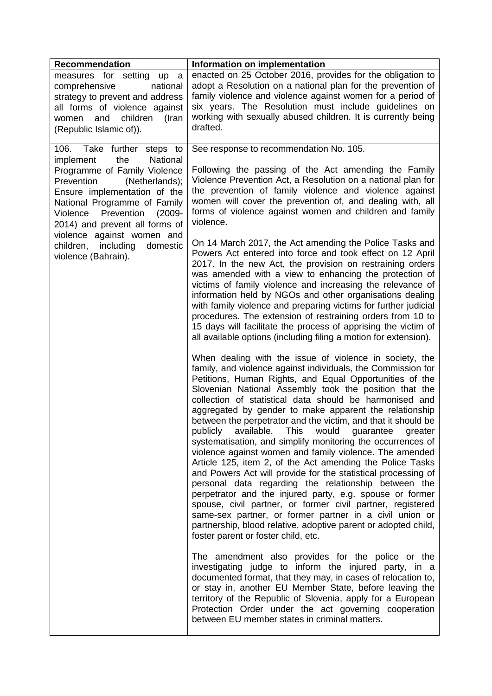| <b>Recommendation</b>                                                                                                                                                                                                                                                                                                                                          | Information on implementation                                                                                                                                                                                                                                                                                                                                                                                                                                                                                                                                                                                                                                                                                                                                                                                                                                                                                                                                                                                                                                                                                                                                                                                                                                                                                                                                                                                                                                                                                            |
|----------------------------------------------------------------------------------------------------------------------------------------------------------------------------------------------------------------------------------------------------------------------------------------------------------------------------------------------------------------|--------------------------------------------------------------------------------------------------------------------------------------------------------------------------------------------------------------------------------------------------------------------------------------------------------------------------------------------------------------------------------------------------------------------------------------------------------------------------------------------------------------------------------------------------------------------------------------------------------------------------------------------------------------------------------------------------------------------------------------------------------------------------------------------------------------------------------------------------------------------------------------------------------------------------------------------------------------------------------------------------------------------------------------------------------------------------------------------------------------------------------------------------------------------------------------------------------------------------------------------------------------------------------------------------------------------------------------------------------------------------------------------------------------------------------------------------------------------------------------------------------------------------|
| measures for setting up a<br>comprehensive<br>national<br>strategy to prevent and address<br>all forms of violence against<br>and<br>children<br>(Iran<br>women<br>(Republic Islamic of)).                                                                                                                                                                     | enacted on 25 October 2016, provides for the obligation to<br>adopt a Resolution on a national plan for the prevention of<br>family violence and violence against women for a period of<br>six years. The Resolution must include guidelines on<br>working with sexually abused children. It is currently being<br>drafted.                                                                                                                                                                                                                                                                                                                                                                                                                                                                                                                                                                                                                                                                                                                                                                                                                                                                                                                                                                                                                                                                                                                                                                                              |
| 106.<br>Take further steps to<br>the<br>National<br>implement<br>Programme of Family Violence<br>Prevention<br>(Netherlands);<br>Ensure implementation of the<br>National Programme of Family<br>Prevention<br>Violence<br>$(2009 -$<br>2014) and prevent all forms of<br>violence against women and<br>children, including<br>domestic<br>violence (Bahrain). | See response to recommendation No. 105.<br>Following the passing of the Act amending the Family<br>Violence Prevention Act, a Resolution on a national plan for<br>the prevention of family violence and violence against<br>women will cover the prevention of, and dealing with, all<br>forms of violence against women and children and family<br>violence.<br>On 14 March 2017, the Act amending the Police Tasks and<br>Powers Act entered into force and took effect on 12 April<br>2017. In the new Act, the provision on restraining orders<br>was amended with a view to enhancing the protection of<br>victims of family violence and increasing the relevance of<br>information held by NGOs and other organisations dealing<br>with family violence and preparing victims for further judicial<br>procedures. The extension of restraining orders from 10 to<br>15 days will facilitate the process of apprising the victim of<br>all available options (including filing a motion for extension).                                                                                                                                                                                                                                                                                                                                                                                                                                                                                                           |
|                                                                                                                                                                                                                                                                                                                                                                | When dealing with the issue of violence in society, the<br>family, and violence against individuals, the Commission for<br>Petitions, Human Rights, and Equal Opportunities of the<br>Slovenian National Assembly took the position that the<br>collection of statistical data should be harmonised and<br>aggregated by gender to make apparent the relationship<br>between the perpetrator and the victim, and that it should be<br>publicly available. This would guarantee<br>greater<br>systematisation, and simplify monitoring the occurrences of<br>violence against women and family violence. The amended<br>Article 125, item 2, of the Act amending the Police Tasks<br>and Powers Act will provide for the statistical processing of<br>personal data regarding the relationship between the<br>perpetrator and the injured party, e.g. spouse or former<br>spouse, civil partner, or former civil partner, registered<br>same-sex partner, or former partner in a civil union or<br>partnership, blood relative, adoptive parent or adopted child,<br>foster parent or foster child, etc.<br>The amendment also provides for the police or the<br>investigating judge to inform the injured party, in a<br>documented format, that they may, in cases of relocation to,<br>or stay in, another EU Member State, before leaving the<br>territory of the Republic of Slovenia, apply for a European<br>Protection Order under the act governing cooperation<br>between EU member states in criminal matters. |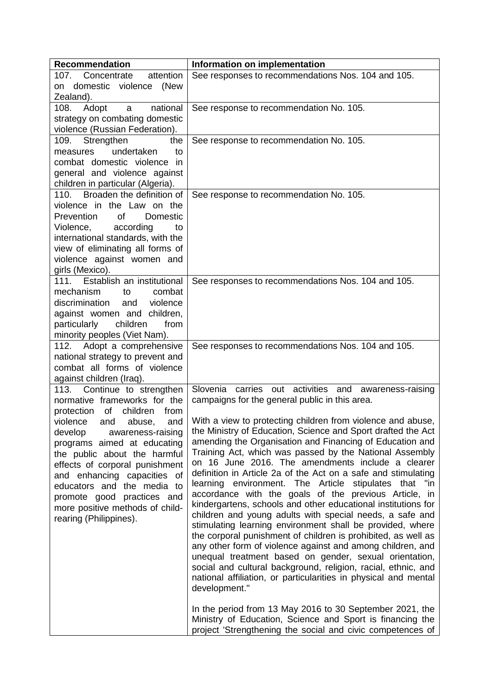| <b>Recommendation</b>                                               | Information on implementation                                                                                           |
|---------------------------------------------------------------------|-------------------------------------------------------------------------------------------------------------------------|
| attention<br>107. Concentrate                                       | See responses to recommendations Nos. 104 and 105.                                                                      |
| domestic violence (New<br>on                                        |                                                                                                                         |
| Zealand).                                                           |                                                                                                                         |
| national<br>Adopt<br>108.<br>a                                      | See response to recommendation No. 105.                                                                                 |
| strategy on combating domestic                                      |                                                                                                                         |
| violence (Russian Federation).                                      |                                                                                                                         |
| Strengthen<br>109.<br>the                                           | See response to recommendation No. 105.                                                                                 |
| undertaken<br>to<br>measures                                        |                                                                                                                         |
| combat domestic violence in                                         |                                                                                                                         |
| general and violence against                                        |                                                                                                                         |
| children in particular (Algeria).<br>110. Broaden the definition of |                                                                                                                         |
| violence in the Law on the                                          | See response to recommendation No. 105.                                                                                 |
| <b>of</b><br>Prevention<br>Domestic                                 |                                                                                                                         |
| Violence,<br>according<br>to                                        |                                                                                                                         |
| international standards, with the                                   |                                                                                                                         |
| view of eliminating all forms of                                    |                                                                                                                         |
| violence against women and                                          |                                                                                                                         |
| girls (Mexico).                                                     |                                                                                                                         |
| 111. Establish an institutional                                     | See responses to recommendations Nos. 104 and 105.                                                                      |
| mechanism<br>combat<br>to                                           |                                                                                                                         |
| violence<br>discrimination<br>and                                   |                                                                                                                         |
| against women and children,                                         |                                                                                                                         |
| children<br>particularly<br>from                                    |                                                                                                                         |
| minority peoples (Viet Nam).                                        |                                                                                                                         |
| 112. Adopt a comprehensive                                          | See responses to recommendations Nos. 104 and 105.                                                                      |
| national strategy to prevent and                                    |                                                                                                                         |
| combat all forms of violence                                        |                                                                                                                         |
| against children (Iraq).                                            |                                                                                                                         |
| 113. Continue to strengthen<br>normative frameworks for the         | Slovenia carries out activities and awareness-raising                                                                   |
| protection<br>of<br>children<br>from                                | campaigns for the general public in this area.                                                                          |
| violence<br>and<br>abuse,<br>and                                    | With a view to protecting children from violence and abuse,                                                             |
| develop<br>awareness-raising                                        | the Ministry of Education, Science and Sport drafted the Act                                                            |
| programs aimed at educating                                         | amending the Organisation and Financing of Education and                                                                |
| the public about the harmful                                        | Training Act, which was passed by the National Assembly                                                                 |
| effects of corporal punishment                                      | on 16 June 2016. The amendments include a clearer                                                                       |
| and enhancing capacities of                                         | definition in Article 2a of the Act on a safe and stimulating                                                           |
| educators and the media to                                          | learning environment. The Article stipulates that "in                                                                   |
| promote good practices and                                          | accordance with the goals of the previous Article, in                                                                   |
| more positive methods of child-                                     | kindergartens, schools and other educational institutions for                                                           |
| rearing (Philippines).                                              | children and young adults with special needs, a safe and                                                                |
|                                                                     | stimulating learning environment shall be provided, where                                                               |
|                                                                     | the corporal punishment of children is prohibited, as well as                                                           |
|                                                                     | any other form of violence against and among children, and                                                              |
|                                                                     | unequal treatment based on gender, sexual orientation,<br>social and cultural background, religion, racial, ethnic, and |
|                                                                     | national affiliation, or particularities in physical and mental                                                         |
|                                                                     | development."                                                                                                           |
|                                                                     |                                                                                                                         |
|                                                                     | In the period from 13 May 2016 to 30 September 2021, the                                                                |
|                                                                     | Ministry of Education, Science and Sport is financing the                                                               |
|                                                                     | project 'Strengthening the social and civic competences of                                                              |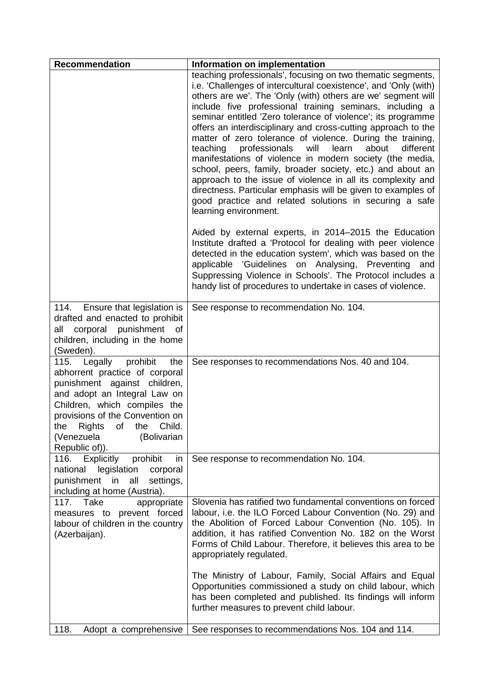| <b>Recommendation</b>                                                                                                                                                                                                                                                           | Information on implementation                                                                                                                                                                                                                                                                                                                                                                                                                                                                                                                                                                                                                                                                                                                                                                                                                                              |
|---------------------------------------------------------------------------------------------------------------------------------------------------------------------------------------------------------------------------------------------------------------------------------|----------------------------------------------------------------------------------------------------------------------------------------------------------------------------------------------------------------------------------------------------------------------------------------------------------------------------------------------------------------------------------------------------------------------------------------------------------------------------------------------------------------------------------------------------------------------------------------------------------------------------------------------------------------------------------------------------------------------------------------------------------------------------------------------------------------------------------------------------------------------------|
|                                                                                                                                                                                                                                                                                 | teaching professionals', focusing on two thematic segments,<br>i.e. 'Challenges of intercultural coexistence', and 'Only (with)<br>others are we'. The 'Only (with) others are we' segment will<br>include five professional training seminars, including a<br>seminar entitled 'Zero tolerance of violence'; its programme<br>offers an interdisciplinary and cross-cutting approach to the<br>matter of zero tolerance of violence. During the training,<br>professionals<br>teaching<br>will<br>learn<br>about<br>different<br>manifestations of violence in modern society (the media,<br>school, peers, family, broader society, etc.) and about an<br>approach to the issue of violence in all its complexity and<br>directness. Particular emphasis will be given to examples of<br>good practice and related solutions in securing a safe<br>learning environment. |
|                                                                                                                                                                                                                                                                                 | Aided by external experts, in 2014-2015 the Education<br>Institute drafted a 'Protocol for dealing with peer violence<br>detected in the education system', which was based on the<br>applicable 'Guidelines on Analysing, Preventing and<br>Suppressing Violence in Schools'. The Protocol includes a<br>handy list of procedures to undertake in cases of violence.                                                                                                                                                                                                                                                                                                                                                                                                                                                                                                      |
| Ensure that legislation is<br>114.<br>drafted and enacted to prohibit<br>corporal punishment of<br>all<br>children, including in the home<br>(Sweden).                                                                                                                          | See response to recommendation No. 104.                                                                                                                                                                                                                                                                                                                                                                                                                                                                                                                                                                                                                                                                                                                                                                                                                                    |
| Legally prohibit<br>the<br>115.<br>abhorrent practice of corporal<br>punishment against children,<br>and adopt an Integral Law on<br>Children, which compiles the<br>provisions of the Convention on<br>the Rights of the Child.<br>(Bolivarian<br>(Venezuela<br>Republic of)). | See responses to recommendations Nos. 40 and 104.                                                                                                                                                                                                                                                                                                                                                                                                                                                                                                                                                                                                                                                                                                                                                                                                                          |
| 116. Explicitly<br>prohibit<br>in<br>national legislation<br>corporal<br>punishment in<br>settings,<br>all<br>including at home (Austria).                                                                                                                                      | See response to recommendation No. 104.                                                                                                                                                                                                                                                                                                                                                                                                                                                                                                                                                                                                                                                                                                                                                                                                                                    |
| 117. Take<br>appropriate<br>measures to prevent forced<br>labour of children in the country<br>(Azerbaijan).                                                                                                                                                                    | Slovenia has ratified two fundamental conventions on forced<br>labour, i.e. the ILO Forced Labour Convention (No. 29) and<br>the Abolition of Forced Labour Convention (No. 105). In<br>addition, it has ratified Convention No. 182 on the Worst<br>Forms of Child Labour. Therefore, it believes this area to be<br>appropriately regulated.                                                                                                                                                                                                                                                                                                                                                                                                                                                                                                                             |
|                                                                                                                                                                                                                                                                                 | The Ministry of Labour, Family, Social Affairs and Equal<br>Opportunities commissioned a study on child labour, which<br>has been completed and published. Its findings will inform<br>further measures to prevent child labour.                                                                                                                                                                                                                                                                                                                                                                                                                                                                                                                                                                                                                                           |
| 118.<br>Adopt a comprehensive                                                                                                                                                                                                                                                   | See responses to recommendations Nos. 104 and 114.                                                                                                                                                                                                                                                                                                                                                                                                                                                                                                                                                                                                                                                                                                                                                                                                                         |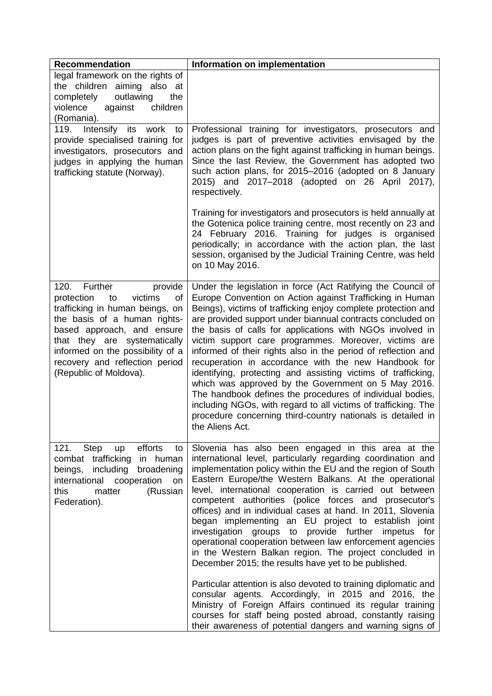| <b>Recommendation</b>                                                                                                                                                                                                                                                                            | Information on implementation                                                                                                                                                                                                                                                                                                                                                                                                                                                                                                                                                                                                                                                                                                                                                                                                                   |
|--------------------------------------------------------------------------------------------------------------------------------------------------------------------------------------------------------------------------------------------------------------------------------------------------|-------------------------------------------------------------------------------------------------------------------------------------------------------------------------------------------------------------------------------------------------------------------------------------------------------------------------------------------------------------------------------------------------------------------------------------------------------------------------------------------------------------------------------------------------------------------------------------------------------------------------------------------------------------------------------------------------------------------------------------------------------------------------------------------------------------------------------------------------|
| legal framework on the rights of<br>the children aiming also at<br>completely<br>outlawing<br>the<br>violence<br>against<br>children<br>(Romania).                                                                                                                                               |                                                                                                                                                                                                                                                                                                                                                                                                                                                                                                                                                                                                                                                                                                                                                                                                                                                 |
| Intensify its<br>119.<br>work<br>to<br>provide specialised training for<br>investigators, prosecutors and<br>judges in applying the human<br>trafficking statute (Norway).                                                                                                                       | Professional training for investigators, prosecutors and<br>judges is part of preventive activities envisaged by the<br>action plans on the fight against trafficking in human beings.<br>Since the last Review, the Government has adopted two<br>such action plans, for 2015-2016 (adopted on 8 January<br>2015) and 2017–2018 (adopted on 26 April 2017),<br>respectively.                                                                                                                                                                                                                                                                                                                                                                                                                                                                   |
|                                                                                                                                                                                                                                                                                                  | Training for investigators and prosecutors is held annually at<br>the Gotenica police training centre, most recently on 23 and<br>24 February 2016. Training for judges is organised<br>periodically; in accordance with the action plan, the last<br>session, organised by the Judicial Training Centre, was held<br>on 10 May 2016.                                                                                                                                                                                                                                                                                                                                                                                                                                                                                                           |
| 120.<br>Further<br>provide<br>protection<br>victims<br>to<br>οf<br>trafficking in human beings, on<br>the basis of a human rights-<br>based approach, and ensure<br>that they are systematically<br>informed on the possibility of a<br>recovery and reflection period<br>(Republic of Moldova). | Under the legislation in force (Act Ratifying the Council of<br>Europe Convention on Action against Trafficking in Human<br>Beings), victims of trafficking enjoy complete protection and<br>are provided support under biannual contracts concluded on<br>the basis of calls for applications with NGOs involved in<br>victim support care programmes. Moreover, victims are<br>informed of their rights also in the period of reflection and<br>recuperation in accordance with the new Handbook for<br>identifying, protecting and assisting victims of trafficking,<br>which was approved by the Government on 5 May 2016.<br>The handbook defines the procedures of individual bodies,<br>including NGOs, with regard to all victims of trafficking. The<br>procedure concerning third-country nationals is detailed in<br>the Aliens Act. |
| efforts<br>121.<br>Step<br>to<br>up<br>combat trafficking<br>in human<br>beings,<br>including<br>broadening<br>international<br>cooperation<br>on<br>(Russian<br>this<br>matter<br>Federation).                                                                                                  | Slovenia has also been engaged in this area at the<br>international level, particularly regarding coordination and<br>implementation policy within the EU and the region of South<br>Eastern Europe/the Western Balkans. At the operational<br>level, international cooperation is carried out between<br>competent authorities (police forces and prosecutor's<br>offices) and in individual cases at hand. In 2011, Slovenia<br>began implementing an EU project to establish joint<br>investigation groups to provide further impetus for<br>operational cooperation between law enforcement agencies<br>in the Western Balkan region. The project concluded in<br>December 2015; the results have yet to be published.                                                                                                                      |
|                                                                                                                                                                                                                                                                                                  | Particular attention is also devoted to training diplomatic and<br>consular agents. Accordingly, in 2015 and 2016, the<br>Ministry of Foreign Affairs continued its regular training<br>courses for staff being posted abroad, constantly raising<br>their awareness of potential dangers and warning signs of                                                                                                                                                                                                                                                                                                                                                                                                                                                                                                                                  |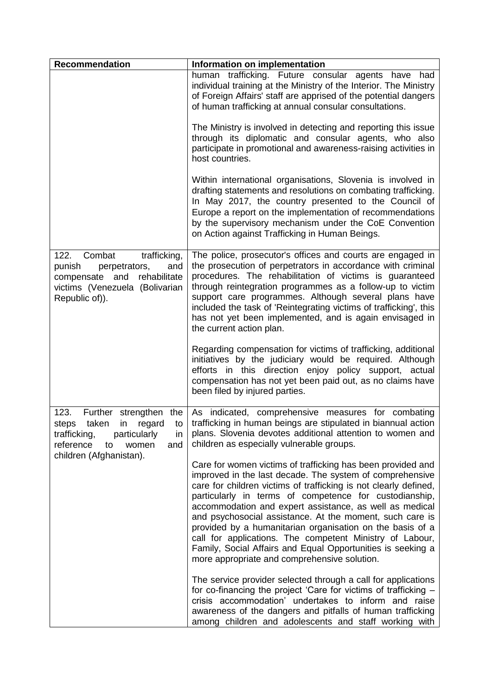| <b>Recommendation</b>                                                                                                                                     | Information on implementation                                                                                                                                                                                                                                                                                                                                                                                                                                                                                                                                                                                        |
|-----------------------------------------------------------------------------------------------------------------------------------------------------------|----------------------------------------------------------------------------------------------------------------------------------------------------------------------------------------------------------------------------------------------------------------------------------------------------------------------------------------------------------------------------------------------------------------------------------------------------------------------------------------------------------------------------------------------------------------------------------------------------------------------|
|                                                                                                                                                           | human trafficking. Future consular agents have had<br>individual training at the Ministry of the Interior. The Ministry<br>of Foreign Affairs' staff are apprised of the potential dangers<br>of human trafficking at annual consular consultations.                                                                                                                                                                                                                                                                                                                                                                 |
|                                                                                                                                                           | The Ministry is involved in detecting and reporting this issue<br>through its diplomatic and consular agents, who also<br>participate in promotional and awareness-raising activities in<br>host countries.                                                                                                                                                                                                                                                                                                                                                                                                          |
|                                                                                                                                                           | Within international organisations, Slovenia is involved in<br>drafting statements and resolutions on combating trafficking.<br>In May 2017, the country presented to the Council of<br>Europe a report on the implementation of recommendations<br>by the supervisory mechanism under the CoE Convention<br>on Action against Trafficking in Human Beings.                                                                                                                                                                                                                                                          |
| 122.<br>Combat<br>trafficking,<br>punish<br>and<br>perpetrators,<br>rehabilitate<br>compensate<br>and<br>victims (Venezuela (Bolivarian<br>Republic of)). | The police, prosecutor's offices and courts are engaged in<br>the prosecution of perpetrators in accordance with criminal<br>procedures. The rehabilitation of victims is guaranteed<br>through reintegration programmes as a follow-up to victim<br>support care programmes. Although several plans have<br>included the task of 'Reintegrating victims of trafficking', this<br>has not yet been implemented, and is again envisaged in<br>the current action plan.                                                                                                                                                |
|                                                                                                                                                           | Regarding compensation for victims of trafficking, additional<br>initiatives by the judiciary would be required. Although<br>efforts in this direction enjoy policy support, actual<br>compensation has not yet been paid out, as no claims have<br>been filed by injured parties.                                                                                                                                                                                                                                                                                                                                   |
| 123.<br>taken<br>steps<br>in<br>regard<br>to I<br>trafficking,<br>particularly<br>in<br>reference<br>women<br>and<br>to<br>children (Afghanistan).        | Further strengthen the   As indicated, comprehensive measures for combating<br>trafficking in human beings are stipulated in biannual action<br>plans. Slovenia devotes additional attention to women and<br>children as especially vulnerable groups.                                                                                                                                                                                                                                                                                                                                                               |
|                                                                                                                                                           | Care for women victims of trafficking has been provided and<br>improved in the last decade. The system of comprehensive<br>care for children victims of trafficking is not clearly defined,<br>particularly in terms of competence for custodianship,<br>accommodation and expert assistance, as well as medical<br>and psychosocial assistance. At the moment, such care is<br>provided by a humanitarian organisation on the basis of a<br>call for applications. The competent Ministry of Labour,<br>Family, Social Affairs and Equal Opportunities is seeking a<br>more appropriate and comprehensive solution. |
|                                                                                                                                                           | The service provider selected through a call for applications<br>for co-financing the project 'Care for victims of trafficking -<br>crisis accommodation' undertakes to inform and raise<br>awareness of the dangers and pitfalls of human trafficking<br>among children and adolescents and staff working with                                                                                                                                                                                                                                                                                                      |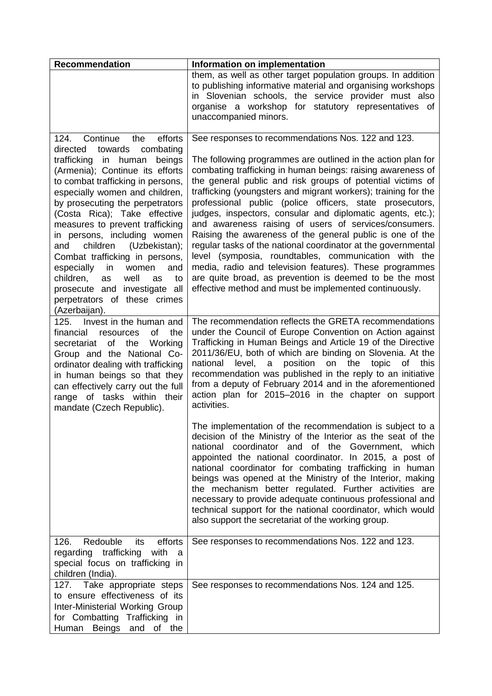| <b>Recommendation</b>                                                                                                                                                                                                                                                                                                                                                                                                                                                                                                                  | Information on implementation                                                                                                                                                                                                                                                                                                                                                                                                                                                                                                                                                                                                                                                                                                                                                                                                                                              |
|----------------------------------------------------------------------------------------------------------------------------------------------------------------------------------------------------------------------------------------------------------------------------------------------------------------------------------------------------------------------------------------------------------------------------------------------------------------------------------------------------------------------------------------|----------------------------------------------------------------------------------------------------------------------------------------------------------------------------------------------------------------------------------------------------------------------------------------------------------------------------------------------------------------------------------------------------------------------------------------------------------------------------------------------------------------------------------------------------------------------------------------------------------------------------------------------------------------------------------------------------------------------------------------------------------------------------------------------------------------------------------------------------------------------------|
|                                                                                                                                                                                                                                                                                                                                                                                                                                                                                                                                        | them, as well as other target population groups. In addition<br>to publishing informative material and organising workshops<br>in Slovenian schools, the service provider must also<br>organise a workshop for statutory representatives of<br>unaccompanied minors.                                                                                                                                                                                                                                                                                                                                                                                                                                                                                                                                                                                                       |
| efforts<br>124.<br>Continue<br>the<br>combating<br>towards<br>directed<br>trafficking in<br>human<br>beings<br>(Armenia); Continue its efforts<br>to combat trafficking in persons,<br>especially women and children,<br>by prosecuting the perpetrators<br>(Costa Rica); Take effective<br>measures to prevent trafficking<br>in persons, including women<br>and children (Uzbekistan);<br>Combat trafficking in persons,<br>especially<br>in<br>women<br>and<br>children,<br>well<br>to<br>as<br>as<br>prosecute and investigate all | See responses to recommendations Nos. 122 and 123.<br>The following programmes are outlined in the action plan for<br>combating trafficking in human beings: raising awareness of<br>the general public and risk groups of potential victims of<br>trafficking (youngsters and migrant workers); training for the<br>professional public (police officers, state prosecutors,<br>judges, inspectors, consular and diplomatic agents, etc.);<br>and awareness raising of users of services/consumers.<br>Raising the awareness of the general public is one of the<br>regular tasks of the national coordinator at the governmental<br>level (symposia, roundtables, communication with the<br>media, radio and television features). These programmes<br>are quite broad, as prevention is deemed to be the most<br>effective method and must be implemented continuously. |
| perpetrators of these crimes<br>(Azerbaijan).                                                                                                                                                                                                                                                                                                                                                                                                                                                                                          |                                                                                                                                                                                                                                                                                                                                                                                                                                                                                                                                                                                                                                                                                                                                                                                                                                                                            |
| 125. Invest in the human and<br><b>of</b><br>financial<br>the<br>resources<br>the<br>Working<br>of<br>secretariat<br>Group and the National Co-<br>ordinator dealing with trafficking<br>in human beings so that they<br>can effectively carry out the full<br>range of tasks within their<br>mandate (Czech Republic).                                                                                                                                                                                                                | The recommendation reflects the GRETA recommendations<br>under the Council of Europe Convention on Action against<br>Trafficking in Human Beings and Article 19 of the Directive<br>2011/36/EU, both of which are binding on Slovenia. At the<br>position<br>national<br>level,<br>on the<br>topic<br>of this<br>a<br>recommendation was published in the reply to an initiative<br>from a deputy of February 2014 and in the aforementioned<br>action plan for 2015-2016 in the chapter on support<br>activities.                                                                                                                                                                                                                                                                                                                                                         |
|                                                                                                                                                                                                                                                                                                                                                                                                                                                                                                                                        | The implementation of the recommendation is subject to a<br>decision of the Ministry of the Interior as the seat of the<br>national coordinator and of the Government, which<br>appointed the national coordinator. In 2015, a post of<br>national coordinator for combating trafficking in human<br>beings was opened at the Ministry of the Interior, making<br>the mechanism better regulated. Further activities are<br>necessary to provide adequate continuous professional and<br>technical support for the national coordinator, which would<br>also support the secretariat of the working group.                                                                                                                                                                                                                                                                 |
| Redouble<br>efforts<br>126.<br>its<br>regarding trafficking with<br>a<br>special focus on trafficking in<br>children (India).                                                                                                                                                                                                                                                                                                                                                                                                          | See responses to recommendations Nos. 122 and 123.                                                                                                                                                                                                                                                                                                                                                                                                                                                                                                                                                                                                                                                                                                                                                                                                                         |
| 127. Take appropriate steps<br>to ensure effectiveness of its<br>Inter-Ministerial Working Group<br>for Combatting Trafficking in<br>Human Beings and of the                                                                                                                                                                                                                                                                                                                                                                           | See responses to recommendations Nos. 124 and 125.                                                                                                                                                                                                                                                                                                                                                                                                                                                                                                                                                                                                                                                                                                                                                                                                                         |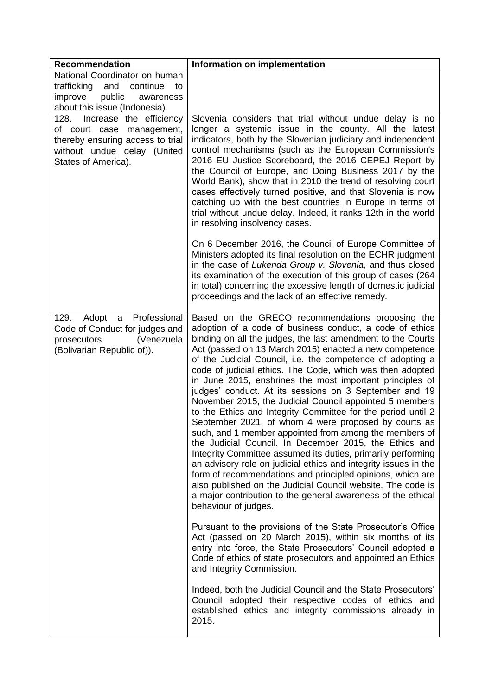| <b>Recommendation</b>                                                                     | Information on implementation                                                                                                                                                                                                                                                                                                                                                                                                                                                                                                                                                                                                                                                                                                                                                                                                                                                                                                                                                                                                                                                                     |
|-------------------------------------------------------------------------------------------|---------------------------------------------------------------------------------------------------------------------------------------------------------------------------------------------------------------------------------------------------------------------------------------------------------------------------------------------------------------------------------------------------------------------------------------------------------------------------------------------------------------------------------------------------------------------------------------------------------------------------------------------------------------------------------------------------------------------------------------------------------------------------------------------------------------------------------------------------------------------------------------------------------------------------------------------------------------------------------------------------------------------------------------------------------------------------------------------------|
| National Coordinator on human                                                             |                                                                                                                                                                                                                                                                                                                                                                                                                                                                                                                                                                                                                                                                                                                                                                                                                                                                                                                                                                                                                                                                                                   |
| trafficking and continue<br>to                                                            |                                                                                                                                                                                                                                                                                                                                                                                                                                                                                                                                                                                                                                                                                                                                                                                                                                                                                                                                                                                                                                                                                                   |
| public<br>improve<br>awareness                                                            |                                                                                                                                                                                                                                                                                                                                                                                                                                                                                                                                                                                                                                                                                                                                                                                                                                                                                                                                                                                                                                                                                                   |
| about this issue (Indonesia).                                                             |                                                                                                                                                                                                                                                                                                                                                                                                                                                                                                                                                                                                                                                                                                                                                                                                                                                                                                                                                                                                                                                                                                   |
| 128.<br>Increase the efficiency                                                           | Slovenia considers that trial without undue delay is no                                                                                                                                                                                                                                                                                                                                                                                                                                                                                                                                                                                                                                                                                                                                                                                                                                                                                                                                                                                                                                           |
| of court case management,                                                                 | longer a systemic issue in the county. All the latest<br>indicators, both by the Slovenian judiciary and independent                                                                                                                                                                                                                                                                                                                                                                                                                                                                                                                                                                                                                                                                                                                                                                                                                                                                                                                                                                              |
| thereby ensuring access to trial<br>without undue delay (United                           | control mechanisms (such as the European Commission's                                                                                                                                                                                                                                                                                                                                                                                                                                                                                                                                                                                                                                                                                                                                                                                                                                                                                                                                                                                                                                             |
| States of America).                                                                       | 2016 EU Justice Scoreboard, the 2016 CEPEJ Report by<br>the Council of Europe, and Doing Business 2017 by the<br>World Bank), show that in 2010 the trend of resolving court<br>cases effectively turned positive, and that Slovenia is now<br>catching up with the best countries in Europe in terms of<br>trial without undue delay. Indeed, it ranks 12th in the world<br>in resolving insolvency cases.                                                                                                                                                                                                                                                                                                                                                                                                                                                                                                                                                                                                                                                                                       |
|                                                                                           | On 6 December 2016, the Council of Europe Committee of<br>Ministers adopted its final resolution on the ECHR judgment<br>in the case of Lukenda Group v. Slovenia, and thus closed<br>its examination of the execution of this group of cases (264<br>in total) concerning the excessive length of domestic judicial<br>proceedings and the lack of an effective remedy.                                                                                                                                                                                                                                                                                                                                                                                                                                                                                                                                                                                                                                                                                                                          |
| 129.<br>Professional<br>Adopt<br>$\mathsf{a}$                                             | Based on the GRECO recommendations proposing the                                                                                                                                                                                                                                                                                                                                                                                                                                                                                                                                                                                                                                                                                                                                                                                                                                                                                                                                                                                                                                                  |
| Code of Conduct for judges and<br>prosecutors<br>(Venezuela<br>(Bolivarian Republic of)). | adoption of a code of business conduct, a code of ethics<br>binding on all the judges, the last amendment to the Courts<br>Act (passed on 13 March 2015) enacted a new competence<br>of the Judicial Council, i.e. the competence of adopting a<br>code of judicial ethics. The Code, which was then adopted<br>in June 2015, enshrines the most important principles of<br>judges' conduct. At its sessions on 3 September and 19<br>November 2015, the Judicial Council appointed 5 members<br>to the Ethics and Integrity Committee for the period until 2<br>September 2021, of whom 4 were proposed by courts as<br>such, and 1 member appointed from among the members of<br>the Judicial Council. In December 2015, the Ethics and<br>Integrity Committee assumed its duties, primarily performing<br>an advisory role on judicial ethics and integrity issues in the<br>form of recommendations and principled opinions, which are<br>also published on the Judicial Council website. The code is<br>a major contribution to the general awareness of the ethical<br>behaviour of judges. |
|                                                                                           | Pursuant to the provisions of the State Prosecutor's Office<br>Act (passed on 20 March 2015), within six months of its<br>entry into force, the State Prosecutors' Council adopted a<br>Code of ethics of state prosecutors and appointed an Ethics<br>and Integrity Commission.                                                                                                                                                                                                                                                                                                                                                                                                                                                                                                                                                                                                                                                                                                                                                                                                                  |
|                                                                                           | Indeed, both the Judicial Council and the State Prosecutors'<br>Council adopted their respective codes of ethics and<br>established ethics and integrity commissions already in<br>2015.                                                                                                                                                                                                                                                                                                                                                                                                                                                                                                                                                                                                                                                                                                                                                                                                                                                                                                          |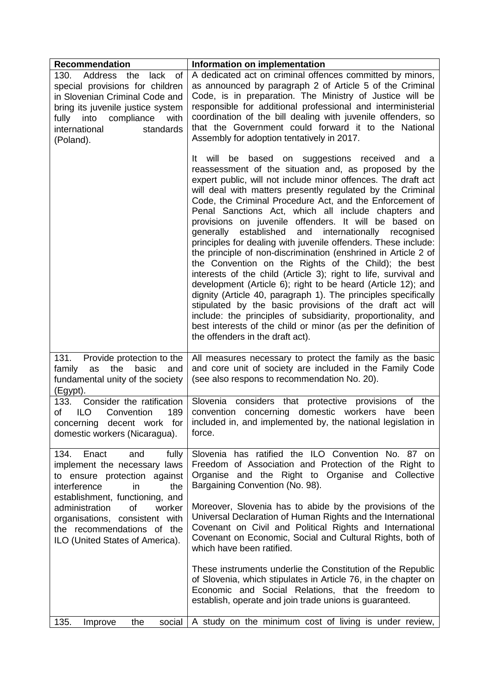| <b>Recommendation</b>                                                                                                                                                                                                   | Information on implementation                                                                                                                                                                                                                                                                                                                                                                                                                                                                                                                                                                                                                                                                                                                                                                                                                                                                                                                                                                                                                                                                                                               |
|-------------------------------------------------------------------------------------------------------------------------------------------------------------------------------------------------------------------------|---------------------------------------------------------------------------------------------------------------------------------------------------------------------------------------------------------------------------------------------------------------------------------------------------------------------------------------------------------------------------------------------------------------------------------------------------------------------------------------------------------------------------------------------------------------------------------------------------------------------------------------------------------------------------------------------------------------------------------------------------------------------------------------------------------------------------------------------------------------------------------------------------------------------------------------------------------------------------------------------------------------------------------------------------------------------------------------------------------------------------------------------|
| 130. Address the<br>lack of<br>special provisions for children<br>in Slovenian Criminal Code and<br>bring its juvenile justice system<br>into<br>compliance<br>fully<br>with<br>international<br>standards<br>(Poland). | A dedicated act on criminal offences committed by minors,<br>as announced by paragraph 2 of Article 5 of the Criminal<br>Code, is in preparation. The Ministry of Justice will be<br>responsible for additional professional and interministerial<br>coordination of the bill dealing with juvenile offenders, so<br>that the Government could forward it to the National<br>Assembly for adoption tentatively in 2017.                                                                                                                                                                                                                                                                                                                                                                                                                                                                                                                                                                                                                                                                                                                     |
|                                                                                                                                                                                                                         | It will<br>be<br>based<br>on suggestions received<br>and<br>- a<br>reassessment of the situation and, as proposed by the<br>expert public, will not include minor offences. The draft act<br>will deal with matters presently regulated by the Criminal<br>Code, the Criminal Procedure Act, and the Enforcement of<br>Penal Sanctions Act, which all include chapters and<br>provisions on juvenile offenders. It will be based on<br>and<br>internationally<br>generally<br>established<br>recognised<br>principles for dealing with juvenile offenders. These include:<br>the principle of non-discrimination (enshrined in Article 2 of<br>the Convention on the Rights of the Child); the best<br>interests of the child (Article 3); right to life, survival and<br>development (Article 6); right to be heard (Article 12); and<br>dignity (Article 40, paragraph 1). The principles specifically<br>stipulated by the basic provisions of the draft act will<br>include: the principles of subsidiarity, proportionality, and<br>best interests of the child or minor (as per the definition of<br>the offenders in the draft act). |
| 131.<br>Provide protection to the<br>the<br>family as<br>basic<br>and<br>fundamental unity of the society<br>(Egypt).                                                                                                   | All measures necessary to protect the family as the basic<br>and core unit of society are included in the Family Code<br>(see also respons to recommendation No. 20).                                                                                                                                                                                                                                                                                                                                                                                                                                                                                                                                                                                                                                                                                                                                                                                                                                                                                                                                                                       |
| Consider the ratification<br>133.<br>of<br><b>ILO</b><br>Convention<br>189<br>for<br>concerning decent work<br>domestic workers (Nicaragua).                                                                            | Slovenia considers that protective provisions<br>of the<br>concerning domestic workers have been<br>convention<br>included in, and implemented by, the national legislation in<br>force.                                                                                                                                                                                                                                                                                                                                                                                                                                                                                                                                                                                                                                                                                                                                                                                                                                                                                                                                                    |
| 134.<br>Enact<br>fully<br>and<br>implement the necessary laws<br>to ensure protection against<br>interference<br>the<br>in.<br>establishment, functioning, and                                                          | Slovenia has ratified the ILO Convention No. 87 on<br>Freedom of Association and Protection of the Right to<br>Organise and the Right to Organise and Collective<br>Bargaining Convention (No. 98).                                                                                                                                                                                                                                                                                                                                                                                                                                                                                                                                                                                                                                                                                                                                                                                                                                                                                                                                         |
| <b>of</b><br>worker<br>administration<br>organisations, consistent with<br>the recommendations of the<br>ILO (United States of America).                                                                                | Moreover, Slovenia has to abide by the provisions of the<br>Universal Declaration of Human Rights and the International<br>Covenant on Civil and Political Rights and International<br>Covenant on Economic, Social and Cultural Rights, both of<br>which have been ratified.                                                                                                                                                                                                                                                                                                                                                                                                                                                                                                                                                                                                                                                                                                                                                                                                                                                               |
|                                                                                                                                                                                                                         | These instruments underlie the Constitution of the Republic<br>of Slovenia, which stipulates in Article 76, in the chapter on<br>Economic and Social Relations, that the freedom to<br>establish, operate and join trade unions is guaranteed.                                                                                                                                                                                                                                                                                                                                                                                                                                                                                                                                                                                                                                                                                                                                                                                                                                                                                              |
| 135.<br>the<br>social<br>Improve                                                                                                                                                                                        | A study on the minimum cost of living is under review,                                                                                                                                                                                                                                                                                                                                                                                                                                                                                                                                                                                                                                                                                                                                                                                                                                                                                                                                                                                                                                                                                      |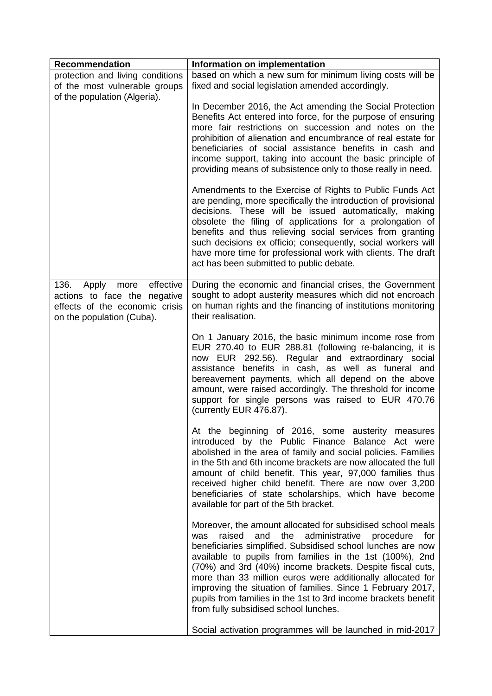| Recommendation                                                                                                                 | Information on implementation                                                                                                                                                                                                                                                                                                                                                                                                                                                                                                                                          |
|--------------------------------------------------------------------------------------------------------------------------------|------------------------------------------------------------------------------------------------------------------------------------------------------------------------------------------------------------------------------------------------------------------------------------------------------------------------------------------------------------------------------------------------------------------------------------------------------------------------------------------------------------------------------------------------------------------------|
| protection and living conditions<br>of the most vulnerable groups<br>of the population (Algeria).                              | based on which a new sum for minimum living costs will be<br>fixed and social legislation amended accordingly.                                                                                                                                                                                                                                                                                                                                                                                                                                                         |
|                                                                                                                                | In December 2016, the Act amending the Social Protection<br>Benefits Act entered into force, for the purpose of ensuring<br>more fair restrictions on succession and notes on the<br>prohibition of alienation and encumbrance of real estate for<br>beneficiaries of social assistance benefits in cash and<br>income support, taking into account the basic principle of<br>providing means of subsistence only to those really in need.                                                                                                                             |
|                                                                                                                                | Amendments to the Exercise of Rights to Public Funds Act<br>are pending, more specifically the introduction of provisional<br>decisions. These will be issued automatically, making<br>obsolete the filing of applications for a prolongation of<br>benefits and thus relieving social services from granting<br>such decisions ex officio; consequently, social workers will<br>have more time for professional work with clients. The draft<br>act has been submitted to public debate.                                                                              |
| effective<br>136.<br>Apply more<br>actions to face the negative<br>effects of the economic crisis<br>on the population (Cuba). | During the economic and financial crises, the Government<br>sought to adopt austerity measures which did not encroach<br>on human rights and the financing of institutions monitoring<br>their realisation.                                                                                                                                                                                                                                                                                                                                                            |
|                                                                                                                                | On 1 January 2016, the basic minimum income rose from<br>EUR 270.40 to EUR 288.81 (following re-balancing, it is<br>now EUR 292.56). Regular and extraordinary social<br>assistance benefits in cash, as well as funeral and<br>bereavement payments, which all depend on the above<br>amount, were raised accordingly. The threshold for income<br>support for single persons was raised to EUR 470.76<br>(currently EUR 476.87).                                                                                                                                     |
|                                                                                                                                | At the beginning of 2016, some austerity measures<br>introduced by the Public Finance Balance Act were<br>abolished in the area of family and social policies. Families<br>in the 5th and 6th income brackets are now allocated the full<br>amount of child benefit. This year, 97,000 families thus<br>received higher child benefit. There are now over 3,200<br>beneficiaries of state scholarships, which have become<br>available for part of the 5th bracket.                                                                                                    |
|                                                                                                                                | Moreover, the amount allocated for subsidised school meals<br>raised<br>and<br>the<br>administrative<br>procedure<br>for<br><b>was</b><br>beneficiaries simplified. Subsidised school lunches are now<br>available to pupils from families in the 1st (100%), 2nd<br>(70%) and 3rd (40%) income brackets. Despite fiscal cuts,<br>more than 33 million euros were additionally allocated for<br>improving the situation of families. Since 1 February 2017,<br>pupils from families in the 1st to 3rd income brackets benefit<br>from fully subsidised school lunches. |
|                                                                                                                                | Social activation programmes will be launched in mid-2017                                                                                                                                                                                                                                                                                                                                                                                                                                                                                                              |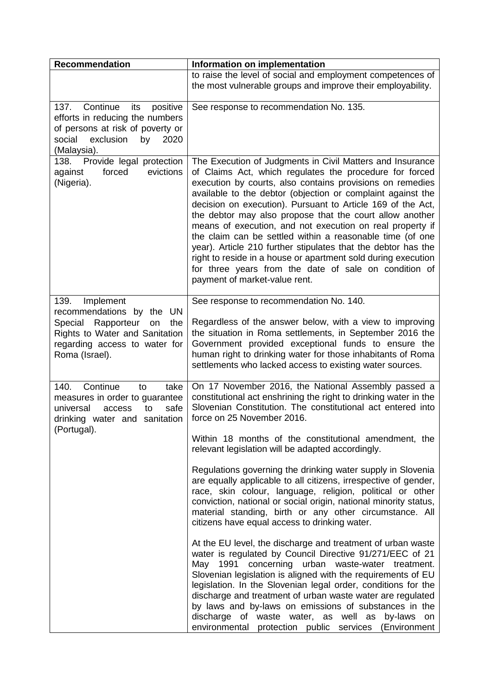| <b>Recommendation</b>                                                                                                                                                     | Information on implementation                                                                                                                                                                                                                                                                                                                                                                                                                                                                                                                                                                                                                                                                                                                                                                                                                                                                                                                                                                                                                                                                                                                                                                                                                                        |
|---------------------------------------------------------------------------------------------------------------------------------------------------------------------------|----------------------------------------------------------------------------------------------------------------------------------------------------------------------------------------------------------------------------------------------------------------------------------------------------------------------------------------------------------------------------------------------------------------------------------------------------------------------------------------------------------------------------------------------------------------------------------------------------------------------------------------------------------------------------------------------------------------------------------------------------------------------------------------------------------------------------------------------------------------------------------------------------------------------------------------------------------------------------------------------------------------------------------------------------------------------------------------------------------------------------------------------------------------------------------------------------------------------------------------------------------------------|
|                                                                                                                                                                           | to raise the level of social and employment competences of<br>the most vulnerable groups and improve their employability.                                                                                                                                                                                                                                                                                                                                                                                                                                                                                                                                                                                                                                                                                                                                                                                                                                                                                                                                                                                                                                                                                                                                            |
| 137.<br>Continue<br>its<br>positive<br>efforts in reducing the numbers<br>of persons at risk of poverty or<br>social<br>exclusion<br>by<br>2020<br>(Malaysia).            | See response to recommendation No. 135.                                                                                                                                                                                                                                                                                                                                                                                                                                                                                                                                                                                                                                                                                                                                                                                                                                                                                                                                                                                                                                                                                                                                                                                                                              |
| Provide legal protection<br>138.<br>forced<br>evictions<br>against<br>(Nigeria).                                                                                          | The Execution of Judgments in Civil Matters and Insurance<br>of Claims Act, which regulates the procedure for forced<br>execution by courts, also contains provisions on remedies<br>available to the debtor (objection or complaint against the<br>decision on execution). Pursuant to Article 169 of the Act,<br>the debtor may also propose that the court allow another<br>means of execution, and not execution on real property if<br>the claim can be settled within a reasonable time (of one<br>year). Article 210 further stipulates that the debtor has the<br>right to reside in a house or apartment sold during execution<br>for three years from the date of sale on condition of<br>payment of market-value rent.                                                                                                                                                                                                                                                                                                                                                                                                                                                                                                                                    |
| 139.<br>Implement<br>recommendations by the UN<br>Rapporteur<br>the<br>Special<br>on<br>Rights to Water and Sanitation<br>regarding access to water for<br>Roma (Israel). | See response to recommendation No. 140.<br>Regardless of the answer below, with a view to improving<br>the situation in Roma settlements, in September 2016 the<br>Government provided exceptional funds to ensure the<br>human right to drinking water for those inhabitants of Roma<br>settlements who lacked access to existing water sources.                                                                                                                                                                                                                                                                                                                                                                                                                                                                                                                                                                                                                                                                                                                                                                                                                                                                                                                    |
| 140.<br>Continue<br>take<br>to<br>measures in order to guarantee<br>universal<br>safe<br>access<br>to<br>drinking water and sanitation<br>(Portugal).                     | On 17 November 2016, the National Assembly passed a<br>constitutional act enshrining the right to drinking water in the<br>Slovenian Constitution. The constitutional act entered into<br>force on 25 November 2016.<br>Within 18 months of the constitutional amendment, the<br>relevant legislation will be adapted accordingly.<br>Regulations governing the drinking water supply in Slovenia<br>are equally applicable to all citizens, irrespective of gender,<br>race, skin colour, language, religion, political or other<br>conviction, national or social origin, national minority status,<br>material standing, birth or any other circumstance. All<br>citizens have equal access to drinking water.<br>At the EU level, the discharge and treatment of urban waste<br>water is regulated by Council Directive 91/271/EEC of 21<br>May 1991 concerning urban waste-water treatment.<br>Slovenian legislation is aligned with the requirements of EU<br>legislation. In the Slovenian legal order, conditions for the<br>discharge and treatment of urban waste water are regulated<br>by laws and by-laws on emissions of substances in the<br>discharge of waste water, as well as by-laws on<br>environmental protection public services (Environment |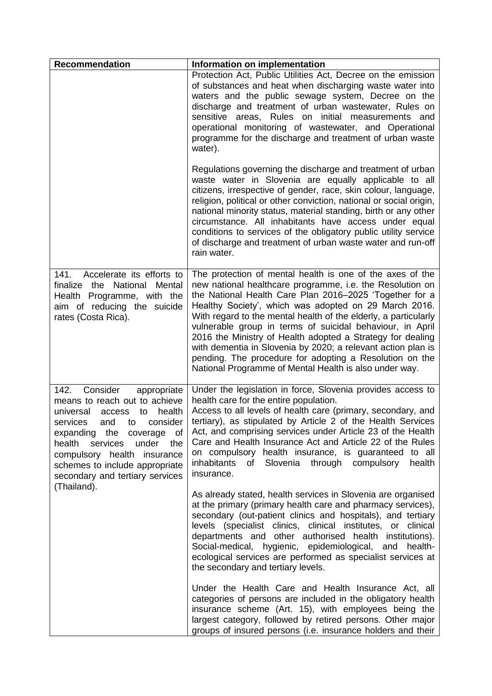| <b>Recommendation</b>                                                                                                                                                                                                                                                                                                           | Information on implementation                                                                                                                                                                                                                                                                                                                                                                                                                                                                                                                                                                                                 |
|---------------------------------------------------------------------------------------------------------------------------------------------------------------------------------------------------------------------------------------------------------------------------------------------------------------------------------|-------------------------------------------------------------------------------------------------------------------------------------------------------------------------------------------------------------------------------------------------------------------------------------------------------------------------------------------------------------------------------------------------------------------------------------------------------------------------------------------------------------------------------------------------------------------------------------------------------------------------------|
|                                                                                                                                                                                                                                                                                                                                 | Protection Act, Public Utilities Act, Decree on the emission<br>of substances and heat when discharging waste water into<br>waters and the public sewage system, Decree on the<br>discharge and treatment of urban wastewater, Rules on<br>sensitive areas, Rules on initial measurements and<br>operational monitoring of wastewater, and Operational<br>programme for the discharge and treatment of urban waste<br>water).                                                                                                                                                                                                 |
|                                                                                                                                                                                                                                                                                                                                 | Regulations governing the discharge and treatment of urban<br>waste water in Slovenia are equally applicable to all<br>citizens, irrespective of gender, race, skin colour, language,<br>religion, political or other conviction, national or social origin,<br>national minority status, material standing, birth or any other<br>circumstance. All inhabitants have access under equal<br>conditions to services of the obligatory public utility service<br>of discharge and treatment of urban waste water and run-off<br>rain water.                                                                                     |
| Accelerate its efforts to<br>141.<br>finalize the<br>National<br>Mental<br>Health Programme, with the<br>aim of reducing the suicide<br>rates (Costa Rica).                                                                                                                                                                     | The protection of mental health is one of the axes of the<br>new national healthcare programme, i.e. the Resolution on<br>the National Health Care Plan 2016-2025 'Together for a<br>Healthy Society', which was adopted on 29 March 2016.<br>With regard to the mental health of the elderly, a particularly<br>vulnerable group in terms of suicidal behaviour, in April<br>2016 the Ministry of Health adopted a Strategy for dealing<br>with dementia in Slovenia by 2020; a relevant action plan is<br>pending. The procedure for adopting a Resolution on the<br>National Programme of Mental Health is also under way. |
| Consider<br>142.<br>appropriate<br>means to reach out to achieve<br>health<br>universal<br>to<br>access<br>consider<br>services<br>and<br>to<br>expanding the coverage<br>0f<br>health services<br>under the<br>compulsory health insurance<br>schemes to include appropriate<br>secondary and tertiary services<br>(Thailand). | Under the legislation in force, Slovenia provides access to<br>health care for the entire population.<br>Access to all levels of health care (primary, secondary, and<br>tertiary), as stipulated by Article 2 of the Health Services<br>Act, and comprising services under Article 23 of the Health<br>Care and Health Insurance Act and Article 22 of the Rules<br>on compulsory health insurance, is guaranteed to all<br>of Slovenia through compulsory<br>inhabitants<br>health<br>insurance.                                                                                                                            |
|                                                                                                                                                                                                                                                                                                                                 | As already stated, health services in Slovenia are organised<br>at the primary (primary health care and pharmacy services),<br>secondary (out-patient clinics and hospitals), and tertiary<br>levels (specialist clinics, clinical institutes, or clinical<br>departments and other authorised health institutions).<br>Social-medical, hygienic, epidemiological, and health-<br>ecological services are performed as specialist services at<br>the secondary and tertiary levels.                                                                                                                                           |
|                                                                                                                                                                                                                                                                                                                                 | Under the Health Care and Health Insurance Act, all<br>categories of persons are included in the obligatory health<br>insurance scheme (Art. 15), with employees being the<br>largest category, followed by retired persons. Other major<br>groups of insured persons (i.e. insurance holders and their                                                                                                                                                                                                                                                                                                                       |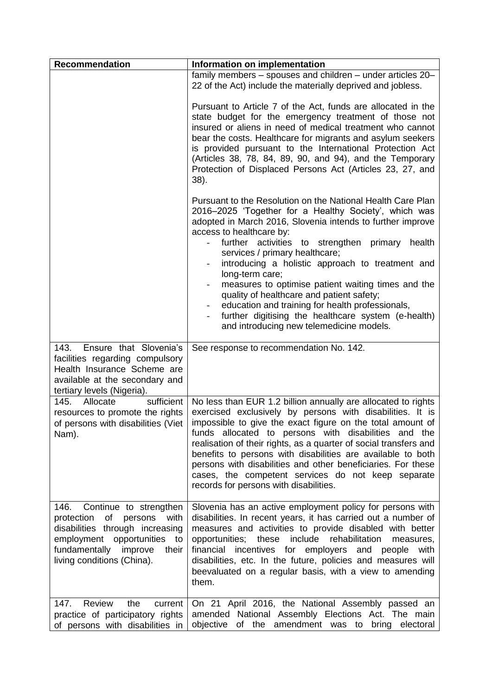| <b>Recommendation</b>                                                                                                                                                                                | Information on implementation                                                                                                                                                                                                                                                                                                                                                                                                                                                                                                                                                                                                           |
|------------------------------------------------------------------------------------------------------------------------------------------------------------------------------------------------------|-----------------------------------------------------------------------------------------------------------------------------------------------------------------------------------------------------------------------------------------------------------------------------------------------------------------------------------------------------------------------------------------------------------------------------------------------------------------------------------------------------------------------------------------------------------------------------------------------------------------------------------------|
|                                                                                                                                                                                                      | family members - spouses and children - under articles 20-<br>22 of the Act) include the materially deprived and jobless.                                                                                                                                                                                                                                                                                                                                                                                                                                                                                                               |
|                                                                                                                                                                                                      | Pursuant to Article 7 of the Act, funds are allocated in the<br>state budget for the emergency treatment of those not<br>insured or aliens in need of medical treatment who cannot<br>bear the costs. Healthcare for migrants and asylum seekers<br>is provided pursuant to the International Protection Act<br>(Articles 38, 78, 84, 89, 90, and 94), and the Temporary<br>Protection of Displaced Persons Act (Articles 23, 27, and<br>38).                                                                                                                                                                                           |
|                                                                                                                                                                                                      | Pursuant to the Resolution on the National Health Care Plan<br>2016-2025 'Together for a Healthy Society', which was<br>adopted in March 2016, Slovenia intends to further improve<br>access to healthcare by:<br>further activities to strengthen primary<br>health<br>services / primary healthcare;<br>introducing a holistic approach to treatment and<br>long-term care;<br>measures to optimise patient waiting times and the<br>quality of healthcare and patient safety;<br>education and training for health professionals,<br>further digitising the healthcare system (e-health)<br>and introducing new telemedicine models. |
| Ensure that Slovenia's<br>143.<br>facilities regarding compulsory<br>Health Insurance Scheme are<br>available at the secondary and<br>tertiary levels (Nigeria).                                     | See response to recommendation No. 142.                                                                                                                                                                                                                                                                                                                                                                                                                                                                                                                                                                                                 |
| sufficient<br>145.<br>Allocate<br>resources to promote the rights<br>of persons with disabilities (Viet<br>Nam).                                                                                     | No less than EUR 1.2 billion annually are allocated to rights<br>exercised exclusively by persons with disabilities. It is<br>impossible to give the exact figure on the total amount of<br>funds allocated to persons with disabilities and the<br>realisation of their rights, as a quarter of social transfers and<br>benefits to persons with disabilities are available to both<br>persons with disabilities and other beneficiaries. For these<br>cases, the competent services do not keep separate<br>records for persons with disabilities.                                                                                    |
| Continue to strengthen<br>146.<br>protection of persons<br>with<br>disabilities through increasing<br>employment opportunities to<br>fundamentally<br>improve<br>their<br>living conditions (China). | Slovenia has an active employment policy for persons with<br>disabilities. In recent years, it has carried out a number of<br>measures and activities to provide disabled with better<br>include<br>opportunities;<br>these<br>rehabilitation<br>measures,<br>financial<br>incentives for employers<br>and<br>people<br>with<br>disabilities, etc. In the future, policies and measures will<br>beevaluated on a regular basis, with a view to amending<br>them.                                                                                                                                                                        |
| Review<br>147.<br>the<br>current<br>practice of participatory rights<br>of persons with disabilities in                                                                                              | On 21 April 2016, the National Assembly passed an<br>amended National Assembly Elections Act. The main<br>objective<br>of the<br>amendment was to<br>bring<br>electoral                                                                                                                                                                                                                                                                                                                                                                                                                                                                 |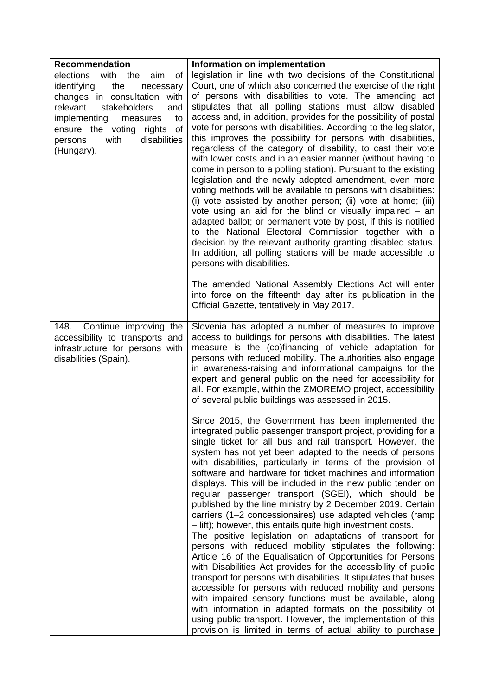| Recommendation                                                                                                                                                                                                                                                   | Information on implementation                                                                                                                                                                                                                                                                                                                                                                                                                                                                                                                                                                                                                                                                                                                                                                                                                                                                                                                                                                                                                                                                                                                                                                                                                                                                                                               |
|------------------------------------------------------------------------------------------------------------------------------------------------------------------------------------------------------------------------------------------------------------------|---------------------------------------------------------------------------------------------------------------------------------------------------------------------------------------------------------------------------------------------------------------------------------------------------------------------------------------------------------------------------------------------------------------------------------------------------------------------------------------------------------------------------------------------------------------------------------------------------------------------------------------------------------------------------------------------------------------------------------------------------------------------------------------------------------------------------------------------------------------------------------------------------------------------------------------------------------------------------------------------------------------------------------------------------------------------------------------------------------------------------------------------------------------------------------------------------------------------------------------------------------------------------------------------------------------------------------------------|
| with the<br>elections<br>aim<br>οf<br>identifying<br>the<br>necessary<br>changes in consultation with<br>stakeholders<br>relevant<br>and<br>implementing<br>to<br>measures<br>ensure the voting<br>rights<br>of<br>disabilities<br>with<br>persons<br>(Hungary). | legislation in line with two decisions of the Constitutional<br>Court, one of which also concerned the exercise of the right<br>of persons with disabilities to vote. The amending act<br>stipulates that all polling stations must allow disabled<br>access and, in addition, provides for the possibility of postal<br>vote for persons with disabilities. According to the legislator,<br>this improves the possibility for persons with disabilities,<br>regardless of the category of disability, to cast their vote<br>with lower costs and in an easier manner (without having to<br>come in person to a polling station). Pursuant to the existing<br>legislation and the newly adopted amendment, even more<br>voting methods will be available to persons with disabilities:<br>(i) vote assisted by another person; (ii) vote at home; (iii)<br>vote using an aid for the blind or visually impaired - an<br>adapted ballot; or permanent vote by post, if this is notified<br>to the National Electoral Commission together with a<br>decision by the relevant authority granting disabled status.<br>In addition, all polling stations will be made accessible to<br>persons with disabilities.<br>The amended National Assembly Elections Act will enter                                                                      |
|                                                                                                                                                                                                                                                                  | into force on the fifteenth day after its publication in the<br>Official Gazette, tentatively in May 2017.                                                                                                                                                                                                                                                                                                                                                                                                                                                                                                                                                                                                                                                                                                                                                                                                                                                                                                                                                                                                                                                                                                                                                                                                                                  |
| 148.<br>Continue improving the<br>accessibility to transports and<br>infrastructure for persons with<br>disabilities (Spain).                                                                                                                                    | Slovenia has adopted a number of measures to improve<br>access to buildings for persons with disabilities. The latest<br>measure is the (co)financing of vehicle adaptation for<br>persons with reduced mobility. The authorities also engage<br>in awareness-raising and informational campaigns for the<br>expert and general public on the need for accessibility for<br>all. For example, within the ZMOREMO project, accessibility<br>of several public buildings was assessed in 2015.                                                                                                                                                                                                                                                                                                                                                                                                                                                                                                                                                                                                                                                                                                                                                                                                                                                |
|                                                                                                                                                                                                                                                                  | Since 2015, the Government has been implemented the<br>integrated public passenger transport project, providing for a<br>single ticket for all bus and rail transport. However, the<br>system has not yet been adapted to the needs of persons<br>with disabilities, particularly in terms of the provision of<br>software and hardware for ticket machines and information<br>displays. This will be included in the new public tender on<br>regular passenger transport (SGEI), which should be<br>published by the line ministry by 2 December 2019. Certain<br>carriers (1-2 concessionaires) use adapted vehicles (ramp<br>- lift); however, this entails quite high investment costs.<br>The positive legislation on adaptations of transport for<br>persons with reduced mobility stipulates the following:<br>Article 16 of the Equalisation of Opportunities for Persons<br>with Disabilities Act provides for the accessibility of public<br>transport for persons with disabilities. It stipulates that buses<br>accessible for persons with reduced mobility and persons<br>with impaired sensory functions must be available, along<br>with information in adapted formats on the possibility of<br>using public transport. However, the implementation of this<br>provision is limited in terms of actual ability to purchase |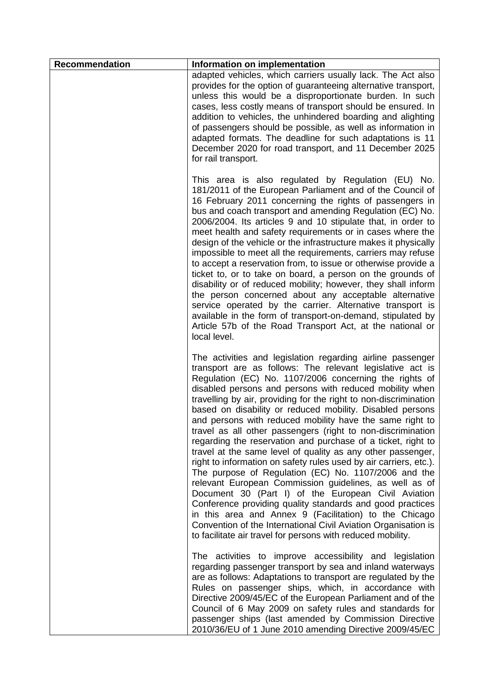| <b>Recommendation</b> | Information on implementation                                                                                                                                                                                                                                                                                                                                                                                                                                                                                                                                                                                                                                                                                                                                                                                                                                                                                                                                                                                                                                                                                                                 |
|-----------------------|-----------------------------------------------------------------------------------------------------------------------------------------------------------------------------------------------------------------------------------------------------------------------------------------------------------------------------------------------------------------------------------------------------------------------------------------------------------------------------------------------------------------------------------------------------------------------------------------------------------------------------------------------------------------------------------------------------------------------------------------------------------------------------------------------------------------------------------------------------------------------------------------------------------------------------------------------------------------------------------------------------------------------------------------------------------------------------------------------------------------------------------------------|
|                       | adapted vehicles, which carriers usually lack. The Act also<br>provides for the option of guaranteeing alternative transport,<br>unless this would be a disproportionate burden. In such<br>cases, less costly means of transport should be ensured. In<br>addition to vehicles, the unhindered boarding and alighting<br>of passengers should be possible, as well as information in<br>adapted formats. The deadline for such adaptations is 11<br>December 2020 for road transport, and 11 December 2025<br>for rail transport.                                                                                                                                                                                                                                                                                                                                                                                                                                                                                                                                                                                                            |
|                       | This area is also regulated by Regulation (EU) No.<br>181/2011 of the European Parliament and of the Council of<br>16 February 2011 concerning the rights of passengers in<br>bus and coach transport and amending Regulation (EC) No.<br>2006/2004. Its articles 9 and 10 stipulate that, in order to<br>meet health and safety requirements or in cases where the<br>design of the vehicle or the infrastructure makes it physically<br>impossible to meet all the requirements, carriers may refuse<br>to accept a reservation from, to issue or otherwise provide a<br>ticket to, or to take on board, a person on the grounds of<br>disability or of reduced mobility; however, they shall inform<br>the person concerned about any acceptable alternative<br>service operated by the carrier. Alternative transport is<br>available in the form of transport-on-demand, stipulated by<br>Article 57b of the Road Transport Act, at the national or<br>local level.                                                                                                                                                                      |
|                       | The activities and legislation regarding airline passenger<br>transport are as follows: The relevant legislative act is<br>Regulation (EC) No. 1107/2006 concerning the rights of<br>disabled persons and persons with reduced mobility when<br>travelling by air, providing for the right to non-discrimination<br>based on disability or reduced mobility. Disabled persons<br>and persons with reduced mobility have the same right to<br>travel as all other passengers (right to non-discrimination<br>regarding the reservation and purchase of a ticket, right to<br>travel at the same level of quality as any other passenger,<br>right to information on safety rules used by air carriers, etc.).<br>The purpose of Regulation (EC) No. 1107/2006 and the<br>relevant European Commission guidelines, as well as of<br>Document 30 (Part I) of the European Civil Aviation<br>Conference providing quality standards and good practices<br>in this area and Annex 9 (Facilitation) to the Chicago<br>Convention of the International Civil Aviation Organisation is<br>to facilitate air travel for persons with reduced mobility. |
|                       | The activities to improve accessibility and legislation<br>regarding passenger transport by sea and inland waterways<br>are as follows: Adaptations to transport are regulated by the<br>Rules on passenger ships, which, in accordance with<br>Directive 2009/45/EC of the European Parliament and of the<br>Council of 6 May 2009 on safety rules and standards for<br>passenger ships (last amended by Commission Directive<br>2010/36/EU of 1 June 2010 amending Directive 2009/45/EC                                                                                                                                                                                                                                                                                                                                                                                                                                                                                                                                                                                                                                                     |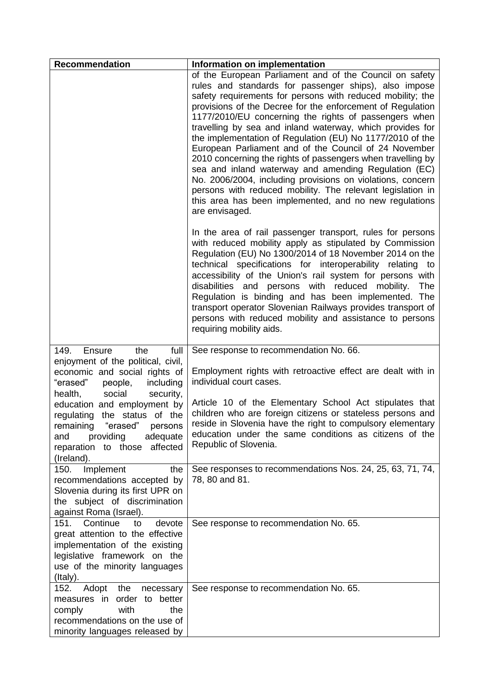| <b>Recommendation</b>                                                                                                                                                            | Information on implementation                                                                                                                                                                                                                                                                                                                                                                                                                                                                                                                                                                                                                                                                                                                                                                                           |
|----------------------------------------------------------------------------------------------------------------------------------------------------------------------------------|-------------------------------------------------------------------------------------------------------------------------------------------------------------------------------------------------------------------------------------------------------------------------------------------------------------------------------------------------------------------------------------------------------------------------------------------------------------------------------------------------------------------------------------------------------------------------------------------------------------------------------------------------------------------------------------------------------------------------------------------------------------------------------------------------------------------------|
|                                                                                                                                                                                  | of the European Parliament and of the Council on safety<br>rules and standards for passenger ships), also impose<br>safety requirements for persons with reduced mobility; the<br>provisions of the Decree for the enforcement of Regulation<br>1177/2010/EU concerning the rights of passengers when<br>travelling by sea and inland waterway, which provides for<br>the implementation of Regulation (EU) No 1177/2010 of the<br>European Parliament and of the Council of 24 November<br>2010 concerning the rights of passengers when travelling by<br>sea and inland waterway and amending Regulation (EC)<br>No. 2006/2004, including provisions on violations, concern<br>persons with reduced mobility. The relevant legislation in<br>this area has been implemented, and no new regulations<br>are envisaged. |
|                                                                                                                                                                                  | In the area of rail passenger transport, rules for persons<br>with reduced mobility apply as stipulated by Commission<br>Regulation (EU) No 1300/2014 of 18 November 2014 on the<br>technical specifications for interoperability relating to<br>accessibility of the Union's rail system for persons with<br>disabilities and persons with reduced mobility.<br>The<br>Regulation is binding and has been implemented. The<br>transport operator Slovenian Railways provides transport of<br>persons with reduced mobility and assistance to persons<br>requiring mobility aids.                                                                                                                                                                                                                                       |
| the<br>full<br>149.<br>Ensure                                                                                                                                                    | See response to recommendation No. 66.                                                                                                                                                                                                                                                                                                                                                                                                                                                                                                                                                                                                                                                                                                                                                                                  |
| enjoyment of the political, civil,<br>economic and social rights of<br>"erased"<br>people,<br>including<br>social<br>security,<br>health,                                        | Employment rights with retroactive effect are dealt with in<br>individual court cases.                                                                                                                                                                                                                                                                                                                                                                                                                                                                                                                                                                                                                                                                                                                                  |
| education and employment by<br>regulating the status of the<br>"erased"<br>remaining<br>persons<br>providing<br>adequate<br>and<br>reparation to those affected<br>(Ireland).    | Article 10 of the Elementary School Act stipulates that<br>children who are foreign citizens or stateless persons and<br>reside in Slovenia have the right to compulsory elementary<br>education under the same conditions as citizens of the<br>Republic of Slovenia.                                                                                                                                                                                                                                                                                                                                                                                                                                                                                                                                                  |
| Implement<br>the<br>150.<br>recommendations accepted by<br>Slovenia during its first UPR on<br>the subject of discrimination<br>against Roma (Israel).                           | See responses to recommendations Nos. 24, 25, 63, 71, 74,<br>78, 80 and 81.                                                                                                                                                                                                                                                                                                                                                                                                                                                                                                                                                                                                                                                                                                                                             |
| 151. Continue<br>devote<br>to<br>great attention to the effective<br>implementation of the existing<br>legislative framework on the<br>use of the minority languages<br>(Italy). | See response to recommendation No. 65.                                                                                                                                                                                                                                                                                                                                                                                                                                                                                                                                                                                                                                                                                                                                                                                  |
| 152.<br>Adopt<br>the<br>necessary<br>measures in<br>order to better<br>with<br>the<br>comply<br>recommendations on the use of<br>minority languages released by                  | See response to recommendation No. 65.                                                                                                                                                                                                                                                                                                                                                                                                                                                                                                                                                                                                                                                                                                                                                                                  |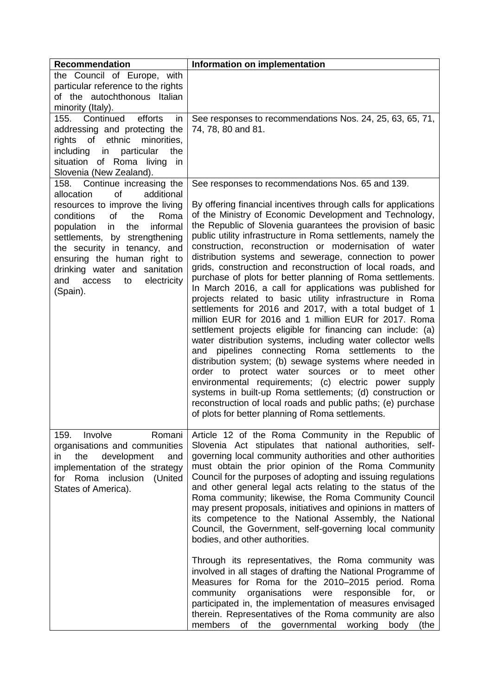| <b>Recommendation</b>                                         | Information on implementation                                                                                          |
|---------------------------------------------------------------|------------------------------------------------------------------------------------------------------------------------|
| the Council of Europe, with                                   |                                                                                                                        |
| particular reference to the rights                            |                                                                                                                        |
| of the autochthonous Italian                                  |                                                                                                                        |
| minority (Italy).                                             |                                                                                                                        |
| Continued<br>efforts<br>155.<br>in                            | See responses to recommendations Nos. 24, 25, 63, 65, 71,                                                              |
| addressing and protecting the                                 | 74, 78, 80 and 81.                                                                                                     |
| rights of ethnic<br>minorities,                               |                                                                                                                        |
| in particular<br>the<br>including                             |                                                                                                                        |
| situation of Roma living<br>in                                |                                                                                                                        |
| Slovenia (New Zealand).                                       |                                                                                                                        |
| 158. Continue increasing the                                  | See responses to recommendations Nos. 65 and 139.                                                                      |
| of<br>additional<br>allocation                                |                                                                                                                        |
| resources to improve the living                               | By offering financial incentives through calls for applications                                                        |
| of<br>the<br>conditions<br>Roma                               | of the Ministry of Economic Development and Technology,<br>the Republic of Slovenia guarantees the provision of basic  |
| informal<br>population<br>in<br>the                           | public utility infrastructure in Roma settlements, namely the                                                          |
| settlements, by strengthening<br>the security in tenancy, and | construction, reconstruction or modernisation of water                                                                 |
| ensuring the human right to                                   | distribution systems and sewerage, connection to power                                                                 |
| drinking water and sanitation                                 | grids, construction and reconstruction of local roads, and                                                             |
| electricity<br>access<br>to<br>and                            | purchase of plots for better planning of Roma settlements.                                                             |
| (Spain).                                                      | In March 2016, a call for applications was published for                                                               |
|                                                               | projects related to basic utility infrastructure in Roma                                                               |
|                                                               | settlements for 2016 and 2017, with a total budget of 1                                                                |
|                                                               | million EUR for 2016 and 1 million EUR for 2017. Roma                                                                  |
|                                                               | settlement projects eligible for financing can include: (a)                                                            |
|                                                               | water distribution systems, including water collector wells                                                            |
|                                                               | and pipelines connecting Roma settlements to the                                                                       |
|                                                               | distribution system; (b) sewage systems where needed in<br>protect water sources or to meet<br>other<br>order to       |
|                                                               | environmental requirements; (c) electric power supply                                                                  |
|                                                               | systems in built-up Roma settlements; (d) construction or                                                              |
|                                                               | reconstruction of local roads and public paths; (e) purchase                                                           |
|                                                               | of plots for better planning of Roma settlements.                                                                      |
|                                                               |                                                                                                                        |
| Involve<br>159.<br>Romani                                     | Article 12 of the Roma Community in the Republic of                                                                    |
| organisations and communities                                 | Slovenia Act stipulates that national authorities, self-                                                               |
| the<br>development<br>and<br>in.                              | governing local community authorities and other authorities                                                            |
| implementation of the strategy                                | must obtain the prior opinion of the Roma Community                                                                    |
| Roma inclusion<br>(United<br>for                              | Council for the purposes of adopting and issuing regulations                                                           |
| States of America).                                           | and other general legal acts relating to the status of the                                                             |
|                                                               | Roma community; likewise, the Roma Community Council                                                                   |
|                                                               | may present proposals, initiatives and opinions in matters of<br>its competence to the National Assembly, the National |
|                                                               | Council, the Government, self-governing local community                                                                |
|                                                               | bodies, and other authorities.                                                                                         |
|                                                               |                                                                                                                        |
|                                                               | Through its representatives, the Roma community was                                                                    |
|                                                               | involved in all stages of drafting the National Programme of                                                           |
|                                                               | Measures for Roma for the 2010-2015 period. Roma                                                                       |
|                                                               | community organisations were<br>responsible<br>for,<br>or                                                              |
|                                                               | participated in, the implementation of measures envisaged                                                              |
|                                                               | therein. Representatives of the Roma community are also                                                                |
|                                                               | of<br>the governmental<br>working<br>members<br>body<br>(the                                                           |